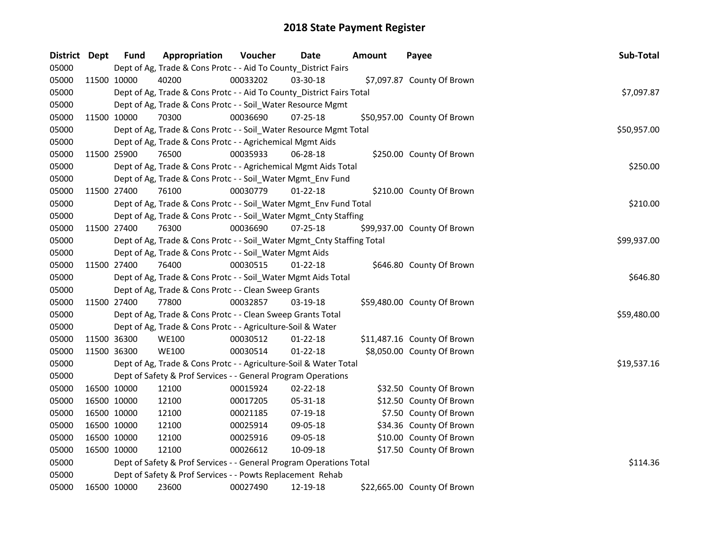| District Dept |             | <b>Fund</b> | Appropriation                                                          | Voucher  | <b>Date</b>    | <b>Amount</b> | Payee                       | Sub-Total   |
|---------------|-------------|-------------|------------------------------------------------------------------------|----------|----------------|---------------|-----------------------------|-------------|
| 05000         |             |             | Dept of Ag, Trade & Cons Protc - - Aid To County_District Fairs        |          |                |               |                             |             |
| 05000         | 11500 10000 |             | 40200                                                                  | 00033202 | 03-30-18       |               | \$7,097.87 County Of Brown  |             |
| 05000         |             |             | Dept of Ag, Trade & Cons Protc - - Aid To County_District Fairs Total  |          |                |               |                             | \$7,097.87  |
| 05000         |             |             | Dept of Ag, Trade & Cons Protc - - Soil_Water Resource Mgmt            |          |                |               |                             |             |
| 05000         |             | 11500 10000 | 70300                                                                  | 00036690 | $07 - 25 - 18$ |               | \$50,957.00 County Of Brown |             |
| 05000         |             |             | Dept of Ag, Trade & Cons Protc - - Soil_Water Resource Mgmt Total      |          |                |               |                             | \$50,957.00 |
| 05000         |             |             | Dept of Ag, Trade & Cons Protc - - Agrichemical Mgmt Aids              |          |                |               |                             |             |
| 05000         |             | 11500 25900 | 76500                                                                  | 00035933 | 06-28-18       |               | \$250.00 County Of Brown    |             |
| 05000         |             |             | Dept of Ag, Trade & Cons Protc - - Agrichemical Mgmt Aids Total        |          |                |               |                             | \$250.00    |
| 05000         |             |             | Dept of Ag, Trade & Cons Protc - - Soil_Water Mgmt_Env Fund            |          |                |               |                             |             |
| 05000         |             | 11500 27400 | 76100                                                                  | 00030779 | 01-22-18       |               | \$210.00 County Of Brown    |             |
| 05000         |             |             | Dept of Ag, Trade & Cons Protc - - Soil_Water Mgmt_Env Fund Total      |          |                |               |                             | \$210.00    |
| 05000         |             |             | Dept of Ag, Trade & Cons Protc - - Soil_Water Mgmt_Cnty Staffing       |          |                |               |                             |             |
| 05000         |             | 11500 27400 | 76300                                                                  | 00036690 | $07 - 25 - 18$ |               | \$99,937.00 County Of Brown |             |
| 05000         |             |             | Dept of Ag, Trade & Cons Protc - - Soil_Water Mgmt_Cnty Staffing Total |          |                |               |                             | \$99,937.00 |
| 05000         |             |             | Dept of Ag, Trade & Cons Protc - - Soil_Water Mgmt Aids                |          |                |               |                             |             |
| 05000         |             | 11500 27400 | 76400                                                                  | 00030515 | $01 - 22 - 18$ |               | \$646.80 County Of Brown    |             |
| 05000         |             |             | Dept of Ag, Trade & Cons Protc - - Soil_Water Mgmt Aids Total          |          |                |               |                             | \$646.80    |
| 05000         |             |             | Dept of Ag, Trade & Cons Protc - - Clean Sweep Grants                  |          |                |               |                             |             |
| 05000         |             | 11500 27400 | 77800                                                                  | 00032857 | 03-19-18       |               | \$59,480.00 County Of Brown |             |
| 05000         |             |             | Dept of Ag, Trade & Cons Protc - - Clean Sweep Grants Total            |          |                |               |                             | \$59,480.00 |
| 05000         |             |             | Dept of Ag, Trade & Cons Protc - - Agriculture-Soil & Water            |          |                |               |                             |             |
| 05000         |             | 11500 36300 | <b>WE100</b>                                                           | 00030512 | $01 - 22 - 18$ |               | \$11,487.16 County Of Brown |             |
| 05000         | 11500 36300 |             | <b>WE100</b>                                                           | 00030514 | $01 - 22 - 18$ |               | \$8,050.00 County Of Brown  |             |
| 05000         |             |             | Dept of Ag, Trade & Cons Protc - - Agriculture-Soil & Water Total      |          |                |               |                             | \$19,537.16 |
| 05000         |             |             | Dept of Safety & Prof Services - - General Program Operations          |          |                |               |                             |             |
| 05000         |             | 16500 10000 | 12100                                                                  | 00015924 | 02-22-18       |               | \$32.50 County Of Brown     |             |
| 05000         |             | 16500 10000 | 12100                                                                  | 00017205 | 05-31-18       |               | \$12.50 County Of Brown     |             |
| 05000         |             | 16500 10000 | 12100                                                                  | 00021185 | 07-19-18       |               | \$7.50 County Of Brown      |             |
| 05000         |             | 16500 10000 | 12100                                                                  | 00025914 | 09-05-18       |               | \$34.36 County Of Brown     |             |
| 05000         |             | 16500 10000 | 12100                                                                  | 00025916 | 09-05-18       |               | \$10.00 County Of Brown     |             |
| 05000         |             | 16500 10000 | 12100                                                                  | 00026612 | 10-09-18       |               | \$17.50 County Of Brown     |             |
| 05000         |             |             | Dept of Safety & Prof Services - - General Program Operations Total    |          |                |               |                             | \$114.36    |
| 05000         |             |             | Dept of Safety & Prof Services - - Powts Replacement Rehab             |          |                |               |                             |             |
| 05000         |             | 16500 10000 | 23600                                                                  | 00027490 | 12-19-18       |               | \$22,665.00 County Of Brown |             |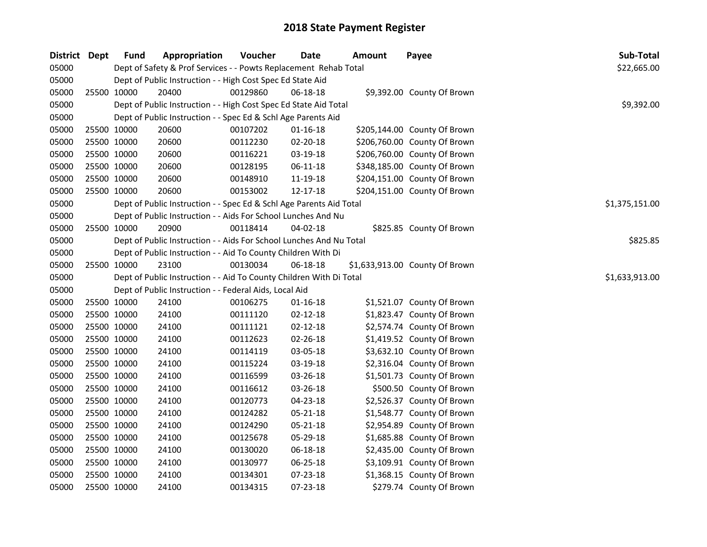| District Dept |             | <b>Fund</b> | Appropriation                                                       | Voucher  | <b>Date</b>    | <b>Amount</b> | Payee                          | Sub-Total      |
|---------------|-------------|-------------|---------------------------------------------------------------------|----------|----------------|---------------|--------------------------------|----------------|
| 05000         |             |             | Dept of Safety & Prof Services - - Powts Replacement Rehab Total    |          |                |               |                                | \$22,665.00    |
| 05000         |             |             | Dept of Public Instruction - - High Cost Spec Ed State Aid          |          |                |               |                                |                |
| 05000         | 25500 10000 |             | 20400                                                               | 00129860 | 06-18-18       |               | \$9,392.00 County Of Brown     |                |
| 05000         |             |             | Dept of Public Instruction - - High Cost Spec Ed State Aid Total    |          |                |               |                                | \$9,392.00     |
| 05000         |             |             | Dept of Public Instruction - - Spec Ed & Schl Age Parents Aid       |          |                |               |                                |                |
| 05000         | 25500 10000 |             | 20600                                                               | 00107202 | $01 - 16 - 18$ |               | \$205,144.00 County Of Brown   |                |
| 05000         | 25500 10000 |             | 20600                                                               | 00112230 | 02-20-18       |               | \$206,760.00 County Of Brown   |                |
| 05000         | 25500 10000 |             | 20600                                                               | 00116221 | 03-19-18       |               | \$206,760.00 County Of Brown   |                |
| 05000         | 25500 10000 |             | 20600                                                               | 00128195 | 06-11-18       |               | \$348,185.00 County Of Brown   |                |
| 05000         | 25500 10000 |             | 20600                                                               | 00148910 | 11-19-18       |               | \$204,151.00 County Of Brown   |                |
| 05000         | 25500 10000 |             | 20600                                                               | 00153002 | 12-17-18       |               | \$204,151.00 County Of Brown   |                |
| 05000         |             |             | Dept of Public Instruction - - Spec Ed & Schl Age Parents Aid Total |          |                |               |                                | \$1,375,151.00 |
| 05000         |             |             | Dept of Public Instruction - - Aids For School Lunches And Nu       |          |                |               |                                |                |
| 05000         | 25500 10000 |             | 20900                                                               | 00118414 | 04-02-18       |               | \$825.85 County Of Brown       |                |
| 05000         |             |             | Dept of Public Instruction - - Aids For School Lunches And Nu Total |          |                |               |                                | \$825.85       |
| 05000         |             |             | Dept of Public Instruction - - Aid To County Children With Di       |          |                |               |                                |                |
| 05000         | 25500 10000 |             | 23100                                                               | 00130034 | 06-18-18       |               | \$1,633,913.00 County Of Brown |                |
| 05000         |             |             | Dept of Public Instruction - - Aid To County Children With Di Total |          |                |               |                                | \$1,633,913.00 |
| 05000         |             |             | Dept of Public Instruction - - Federal Aids, Local Aid              |          |                |               |                                |                |
| 05000         | 25500 10000 |             | 24100                                                               | 00106275 | $01 - 16 - 18$ |               | \$1,521.07 County Of Brown     |                |
| 05000         | 25500 10000 |             | 24100                                                               | 00111120 | $02 - 12 - 18$ |               | \$1,823.47 County Of Brown     |                |
| 05000         | 25500 10000 |             | 24100                                                               | 00111121 | $02 - 12 - 18$ |               | \$2,574.74 County Of Brown     |                |
| 05000         | 25500 10000 |             | 24100                                                               | 00112623 | $02 - 26 - 18$ |               | \$1,419.52 County Of Brown     |                |
| 05000         | 25500 10000 |             | 24100                                                               | 00114119 | 03-05-18       |               | \$3,632.10 County Of Brown     |                |
| 05000         | 25500 10000 |             | 24100                                                               | 00115224 | 03-19-18       |               | \$2,316.04 County Of Brown     |                |
| 05000         | 25500 10000 |             | 24100                                                               | 00116599 | 03-26-18       |               | \$1,501.73 County Of Brown     |                |
| 05000         | 25500 10000 |             | 24100                                                               | 00116612 | 03-26-18       |               | \$500.50 County Of Brown       |                |
| 05000         | 25500 10000 |             | 24100                                                               | 00120773 | 04-23-18       |               | \$2,526.37 County Of Brown     |                |
| 05000         | 25500 10000 |             | 24100                                                               | 00124282 | 05-21-18       |               | \$1,548.77 County Of Brown     |                |
| 05000         | 25500 10000 |             | 24100                                                               | 00124290 | 05-21-18       |               | \$2,954.89 County Of Brown     |                |
| 05000         | 25500 10000 |             | 24100                                                               | 00125678 | 05-29-18       |               | \$1,685.88 County Of Brown     |                |
| 05000         | 25500 10000 |             | 24100                                                               | 00130020 | 06-18-18       |               | \$2,435.00 County Of Brown     |                |
| 05000         | 25500 10000 |             | 24100                                                               | 00130977 | 06-25-18       |               | \$3,109.91 County Of Brown     |                |
| 05000         | 25500 10000 |             | 24100                                                               | 00134301 | 07-23-18       |               | \$1,368.15 County Of Brown     |                |
| 05000         | 25500 10000 |             | 24100                                                               | 00134315 | 07-23-18       |               | \$279.74 County Of Brown       |                |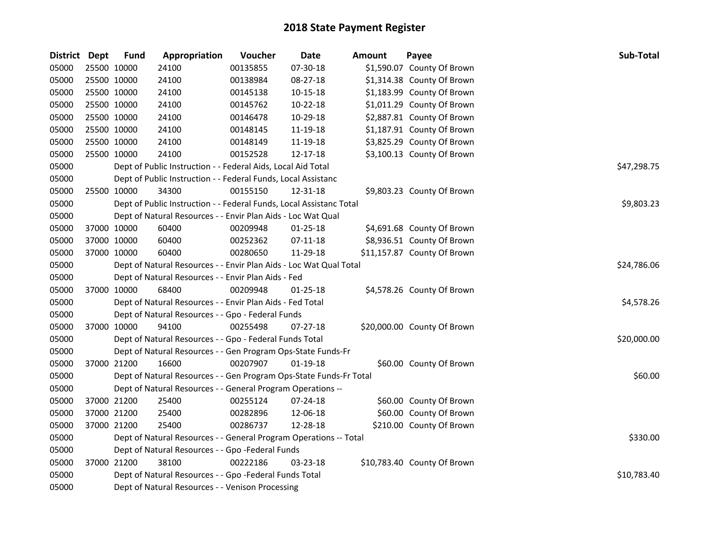| District Dept |             | <b>Fund</b> | Appropriation                                                       | Voucher     | <b>Date</b>    | <b>Amount</b> | Payee                       | Sub-Total   |  |  |
|---------------|-------------|-------------|---------------------------------------------------------------------|-------------|----------------|---------------|-----------------------------|-------------|--|--|
| 05000         | 25500 10000 |             | 24100                                                               | 00135855    | 07-30-18       |               | \$1,590.07 County Of Brown  |             |  |  |
| 05000         | 25500 10000 |             | 24100                                                               | 00138984    | 08-27-18       |               | \$1,314.38 County Of Brown  |             |  |  |
| 05000         | 25500 10000 |             | 24100                                                               | 00145138    | 10-15-18       |               | \$1,183.99 County Of Brown  |             |  |  |
| 05000         | 25500 10000 |             | 24100                                                               | 00145762    | 10-22-18       |               | \$1,011.29 County Of Brown  |             |  |  |
| 05000         | 25500 10000 |             | 24100                                                               | 00146478    | 10-29-18       |               | \$2,887.81 County Of Brown  |             |  |  |
| 05000         | 25500 10000 |             | 24100                                                               | 00148145    | 11-19-18       |               | \$1,187.91 County Of Brown  |             |  |  |
| 05000         | 25500 10000 |             | 24100                                                               | 00148149    | 11-19-18       |               | \$3,825.29 County Of Brown  |             |  |  |
| 05000         | 25500 10000 |             | 24100                                                               | 00152528    | 12-17-18       |               | \$3,100.13 County Of Brown  |             |  |  |
| 05000         |             |             | Dept of Public Instruction - - Federal Aids, Local Aid Total        |             |                |               |                             | \$47,298.75 |  |  |
| 05000         |             |             | Dept of Public Instruction - - Federal Funds, Local Assistanc       |             |                |               |                             |             |  |  |
| 05000         | 25500 10000 |             | 34300                                                               | 00155150    | 12-31-18       |               | \$9,803.23 County Of Brown  |             |  |  |
| 05000         |             |             | Dept of Public Instruction - - Federal Funds, Local Assistanc Total |             |                |               |                             | \$9,803.23  |  |  |
| 05000         |             |             | Dept of Natural Resources - - Envir Plan Aids - Loc Wat Qual        |             |                |               |                             |             |  |  |
| 05000         | 37000 10000 |             | 60400                                                               | 00209948    | $01 - 25 - 18$ |               | \$4,691.68 County Of Brown  |             |  |  |
| 05000         | 37000 10000 |             | 60400                                                               | 00252362    | $07 - 11 - 18$ |               | \$8,936.51 County Of Brown  |             |  |  |
| 05000         | 37000 10000 |             | 60400                                                               | 00280650    | 11-29-18       |               | \$11,157.87 County Of Brown |             |  |  |
| 05000         |             |             | Dept of Natural Resources - - Envir Plan Aids - Loc Wat Qual Total  | \$24,786.06 |                |               |                             |             |  |  |
| 05000         |             |             | Dept of Natural Resources - - Envir Plan Aids - Fed                 |             |                |               |                             |             |  |  |
| 05000         | 37000 10000 |             | 68400                                                               | 00209948    | $01 - 25 - 18$ |               | \$4,578.26 County Of Brown  |             |  |  |
| 05000         |             |             | Dept of Natural Resources - - Envir Plan Aids - Fed Total           |             |                |               |                             | \$4,578.26  |  |  |
| 05000         |             |             | Dept of Natural Resources - - Gpo - Federal Funds                   |             |                |               |                             |             |  |  |
| 05000         | 37000 10000 |             | 94100                                                               | 00255498    | 07-27-18       |               | \$20,000.00 County Of Brown |             |  |  |
| 05000         |             |             | Dept of Natural Resources - - Gpo - Federal Funds Total             |             |                |               |                             | \$20,000.00 |  |  |
| 05000         |             |             | Dept of Natural Resources - - Gen Program Ops-State Funds-Fr        |             |                |               |                             |             |  |  |
| 05000         | 37000 21200 |             | 16600                                                               | 00207907    | $01-19-18$     |               | \$60.00 County Of Brown     |             |  |  |
| 05000         |             |             | Dept of Natural Resources - - Gen Program Ops-State Funds-Fr Total  |             |                |               |                             | \$60.00     |  |  |
| 05000         |             |             | Dept of Natural Resources - - General Program Operations --         |             |                |               |                             |             |  |  |
| 05000         | 37000 21200 |             | 25400                                                               | 00255124    | 07-24-18       |               | \$60.00 County Of Brown     |             |  |  |
| 05000         | 37000 21200 |             | 25400                                                               | 00282896    | 12-06-18       |               | \$60.00 County Of Brown     |             |  |  |
| 05000         | 37000 21200 |             | 25400                                                               | 00286737    | 12-28-18       |               | \$210.00 County Of Brown    |             |  |  |
| 05000         |             |             | Dept of Natural Resources - - General Program Operations -- Total   |             |                |               |                             | \$330.00    |  |  |
| 05000         |             |             | Dept of Natural Resources - - Gpo -Federal Funds                    |             |                |               |                             |             |  |  |
| 05000         | 37000 21200 |             | 38100                                                               | 00222186    | 03-23-18       |               | \$10,783.40 County Of Brown |             |  |  |
| 05000         |             |             | Dept of Natural Resources - - Gpo -Federal Funds Total              |             |                |               |                             | \$10,783.40 |  |  |
| 05000         |             |             | Dept of Natural Resources - - Venison Processing                    |             |                |               |                             |             |  |  |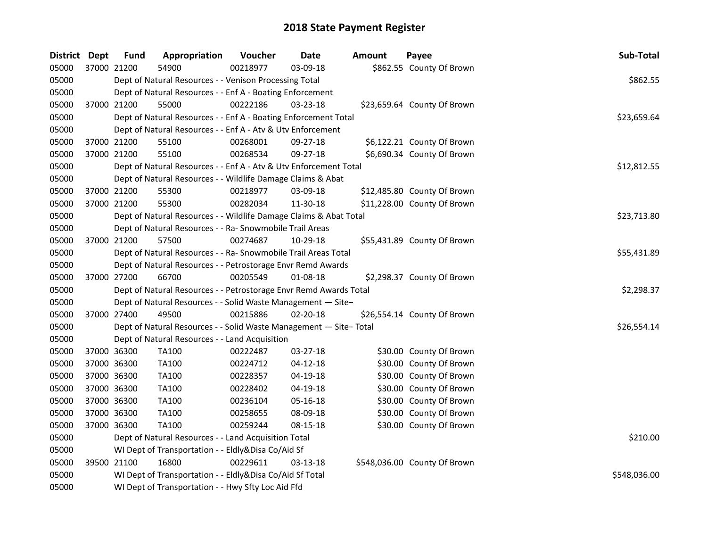| District Dept |             | <b>Fund</b> | Appropriation                                                     | Voucher  | <b>Date</b>    | Amount | Payee                        | Sub-Total    |
|---------------|-------------|-------------|-------------------------------------------------------------------|----------|----------------|--------|------------------------------|--------------|
| 05000         | 37000 21200 |             | 54900                                                             | 00218977 | 03-09-18       |        | \$862.55 County Of Brown     |              |
| 05000         |             |             | Dept of Natural Resources - - Venison Processing Total            |          |                |        |                              | \$862.55     |
| 05000         |             |             | Dept of Natural Resources - - Enf A - Boating Enforcement         |          |                |        |                              |              |
| 05000         | 37000 21200 |             | 55000                                                             | 00222186 | $03 - 23 - 18$ |        | \$23,659.64 County Of Brown  |              |
| 05000         |             |             | Dept of Natural Resources - - Enf A - Boating Enforcement Total   |          |                |        |                              | \$23,659.64  |
| 05000         |             |             | Dept of Natural Resources - - Enf A - Atv & Utv Enforcement       |          |                |        |                              |              |
| 05000         |             | 37000 21200 | 55100                                                             | 00268001 | $09 - 27 - 18$ |        | \$6,122.21 County Of Brown   |              |
| 05000         | 37000 21200 |             | 55100                                                             | 00268534 | 09-27-18       |        | \$6,690.34 County Of Brown   |              |
| 05000         |             |             | Dept of Natural Resources - - Enf A - Atv & Utv Enforcement Total |          |                |        |                              | \$12,812.55  |
| 05000         |             |             | Dept of Natural Resources - - Wildlife Damage Claims & Abat       |          |                |        |                              |              |
| 05000         |             | 37000 21200 | 55300                                                             | 00218977 | 03-09-18       |        | \$12,485.80 County Of Brown  |              |
| 05000         | 37000 21200 |             | 55300                                                             | 00282034 | 11-30-18       |        | \$11,228.00 County Of Brown  |              |
| 05000         |             |             | Dept of Natural Resources - - Wildlife Damage Claims & Abat Total |          |                |        |                              | \$23,713.80  |
| 05000         |             |             | Dept of Natural Resources - - Ra- Snowmobile Trail Areas          |          |                |        |                              |              |
| 05000         | 37000 21200 |             | 57500                                                             | 00274687 | 10-29-18       |        | \$55,431.89 County Of Brown  |              |
| 05000         |             |             | Dept of Natural Resources - - Ra- Snowmobile Trail Areas Total    |          |                |        |                              | \$55,431.89  |
| 05000         |             |             | Dept of Natural Resources - - Petrostorage Envr Remd Awards       |          |                |        |                              |              |
| 05000         | 37000 27200 |             | 66700                                                             | 00205549 | 01-08-18       |        | \$2,298.37 County Of Brown   |              |
| 05000         |             |             | Dept of Natural Resources - - Petrostorage Envr Remd Awards Total |          |                |        |                              | \$2,298.37   |
| 05000         |             |             | Dept of Natural Resources - - Solid Waste Management - Site-      |          |                |        |                              |              |
| 05000         | 37000 27400 |             | 49500                                                             | 00215886 | 02-20-18       |        | \$26,554.14 County Of Brown  |              |
| 05000         |             |             | Dept of Natural Resources - - Solid Waste Management - Site-Total |          |                |        |                              | \$26,554.14  |
| 05000         |             |             | Dept of Natural Resources - - Land Acquisition                    |          |                |        |                              |              |
| 05000         |             | 37000 36300 | <b>TA100</b>                                                      | 00222487 | 03-27-18       |        | \$30.00 County Of Brown      |              |
| 05000         | 37000 36300 |             | <b>TA100</b>                                                      | 00224712 | $04 - 12 - 18$ |        | \$30.00 County Of Brown      |              |
| 05000         |             | 37000 36300 | <b>TA100</b>                                                      | 00228357 | 04-19-18       |        | \$30.00 County Of Brown      |              |
| 05000         |             | 37000 36300 | <b>TA100</b>                                                      | 00228402 | 04-19-18       |        | \$30.00 County Of Brown      |              |
| 05000         | 37000 36300 |             | <b>TA100</b>                                                      | 00236104 | 05-16-18       |        | \$30.00 County Of Brown      |              |
| 05000         | 37000 36300 |             | <b>TA100</b>                                                      | 00258655 | 08-09-18       |        | \$30.00 County Of Brown      |              |
| 05000         | 37000 36300 |             | <b>TA100</b>                                                      | 00259244 | 08-15-18       |        | \$30.00 County Of Brown      |              |
| 05000         |             |             | Dept of Natural Resources - - Land Acquisition Total              |          |                |        |                              | \$210.00     |
| 05000         |             |             | WI Dept of Transportation - - Eldly&Disa Co/Aid Sf                |          |                |        |                              |              |
| 05000         |             | 39500 21100 | 16800                                                             | 00229611 | $03 - 13 - 18$ |        | \$548,036.00 County Of Brown |              |
| 05000         |             |             | WI Dept of Transportation - - Eldly&Disa Co/Aid Sf Total          |          |                |        |                              | \$548,036.00 |
| 05000         |             |             | WI Dept of Transportation - - Hwy Sfty Loc Aid Ffd                |          |                |        |                              |              |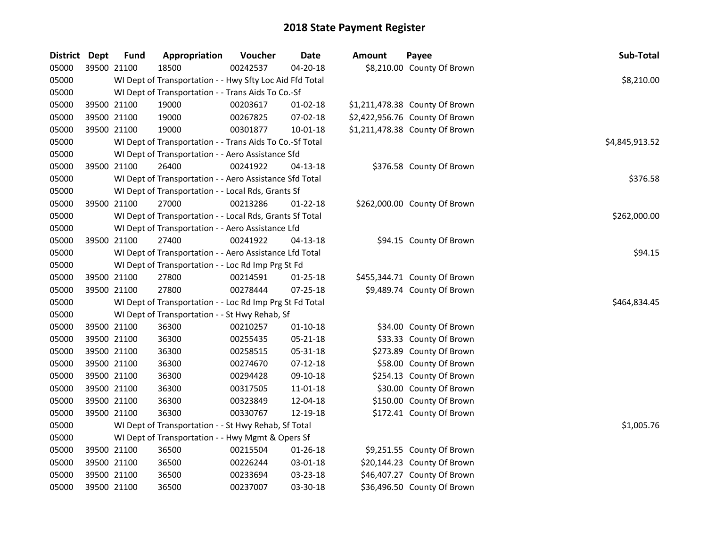| District Dept | <b>Fund</b> | Appropriation                                            | Voucher  | Date           | <b>Amount</b> | Payee                          | Sub-Total      |
|---------------|-------------|----------------------------------------------------------|----------|----------------|---------------|--------------------------------|----------------|
| 05000         | 39500 21100 | 18500                                                    | 00242537 | $04 - 20 - 18$ |               | \$8,210.00 County Of Brown     |                |
| 05000         |             | WI Dept of Transportation - - Hwy Sfty Loc Aid Ffd Total |          |                |               |                                | \$8,210.00     |
| 05000         |             | WI Dept of Transportation - - Trans Aids To Co.-Sf       |          |                |               |                                |                |
| 05000         | 39500 21100 | 19000                                                    | 00203617 | $01-02-18$     |               | \$1,211,478.38 County Of Brown |                |
| 05000         | 39500 21100 | 19000                                                    | 00267825 | 07-02-18       |               | \$2,422,956.76 County Of Brown |                |
| 05000         | 39500 21100 | 19000                                                    | 00301877 | 10-01-18       |               | \$1,211,478.38 County Of Brown |                |
| 05000         |             | WI Dept of Transportation - - Trans Aids To Co.-Sf Total |          |                |               |                                | \$4,845,913.52 |
| 05000         |             | WI Dept of Transportation - - Aero Assistance Sfd        |          |                |               |                                |                |
| 05000         | 39500 21100 | 26400                                                    | 00241922 | $04 - 13 - 18$ |               | \$376.58 County Of Brown       |                |
| 05000         |             | WI Dept of Transportation - - Aero Assistance Sfd Total  |          |                |               |                                | \$376.58       |
| 05000         |             | WI Dept of Transportation - - Local Rds, Grants Sf       |          |                |               |                                |                |
| 05000         | 39500 21100 | 27000                                                    | 00213286 | $01 - 22 - 18$ |               | \$262,000.00 County Of Brown   |                |
| 05000         |             | WI Dept of Transportation - - Local Rds, Grants Sf Total |          |                |               |                                | \$262,000.00   |
| 05000         |             | WI Dept of Transportation - - Aero Assistance Lfd        |          |                |               |                                |                |
| 05000         | 39500 21100 | 27400                                                    | 00241922 | $04 - 13 - 18$ |               | \$94.15 County Of Brown        |                |
| 05000         |             | WI Dept of Transportation - - Aero Assistance Lfd Total  |          |                |               |                                | \$94.15        |
| 05000         |             | WI Dept of Transportation - - Loc Rd Imp Prg St Fd       |          |                |               |                                |                |
| 05000         | 39500 21100 | 27800                                                    | 00214591 | $01 - 25 - 18$ |               | \$455,344.71 County Of Brown   |                |
| 05000         | 39500 21100 | 27800                                                    | 00278444 | 07-25-18       |               | \$9,489.74 County Of Brown     |                |
| 05000         |             | WI Dept of Transportation - - Loc Rd Imp Prg St Fd Total |          |                |               |                                | \$464,834.45   |
| 05000         |             | WI Dept of Transportation - - St Hwy Rehab, Sf           |          |                |               |                                |                |
| 05000         | 39500 21100 | 36300                                                    | 00210257 | $01 - 10 - 18$ |               | \$34.00 County Of Brown        |                |
| 05000         | 39500 21100 | 36300                                                    | 00255435 | $05 - 21 - 18$ |               | \$33.33 County Of Brown        |                |
| 05000         | 39500 21100 | 36300                                                    | 00258515 | 05-31-18       |               | \$273.89 County Of Brown       |                |
| 05000         | 39500 21100 | 36300                                                    | 00274670 | $07-12-18$     |               | \$58.00 County Of Brown        |                |
| 05000         | 39500 21100 | 36300                                                    | 00294428 | 09-10-18       |               | \$254.13 County Of Brown       |                |
| 05000         | 39500 21100 | 36300                                                    | 00317505 | 11-01-18       |               | \$30.00 County Of Brown        |                |
| 05000         | 39500 21100 | 36300                                                    | 00323849 | 12-04-18       |               | \$150.00 County Of Brown       |                |
| 05000         | 39500 21100 | 36300                                                    | 00330767 | 12-19-18       |               | \$172.41 County Of Brown       |                |
| 05000         |             | WI Dept of Transportation - - St Hwy Rehab, Sf Total     |          |                |               |                                | \$1,005.76     |
| 05000         |             | WI Dept of Transportation - - Hwy Mgmt & Opers Sf        |          |                |               |                                |                |
| 05000         | 39500 21100 | 36500                                                    | 00215504 | $01 - 26 - 18$ |               | \$9,251.55 County Of Brown     |                |
| 05000         | 39500 21100 | 36500                                                    | 00226244 | 03-01-18       |               | \$20,144.23 County Of Brown    |                |
| 05000         | 39500 21100 | 36500                                                    | 00233694 | 03-23-18       |               | \$46,407.27 County Of Brown    |                |
| 05000         | 39500 21100 | 36500                                                    | 00237007 | 03-30-18       |               | \$36,496.50 County Of Brown    |                |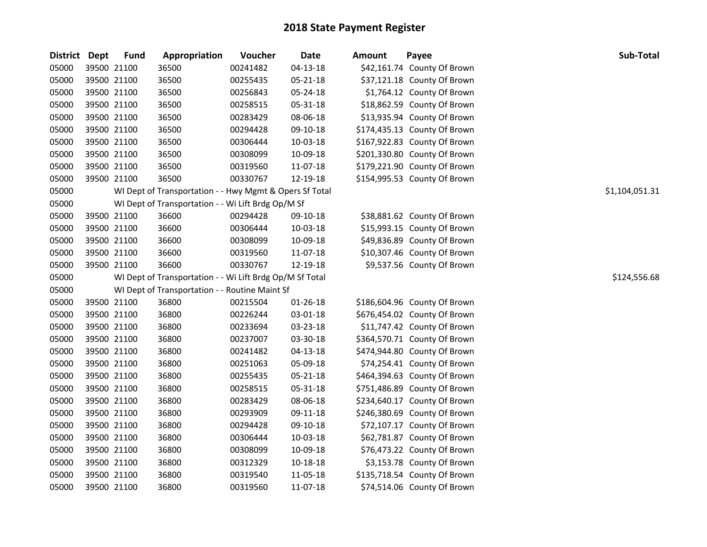| District Dept |             | <b>Fund</b> | Appropriation                                            | Voucher  | <b>Date</b>    | <b>Amount</b> | Payee                        | Sub-Total      |
|---------------|-------------|-------------|----------------------------------------------------------|----------|----------------|---------------|------------------------------|----------------|
| 05000         | 39500 21100 |             | 36500                                                    | 00241482 | $04 - 13 - 18$ |               | \$42,161.74 County Of Brown  |                |
| 05000         | 39500 21100 |             | 36500                                                    | 00255435 | $05 - 21 - 18$ |               | \$37,121.18 County Of Brown  |                |
| 05000         | 39500 21100 |             | 36500                                                    | 00256843 | 05-24-18       |               | \$1,764.12 County Of Brown   |                |
| 05000         | 39500 21100 |             | 36500                                                    | 00258515 | 05-31-18       |               | \$18,862.59 County Of Brown  |                |
| 05000         | 39500 21100 |             | 36500                                                    | 00283429 | 08-06-18       |               | \$13,935.94 County Of Brown  |                |
| 05000         | 39500 21100 |             | 36500                                                    | 00294428 | 09-10-18       |               | \$174,435.13 County Of Brown |                |
| 05000         | 39500 21100 |             | 36500                                                    | 00306444 | 10-03-18       |               | \$167,922.83 County Of Brown |                |
| 05000         | 39500 21100 |             | 36500                                                    | 00308099 | 10-09-18       |               | \$201,330.80 County Of Brown |                |
| 05000         | 39500 21100 |             | 36500                                                    | 00319560 | 11-07-18       |               | \$179,221.90 County Of Brown |                |
| 05000         | 39500 21100 |             | 36500                                                    | 00330767 | 12-19-18       |               | \$154,995.53 County Of Brown |                |
| 05000         |             |             | WI Dept of Transportation - - Hwy Mgmt & Opers Sf Total  |          |                |               |                              | \$1,104,051.31 |
| 05000         |             |             | WI Dept of Transportation - - Wi Lift Brdg Op/M Sf       |          |                |               |                              |                |
| 05000         | 39500 21100 |             | 36600                                                    | 00294428 | 09-10-18       |               | \$38,881.62 County Of Brown  |                |
| 05000         | 39500 21100 |             | 36600                                                    | 00306444 | 10-03-18       |               | \$15,993.15 County Of Brown  |                |
| 05000         | 39500 21100 |             | 36600                                                    | 00308099 | 10-09-18       |               | \$49,836.89 County Of Brown  |                |
| 05000         | 39500 21100 |             | 36600                                                    | 00319560 | 11-07-18       |               | \$10,307.46 County Of Brown  |                |
| 05000         | 39500 21100 |             | 36600                                                    | 00330767 | 12-19-18       |               | \$9,537.56 County Of Brown   |                |
| 05000         |             |             | WI Dept of Transportation - - Wi Lift Brdg Op/M Sf Total |          |                |               |                              | \$124,556.68   |
| 05000         |             |             | WI Dept of Transportation - - Routine Maint Sf           |          |                |               |                              |                |
| 05000         | 39500 21100 |             | 36800                                                    | 00215504 | 01-26-18       |               | \$186,604.96 County Of Brown |                |
| 05000         | 39500 21100 |             | 36800                                                    | 00226244 | 03-01-18       |               | \$676,454.02 County Of Brown |                |
| 05000         | 39500 21100 |             | 36800                                                    | 00233694 | 03-23-18       |               | \$11,747.42 County Of Brown  |                |
| 05000         | 39500 21100 |             | 36800                                                    | 00237007 | 03-30-18       |               | \$364,570.71 County Of Brown |                |
| 05000         | 39500 21100 |             | 36800                                                    | 00241482 | $04 - 13 - 18$ |               | \$474,944.80 County Of Brown |                |
| 05000         | 39500 21100 |             | 36800                                                    | 00251063 | 05-09-18       |               | \$74,254.41 County Of Brown  |                |
| 05000         | 39500 21100 |             | 36800                                                    | 00255435 | 05-21-18       |               | \$464,394.63 County Of Brown |                |
| 05000         | 39500 21100 |             | 36800                                                    | 00258515 | 05-31-18       |               | \$751,486.89 County Of Brown |                |
| 05000         | 39500 21100 |             | 36800                                                    | 00283429 | 08-06-18       |               | \$234,640.17 County Of Brown |                |
| 05000         | 39500 21100 |             | 36800                                                    | 00293909 | 09-11-18       |               | \$246,380.69 County Of Brown |                |
| 05000         | 39500 21100 |             | 36800                                                    | 00294428 | 09-10-18       |               | \$72,107.17 County Of Brown  |                |
| 05000         | 39500 21100 |             | 36800                                                    | 00306444 | 10-03-18       |               | \$62,781.87 County Of Brown  |                |
| 05000         | 39500 21100 |             | 36800                                                    | 00308099 | 10-09-18       |               | \$76,473.22 County Of Brown  |                |
| 05000         | 39500 21100 |             | 36800                                                    | 00312329 | 10-18-18       |               | \$3,153.78 County Of Brown   |                |
| 05000         | 39500 21100 |             | 36800                                                    | 00319540 | 11-05-18       |               | \$135,718.54 County Of Brown |                |
| 05000         | 39500 21100 |             | 36800                                                    | 00319560 | 11-07-18       |               | \$74,514.06 County Of Brown  |                |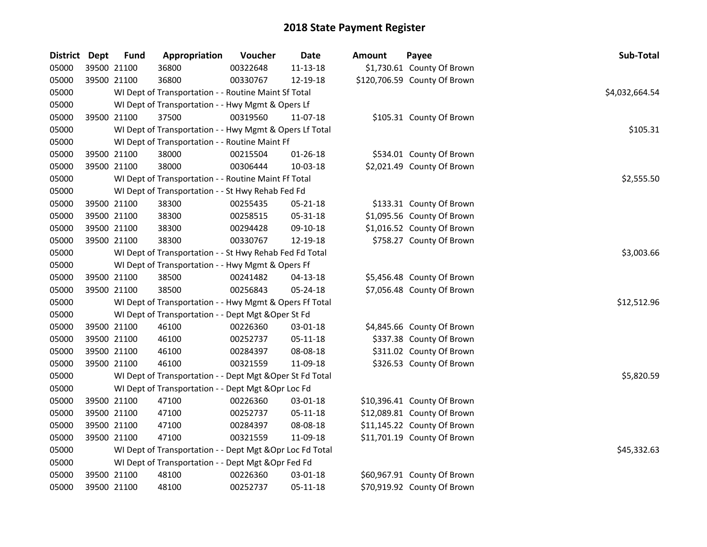| <b>District</b> | Dept        | <b>Fund</b> | Appropriation                                             | Voucher  | <b>Date</b>    | Amount | Payee                        | Sub-Total      |
|-----------------|-------------|-------------|-----------------------------------------------------------|----------|----------------|--------|------------------------------|----------------|
| 05000           |             | 39500 21100 | 36800                                                     | 00322648 | 11-13-18       |        | \$1,730.61 County Of Brown   |                |
| 05000           |             | 39500 21100 | 36800                                                     | 00330767 | 12-19-18       |        | \$120,706.59 County Of Brown |                |
| 05000           |             |             | WI Dept of Transportation - - Routine Maint Sf Total      |          |                |        |                              | \$4,032,664.54 |
| 05000           |             |             | WI Dept of Transportation - - Hwy Mgmt & Opers Lf         |          |                |        |                              |                |
| 05000           |             | 39500 21100 | 37500                                                     | 00319560 | 11-07-18       |        | \$105.31 County Of Brown     |                |
| 05000           |             |             | WI Dept of Transportation - - Hwy Mgmt & Opers Lf Total   |          |                |        |                              | \$105.31       |
| 05000           |             |             | WI Dept of Transportation - - Routine Maint Ff            |          |                |        |                              |                |
| 05000           |             | 39500 21100 | 38000                                                     | 00215504 | $01 - 26 - 18$ |        | \$534.01 County Of Brown     |                |
| 05000           |             | 39500 21100 | 38000                                                     | 00306444 | 10-03-18       |        | \$2,021.49 County Of Brown   |                |
| 05000           |             |             | WI Dept of Transportation - - Routine Maint Ff Total      |          |                |        |                              | \$2,555.50     |
| 05000           |             |             | WI Dept of Transportation - - St Hwy Rehab Fed Fd         |          |                |        |                              |                |
| 05000           |             | 39500 21100 | 38300                                                     | 00255435 | 05-21-18       |        | \$133.31 County Of Brown     |                |
| 05000           |             | 39500 21100 | 38300                                                     | 00258515 | 05-31-18       |        | \$1,095.56 County Of Brown   |                |
| 05000           |             | 39500 21100 | 38300                                                     | 00294428 | 09-10-18       |        | \$1,016.52 County Of Brown   |                |
| 05000           |             | 39500 21100 | 38300                                                     | 00330767 | 12-19-18       |        | \$758.27 County Of Brown     |                |
| 05000           |             |             | WI Dept of Transportation - - St Hwy Rehab Fed Fd Total   |          |                |        |                              | \$3,003.66     |
| 05000           |             |             | WI Dept of Transportation - - Hwy Mgmt & Opers Ff         |          |                |        |                              |                |
| 05000           |             | 39500 21100 | 38500                                                     | 00241482 | $04 - 13 - 18$ |        | \$5,456.48 County Of Brown   |                |
| 05000           |             | 39500 21100 | 38500                                                     | 00256843 | 05-24-18       |        | \$7,056.48 County Of Brown   |                |
| 05000           |             |             | WI Dept of Transportation - - Hwy Mgmt & Opers Ff Total   |          |                |        |                              | \$12,512.96    |
| 05000           |             |             | WI Dept of Transportation - - Dept Mgt & Oper St Fd       |          |                |        |                              |                |
| 05000           |             | 39500 21100 | 46100                                                     | 00226360 | 03-01-18       |        | \$4,845.66 County Of Brown   |                |
| 05000           | 39500 21100 |             | 46100                                                     | 00252737 | $05 - 11 - 18$ |        | \$337.38 County Of Brown     |                |
| 05000           | 39500 21100 |             | 46100                                                     | 00284397 | 08-08-18       |        | \$311.02 County Of Brown     |                |
| 05000           |             | 39500 21100 | 46100                                                     | 00321559 | 11-09-18       |        | \$326.53 County Of Brown     |                |
| 05000           |             |             | WI Dept of Transportation - - Dept Mgt & Oper St Fd Total |          |                |        |                              | \$5,820.59     |
| 05000           |             |             | WI Dept of Transportation - - Dept Mgt & Opr Loc Fd       |          |                |        |                              |                |
| 05000           |             | 39500 21100 | 47100                                                     | 00226360 | 03-01-18       |        | \$10,396.41 County Of Brown  |                |
| 05000           |             | 39500 21100 | 47100                                                     | 00252737 | 05-11-18       |        | \$12,089.81 County Of Brown  |                |
| 05000           |             | 39500 21100 | 47100                                                     | 00284397 | 08-08-18       |        | \$11,145.22 County Of Brown  |                |
| 05000           |             | 39500 21100 | 47100                                                     | 00321559 | 11-09-18       |        | \$11,701.19 County Of Brown  |                |
| 05000           |             |             | WI Dept of Transportation - - Dept Mgt & Opr Loc Fd Total |          |                |        |                              | \$45,332.63    |
| 05000           |             |             | WI Dept of Transportation - - Dept Mgt & Opr Fed Fd       |          |                |        |                              |                |
| 05000           |             | 39500 21100 | 48100                                                     | 00226360 | 03-01-18       |        | \$60,967.91 County Of Brown  |                |
| 05000           |             | 39500 21100 | 48100                                                     | 00252737 | 05-11-18       |        | \$70,919.92 County Of Brown  |                |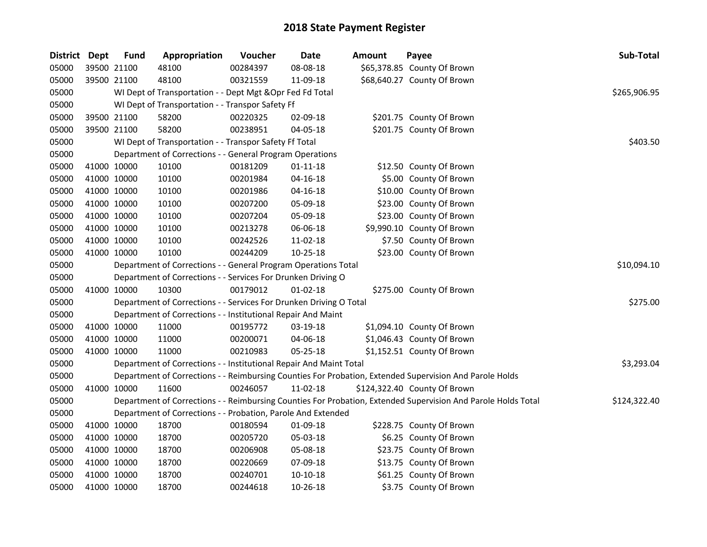| <b>District Dept</b> |             | <b>Fund</b> | Appropriation                                                      | Voucher  | Date           | Amount | Payee                                                                                                         | Sub-Total    |
|----------------------|-------------|-------------|--------------------------------------------------------------------|----------|----------------|--------|---------------------------------------------------------------------------------------------------------------|--------------|
| 05000                |             | 39500 21100 | 48100                                                              | 00284397 | 08-08-18       |        | \$65,378.85 County Of Brown                                                                                   |              |
| 05000                |             | 39500 21100 | 48100                                                              | 00321559 | 11-09-18       |        | \$68,640.27 County Of Brown                                                                                   |              |
| 05000                |             |             | WI Dept of Transportation - - Dept Mgt & Opr Fed Fd Total          |          |                |        |                                                                                                               | \$265,906.95 |
| 05000                |             |             | WI Dept of Transportation - - Transpor Safety Ff                   |          |                |        |                                                                                                               |              |
| 05000                |             | 39500 21100 | 58200                                                              | 00220325 | 02-09-18       |        | \$201.75 County Of Brown                                                                                      |              |
| 05000                |             | 39500 21100 | 58200                                                              | 00238951 | 04-05-18       |        | \$201.75 County Of Brown                                                                                      |              |
| 05000                |             |             | WI Dept of Transportation - - Transpor Safety Ff Total             |          |                |        |                                                                                                               | \$403.50     |
| 05000                |             |             | Department of Corrections - - General Program Operations           |          |                |        |                                                                                                               |              |
| 05000                |             | 41000 10000 | 10100                                                              | 00181209 | $01 - 11 - 18$ |        | \$12.50 County Of Brown                                                                                       |              |
| 05000                |             | 41000 10000 | 10100                                                              | 00201984 | 04-16-18       |        | \$5.00 County Of Brown                                                                                        |              |
| 05000                |             | 41000 10000 | 10100                                                              | 00201986 | $04 - 16 - 18$ |        | \$10.00 County Of Brown                                                                                       |              |
| 05000                |             | 41000 10000 | 10100                                                              | 00207200 | 05-09-18       |        | \$23.00 County Of Brown                                                                                       |              |
| 05000                |             | 41000 10000 | 10100                                                              | 00207204 | 05-09-18       |        | \$23.00 County Of Brown                                                                                       |              |
| 05000                |             | 41000 10000 | 10100                                                              | 00213278 | 06-06-18       |        | \$9,990.10 County Of Brown                                                                                    |              |
| 05000                |             | 41000 10000 | 10100                                                              | 00242526 | 11-02-18       |        | \$7.50 County Of Brown                                                                                        |              |
| 05000                | 41000 10000 |             | 10100                                                              | 00244209 | 10-25-18       |        | \$23.00 County Of Brown                                                                                       |              |
| 05000                |             |             | Department of Corrections - - General Program Operations Total     |          |                |        |                                                                                                               | \$10,094.10  |
| 05000                |             |             | Department of Corrections - - Services For Drunken Driving O       |          |                |        |                                                                                                               |              |
| 05000                |             | 41000 10000 | 10300                                                              | 00179012 | $01-02-18$     |        | \$275.00 County Of Brown                                                                                      |              |
| 05000                |             |             | Department of Corrections - - Services For Drunken Driving O Total |          |                |        |                                                                                                               | \$275.00     |
| 05000                |             |             | Department of Corrections - - Institutional Repair And Maint       |          |                |        |                                                                                                               |              |
| 05000                |             | 41000 10000 | 11000                                                              | 00195772 | 03-19-18       |        | \$1,094.10 County Of Brown                                                                                    |              |
| 05000                |             | 41000 10000 | 11000                                                              | 00200071 | 04-06-18       |        | \$1,046.43 County Of Brown                                                                                    |              |
| 05000                |             | 41000 10000 | 11000                                                              | 00210983 | 05-25-18       |        | \$1,152.51 County Of Brown                                                                                    |              |
| 05000                |             |             | Department of Corrections - - Institutional Repair And Maint Total |          |                |        |                                                                                                               | \$3,293.04   |
| 05000                |             |             |                                                                    |          |                |        | Department of Corrections - - Reimbursing Counties For Probation, Extended Supervision And Parole Holds       |              |
| 05000                | 41000 10000 |             | 11600                                                              | 00246057 | 11-02-18       |        | \$124,322.40 County Of Brown                                                                                  |              |
| 05000                |             |             |                                                                    |          |                |        | Department of Corrections - - Reimbursing Counties For Probation, Extended Supervision And Parole Holds Total | \$124,322.40 |
| 05000                |             |             | Department of Corrections - - Probation, Parole And Extended       |          |                |        |                                                                                                               |              |
| 05000                |             | 41000 10000 | 18700                                                              | 00180594 | 01-09-18       |        | \$228.75 County Of Brown                                                                                      |              |
| 05000                |             | 41000 10000 | 18700                                                              | 00205720 | 05-03-18       |        | \$6.25 County Of Brown                                                                                        |              |
| 05000                |             | 41000 10000 | 18700                                                              | 00206908 | 05-08-18       |        | \$23.75 County Of Brown                                                                                       |              |
| 05000                |             | 41000 10000 | 18700                                                              | 00220669 | 07-09-18       |        | \$13.75 County Of Brown                                                                                       |              |
| 05000                |             | 41000 10000 | 18700                                                              | 00240701 | $10-10-18$     |        | \$61.25 County Of Brown                                                                                       |              |
| 05000                |             | 41000 10000 | 18700                                                              | 00244618 | 10-26-18       |        | \$3.75 County Of Brown                                                                                        |              |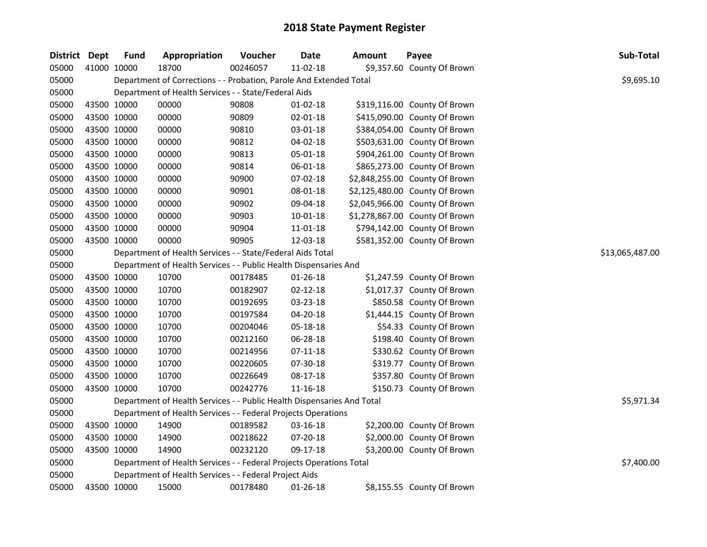| District Dept |             | <b>Fund</b> | Appropriation                                                          | Voucher  | <b>Date</b>    | <b>Amount</b> | Payee                          | Sub-Total       |
|---------------|-------------|-------------|------------------------------------------------------------------------|----------|----------------|---------------|--------------------------------|-----------------|
| 05000         | 41000 10000 |             | 18700                                                                  | 00246057 | 11-02-18       |               | \$9,357.60 County Of Brown     |                 |
| 05000         |             |             | Department of Corrections - - Probation, Parole And Extended Total     |          |                |               |                                | \$9,695.10      |
| 05000         |             |             | Department of Health Services - - State/Federal Aids                   |          |                |               |                                |                 |
| 05000         | 43500 10000 |             | 00000                                                                  | 90808    | $01 - 02 - 18$ |               | \$319,116.00 County Of Brown   |                 |
| 05000         | 43500 10000 |             | 00000                                                                  | 90809    | 02-01-18       |               | \$415,090.00 County Of Brown   |                 |
| 05000         | 43500 10000 |             | 00000                                                                  | 90810    | 03-01-18       |               | \$384,054.00 County Of Brown   |                 |
| 05000         | 43500 10000 |             | 00000                                                                  | 90812    | 04-02-18       |               | \$503,631.00 County Of Brown   |                 |
| 05000         | 43500 10000 |             | 00000                                                                  | 90813    | 05-01-18       |               | \$904,261.00 County Of Brown   |                 |
| 05000         | 43500 10000 |             | 00000                                                                  | 90814    | 06-01-18       |               | \$865,273.00 County Of Brown   |                 |
| 05000         | 43500 10000 |             | 00000                                                                  | 90900    | 07-02-18       |               | \$2,848,255.00 County Of Brown |                 |
| 05000         | 43500 10000 |             | 00000                                                                  | 90901    | 08-01-18       |               | \$2,125,480.00 County Of Brown |                 |
| 05000         | 43500 10000 |             | 00000                                                                  | 90902    | 09-04-18       |               | \$2,045,966.00 County Of Brown |                 |
| 05000         | 43500 10000 |             | 00000                                                                  | 90903    | 10-01-18       |               | \$1,278,867.00 County Of Brown |                 |
| 05000         | 43500 10000 |             | 00000                                                                  | 90904    | 11-01-18       |               | \$794,142.00 County Of Brown   |                 |
| 05000         | 43500 10000 |             | 00000                                                                  | 90905    | 12-03-18       |               | \$581,352.00 County Of Brown   |                 |
| 05000         |             |             | Department of Health Services - - State/Federal Aids Total             |          |                |               |                                | \$13,065,487.00 |
| 05000         |             |             | Department of Health Services - - Public Health Dispensaries And       |          |                |               |                                |                 |
| 05000         | 43500 10000 |             | 10700                                                                  | 00178485 | 01-26-18       |               | \$1,247.59 County Of Brown     |                 |
| 05000         | 43500 10000 |             | 10700                                                                  | 00182907 | $02 - 12 - 18$ |               | \$1,017.37 County Of Brown     |                 |
| 05000         | 43500 10000 |             | 10700                                                                  | 00192695 | 03-23-18       |               | \$850.58 County Of Brown       |                 |
| 05000         | 43500 10000 |             | 10700                                                                  | 00197584 | 04-20-18       |               | \$1,444.15 County Of Brown     |                 |
| 05000         | 43500 10000 |             | 10700                                                                  | 00204046 | 05-18-18       |               | \$54.33 County Of Brown        |                 |
| 05000         | 43500 10000 |             | 10700                                                                  | 00212160 | 06-28-18       |               | \$198.40 County Of Brown       |                 |
| 05000         | 43500 10000 |             | 10700                                                                  | 00214956 | $07 - 11 - 18$ |               | \$330.62 County Of Brown       |                 |
| 05000         | 43500 10000 |             | 10700                                                                  | 00220605 | 07-30-18       |               | \$319.77 County Of Brown       |                 |
| 05000         | 43500 10000 |             | 10700                                                                  | 00226649 | 08-17-18       |               | \$357.80 County Of Brown       |                 |
| 05000         | 43500 10000 |             | 10700                                                                  | 00242776 | 11-16-18       |               | \$150.73 County Of Brown       |                 |
| 05000         |             |             | Department of Health Services - - Public Health Dispensaries And Total |          |                |               |                                | \$5,971.34      |
| 05000         |             |             | Department of Health Services - - Federal Projects Operations          |          |                |               |                                |                 |
| 05000         | 43500 10000 |             | 14900                                                                  | 00189582 | 03-16-18       |               | \$2,200.00 County Of Brown     |                 |
| 05000         | 43500 10000 |             | 14900                                                                  | 00218622 | 07-20-18       |               | \$2,000.00 County Of Brown     |                 |
| 05000         | 43500 10000 |             | 14900                                                                  | 00232120 | 09-17-18       |               | \$3,200.00 County Of Brown     |                 |
| 05000         |             |             | Department of Health Services - - Federal Projects Operations Total    |          |                |               |                                | \$7,400.00      |
| 05000         |             |             | Department of Health Services - - Federal Project Aids                 |          |                |               |                                |                 |
| 05000         | 43500 10000 |             | 15000                                                                  | 00178480 | 01-26-18       |               | \$8,155.55 County Of Brown     |                 |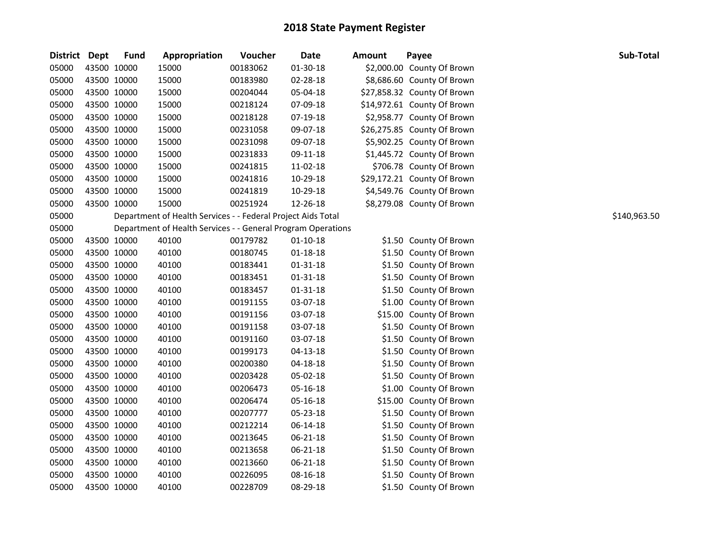| <b>District</b> | Dept        | <b>Fund</b> | Appropriation                                                | Voucher  | <b>Date</b>    | <b>Amount</b> | Payee                       | Sub-Total    |
|-----------------|-------------|-------------|--------------------------------------------------------------|----------|----------------|---------------|-----------------------------|--------------|
| 05000           | 43500 10000 |             | 15000                                                        | 00183062 | $01 - 30 - 18$ |               | \$2,000.00 County Of Brown  |              |
| 05000           | 43500 10000 |             | 15000                                                        | 00183980 | 02-28-18       |               | \$8,686.60 County Of Brown  |              |
| 05000           | 43500 10000 |             | 15000                                                        | 00204044 | 05-04-18       |               | \$27,858.32 County Of Brown |              |
| 05000           | 43500 10000 |             | 15000                                                        | 00218124 | 07-09-18       |               | \$14,972.61 County Of Brown |              |
| 05000           | 43500 10000 |             | 15000                                                        | 00218128 | 07-19-18       |               | \$2,958.77 County Of Brown  |              |
| 05000           | 43500 10000 |             | 15000                                                        | 00231058 | 09-07-18       |               | \$26,275.85 County Of Brown |              |
| 05000           | 43500 10000 |             | 15000                                                        | 00231098 | 09-07-18       |               | \$5,902.25 County Of Brown  |              |
| 05000           | 43500 10000 |             | 15000                                                        | 00231833 | 09-11-18       |               | \$1,445.72 County Of Brown  |              |
| 05000           | 43500 10000 |             | 15000                                                        | 00241815 | 11-02-18       |               | \$706.78 County Of Brown    |              |
| 05000           | 43500 10000 |             | 15000                                                        | 00241816 | 10-29-18       |               | \$29,172.21 County Of Brown |              |
| 05000           | 43500 10000 |             | 15000                                                        | 00241819 | 10-29-18       |               | \$4,549.76 County Of Brown  |              |
| 05000           | 43500 10000 |             | 15000                                                        | 00251924 | 12-26-18       |               | \$8,279.08 County Of Brown  |              |
| 05000           |             |             | Department of Health Services - - Federal Project Aids Total |          |                |               |                             | \$140,963.50 |
| 05000           |             |             | Department of Health Services - - General Program Operations |          |                |               |                             |              |
| 05000           | 43500 10000 |             | 40100                                                        | 00179782 | $01 - 10 - 18$ |               | \$1.50 County Of Brown      |              |
| 05000           | 43500 10000 |             | 40100                                                        | 00180745 | $01 - 18 - 18$ |               | \$1.50 County Of Brown      |              |
| 05000           | 43500 10000 |             | 40100                                                        | 00183441 | $01 - 31 - 18$ |               | \$1.50 County Of Brown      |              |
| 05000           | 43500 10000 |             | 40100                                                        | 00183451 | $01 - 31 - 18$ |               | \$1.50 County Of Brown      |              |
| 05000           | 43500 10000 |             | 40100                                                        | 00183457 | $01 - 31 - 18$ |               | \$1.50 County Of Brown      |              |
| 05000           | 43500 10000 |             | 40100                                                        | 00191155 | 03-07-18       |               | \$1.00 County Of Brown      |              |
| 05000           | 43500 10000 |             | 40100                                                        | 00191156 | 03-07-18       |               | \$15.00 County Of Brown     |              |
| 05000           | 43500 10000 |             | 40100                                                        | 00191158 | 03-07-18       |               | \$1.50 County Of Brown      |              |
| 05000           | 43500 10000 |             | 40100                                                        | 00191160 | 03-07-18       |               | \$1.50 County Of Brown      |              |
| 05000           | 43500 10000 |             | 40100                                                        | 00199173 | 04-13-18       |               | \$1.50 County Of Brown      |              |
| 05000           | 43500 10000 |             | 40100                                                        | 00200380 | 04-18-18       |               | \$1.50 County Of Brown      |              |
| 05000           | 43500 10000 |             | 40100                                                        | 00203428 | 05-02-18       |               | \$1.50 County Of Brown      |              |
| 05000           | 43500 10000 |             | 40100                                                        | 00206473 | 05-16-18       |               | \$1.00 County Of Brown      |              |
| 05000           | 43500 10000 |             | 40100                                                        | 00206474 | 05-16-18       |               | \$15.00 County Of Brown     |              |
| 05000           | 43500 10000 |             | 40100                                                        | 00207777 | 05-23-18       |               | \$1.50 County Of Brown      |              |
| 05000           | 43500 10000 |             | 40100                                                        | 00212214 | 06-14-18       |               | \$1.50 County Of Brown      |              |
| 05000           | 43500 10000 |             | 40100                                                        | 00213645 | 06-21-18       |               | \$1.50 County Of Brown      |              |
| 05000           | 43500 10000 |             | 40100                                                        | 00213658 | 06-21-18       |               | \$1.50 County Of Brown      |              |
| 05000           | 43500 10000 |             | 40100                                                        | 00213660 | 06-21-18       |               | \$1.50 County Of Brown      |              |
| 05000           | 43500 10000 |             | 40100                                                        | 00226095 | 08-16-18       |               | \$1.50 County Of Brown      |              |
| 05000           | 43500 10000 |             | 40100                                                        | 00228709 | 08-29-18       |               | \$1.50 County Of Brown      |              |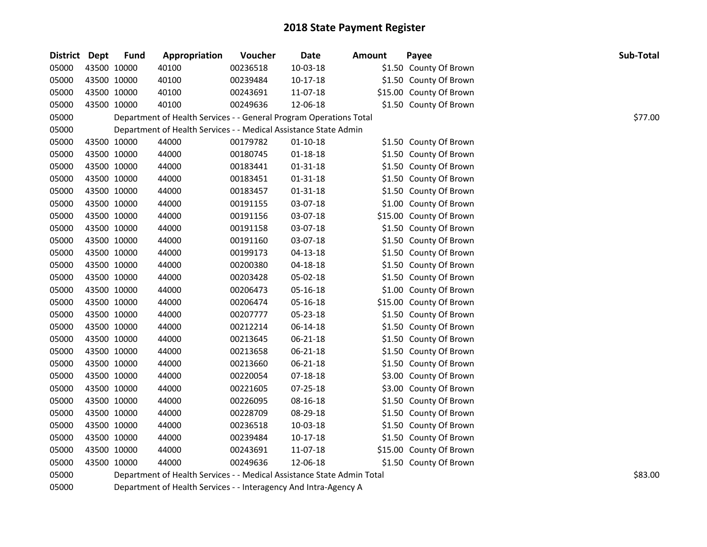| District Dept |             | <b>Fund</b> | Appropriation                                                      | Voucher  | <b>Date</b>    | <b>Amount</b> | Payee                   | Sub-Total |
|---------------|-------------|-------------|--------------------------------------------------------------------|----------|----------------|---------------|-------------------------|-----------|
| 05000         | 43500 10000 |             | 40100                                                              | 00236518 | 10-03-18       |               | \$1.50 County Of Brown  |           |
| 05000         |             | 43500 10000 | 40100                                                              | 00239484 | $10-17-18$     |               | \$1.50 County Of Brown  |           |
| 05000         | 43500 10000 |             | 40100                                                              | 00243691 | 11-07-18       |               | \$15.00 County Of Brown |           |
| 05000         | 43500 10000 |             | 40100                                                              | 00249636 | 12-06-18       |               | \$1.50 County Of Brown  |           |
| 05000         |             |             | Department of Health Services - - General Program Operations Total |          |                |               |                         | \$77.00   |
| 05000         |             |             | Department of Health Services - - Medical Assistance State Admin   |          |                |               |                         |           |
| 05000         |             | 43500 10000 | 44000                                                              | 00179782 | $01 - 10 - 18$ |               | \$1.50 County Of Brown  |           |
| 05000         |             | 43500 10000 | 44000                                                              | 00180745 | 01-18-18       |               | \$1.50 County Of Brown  |           |
| 05000         |             | 43500 10000 | 44000                                                              | 00183441 | 01-31-18       |               | \$1.50 County Of Brown  |           |
| 05000         | 43500 10000 |             | 44000                                                              | 00183451 | $01 - 31 - 18$ |               | \$1.50 County Of Brown  |           |
| 05000         | 43500 10000 |             | 44000                                                              | 00183457 | $01 - 31 - 18$ |               | \$1.50 County Of Brown  |           |
| 05000         | 43500 10000 |             | 44000                                                              | 00191155 | 03-07-18       |               | \$1.00 County Of Brown  |           |
| 05000         | 43500 10000 |             | 44000                                                              | 00191156 | 03-07-18       |               | \$15.00 County Of Brown |           |
| 05000         |             | 43500 10000 | 44000                                                              | 00191158 | 03-07-18       |               | \$1.50 County Of Brown  |           |
| 05000         | 43500 10000 |             | 44000                                                              | 00191160 | 03-07-18       |               | \$1.50 County Of Brown  |           |
| 05000         | 43500 10000 |             | 44000                                                              | 00199173 | $04-13-18$     |               | \$1.50 County Of Brown  |           |
| 05000         | 43500 10000 |             | 44000                                                              | 00200380 | 04-18-18       |               | \$1.50 County Of Brown  |           |
| 05000         | 43500 10000 |             | 44000                                                              | 00203428 | 05-02-18       |               | \$1.50 County Of Brown  |           |
| 05000         |             | 43500 10000 | 44000                                                              | 00206473 | 05-16-18       |               | \$1.00 County Of Brown  |           |
| 05000         |             | 43500 10000 | 44000                                                              | 00206474 | 05-16-18       |               | \$15.00 County Of Brown |           |
| 05000         | 43500 10000 |             | 44000                                                              | 00207777 | 05-23-18       |               | \$1.50 County Of Brown  |           |
| 05000         | 43500 10000 |             | 44000                                                              | 00212214 | 06-14-18       |               | \$1.50 County Of Brown  |           |
| 05000         | 43500 10000 |             | 44000                                                              | 00213645 | 06-21-18       |               | \$1.50 County Of Brown  |           |
| 05000         | 43500 10000 |             | 44000                                                              | 00213658 | 06-21-18       |               | \$1.50 County Of Brown  |           |
| 05000         |             | 43500 10000 | 44000                                                              | 00213660 | 06-21-18       |               | \$1.50 County Of Brown  |           |
| 05000         | 43500 10000 |             | 44000                                                              | 00220054 | 07-18-18       |               | \$3.00 County Of Brown  |           |
| 05000         | 43500 10000 |             | 44000                                                              | 00221605 | 07-25-18       |               | \$3.00 County Of Brown  |           |
| 05000         | 43500 10000 |             | 44000                                                              | 00226095 | 08-16-18       |               | \$1.50 County Of Brown  |           |
| 05000         | 43500 10000 |             | 44000                                                              | 00228709 | 08-29-18       |               | \$1.50 County Of Brown  |           |
| 05000         | 43500 10000 |             | 44000                                                              | 00236518 | 10-03-18       |               | \$1.50 County Of Brown  |           |
| 05000         |             | 43500 10000 | 44000                                                              | 00239484 | $10-17-18$     |               | \$1.50 County Of Brown  |           |
| 05000         | 43500 10000 |             | 44000                                                              | 00243691 | 11-07-18       |               | \$15.00 County Of Brown |           |
| 05000         | 43500 10000 |             | 44000                                                              | 00249636 | 12-06-18       |               | \$1.50 County Of Brown  |           |
| -----         |             |             |                                                                    |          |                |               |                         | $\lambda$ |

05000 Department of Health Services - - Medical Assistance State Admin Total \$83.00 Department of Health Services - - Medical Assistance State Admin Total

Department of Health Services - - Interagency And Intra-Agency A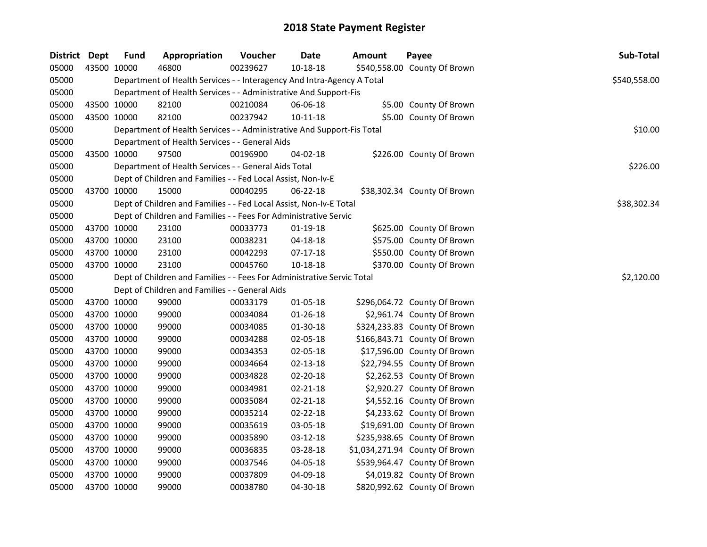| <b>District Dept</b> |             | <b>Fund</b> | Appropriation                                                          | Voucher  | <b>Date</b>    | <b>Amount</b> | Payee                          | Sub-Total    |
|----------------------|-------------|-------------|------------------------------------------------------------------------|----------|----------------|---------------|--------------------------------|--------------|
| 05000                | 43500 10000 |             | 46800                                                                  | 00239627 | 10-18-18       |               | \$540,558.00 County Of Brown   |              |
| 05000                |             |             | Department of Health Services - - Interagency And Intra-Agency A Total |          |                |               |                                | \$540,558.00 |
| 05000                |             |             | Department of Health Services - - Administrative And Support-Fis       |          |                |               |                                |              |
| 05000                | 43500 10000 |             | 82100                                                                  | 00210084 | 06-06-18       |               | \$5.00 County Of Brown         |              |
| 05000                | 43500 10000 |             | 82100                                                                  | 00237942 | $10 - 11 - 18$ |               | \$5.00 County Of Brown         |              |
| 05000                |             |             | Department of Health Services - - Administrative And Support-Fis Total |          |                |               |                                | \$10.00      |
| 05000                |             |             | Department of Health Services - - General Aids                         |          |                |               |                                |              |
| 05000                | 43500 10000 |             | 97500                                                                  | 00196900 | 04-02-18       |               | \$226.00 County Of Brown       |              |
| 05000                |             |             | Department of Health Services - - General Aids Total                   |          |                |               |                                | \$226.00     |
| 05000                |             |             | Dept of Children and Families - - Fed Local Assist, Non-Iv-E           |          |                |               |                                |              |
| 05000                | 43700 10000 |             | 15000                                                                  | 00040295 | 06-22-18       |               | \$38,302.34 County Of Brown    |              |
| 05000                |             |             | Dept of Children and Families - - Fed Local Assist, Non-Iv-E Total     |          |                |               |                                | \$38,302.34  |
| 05000                |             |             | Dept of Children and Families - - Fees For Administrative Servic       |          |                |               |                                |              |
| 05000                | 43700 10000 |             | 23100                                                                  | 00033773 | $01-19-18$     |               | \$625.00 County Of Brown       |              |
| 05000                | 43700 10000 |             | 23100                                                                  | 00038231 | 04-18-18       |               | \$575.00 County Of Brown       |              |
| 05000                | 43700 10000 |             | 23100                                                                  | 00042293 | 07-17-18       |               | \$550.00 County Of Brown       |              |
| 05000                | 43700 10000 |             | 23100                                                                  | 00045760 | 10-18-18       |               | \$370.00 County Of Brown       |              |
| 05000                |             |             | Dept of Children and Families - - Fees For Administrative Servic Total |          |                |               |                                | \$2,120.00   |
| 05000                |             |             | Dept of Children and Families - - General Aids                         |          |                |               |                                |              |
| 05000                | 43700 10000 |             | 99000                                                                  | 00033179 | 01-05-18       |               | \$296,064.72 County Of Brown   |              |
| 05000                | 43700 10000 |             | 99000                                                                  | 00034084 | $01 - 26 - 18$ |               | \$2,961.74 County Of Brown     |              |
| 05000                | 43700 10000 |             | 99000                                                                  | 00034085 | 01-30-18       |               | \$324,233.83 County Of Brown   |              |
| 05000                | 43700 10000 |             | 99000                                                                  | 00034288 | 02-05-18       |               | \$166,843.71 County Of Brown   |              |
| 05000                | 43700 10000 |             | 99000                                                                  | 00034353 | 02-05-18       |               | \$17,596.00 County Of Brown    |              |
| 05000                | 43700 10000 |             | 99000                                                                  | 00034664 | 02-13-18       |               | \$22,794.55 County Of Brown    |              |
| 05000                | 43700 10000 |             | 99000                                                                  | 00034828 | $02 - 20 - 18$ |               | \$2,262.53 County Of Brown     |              |
| 05000                | 43700 10000 |             | 99000                                                                  | 00034981 | 02-21-18       |               | \$2,920.27 County Of Brown     |              |
| 05000                | 43700 10000 |             | 99000                                                                  | 00035084 | $02 - 21 - 18$ |               | \$4,552.16 County Of Brown     |              |
| 05000                | 43700 10000 |             | 99000                                                                  | 00035214 | 02-22-18       |               | \$4,233.62 County Of Brown     |              |
| 05000                | 43700 10000 |             | 99000                                                                  | 00035619 | 03-05-18       |               | \$19,691.00 County Of Brown    |              |
| 05000                | 43700 10000 |             | 99000                                                                  | 00035890 | 03-12-18       |               | \$235,938.65 County Of Brown   |              |
| 05000                | 43700 10000 |             | 99000                                                                  | 00036835 | 03-28-18       |               | \$1,034,271.94 County Of Brown |              |
| 05000                | 43700 10000 |             | 99000                                                                  | 00037546 | 04-05-18       |               | \$539,964.47 County Of Brown   |              |
| 05000                | 43700 10000 |             | 99000                                                                  | 00037809 | 04-09-18       |               | \$4,019.82 County Of Brown     |              |
| 05000                | 43700 10000 |             | 99000                                                                  | 00038780 | 04-30-18       |               | \$820,992.62 County Of Brown   |              |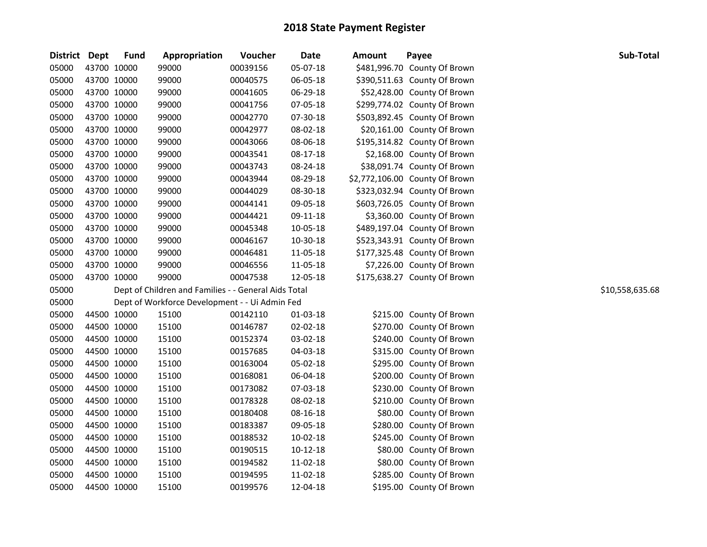| District Dept |             | <b>Fund</b> | Appropriation                                        | Voucher  | <b>Date</b> | Amount | Payee                          | Sub-Total       |
|---------------|-------------|-------------|------------------------------------------------------|----------|-------------|--------|--------------------------------|-----------------|
| 05000         | 43700 10000 |             | 99000                                                | 00039156 | 05-07-18    |        | \$481,996.70 County Of Brown   |                 |
| 05000         | 43700 10000 |             | 99000                                                | 00040575 | 06-05-18    |        | \$390,511.63 County Of Brown   |                 |
| 05000         | 43700 10000 |             | 99000                                                | 00041605 | 06-29-18    |        | \$52,428.00 County Of Brown    |                 |
| 05000         | 43700 10000 |             | 99000                                                | 00041756 | 07-05-18    |        | \$299,774.02 County Of Brown   |                 |
| 05000         | 43700 10000 |             | 99000                                                | 00042770 | 07-30-18    |        | \$503,892.45 County Of Brown   |                 |
| 05000         | 43700 10000 |             | 99000                                                | 00042977 | 08-02-18    |        | \$20,161.00 County Of Brown    |                 |
| 05000         | 43700 10000 |             | 99000                                                | 00043066 | 08-06-18    |        | \$195,314.82 County Of Brown   |                 |
| 05000         | 43700 10000 |             | 99000                                                | 00043541 | 08-17-18    |        | \$2,168.00 County Of Brown     |                 |
| 05000         | 43700 10000 |             | 99000                                                | 00043743 | 08-24-18    |        | \$38,091.74 County Of Brown    |                 |
| 05000         | 43700 10000 |             | 99000                                                | 00043944 | 08-29-18    |        | \$2,772,106.00 County Of Brown |                 |
| 05000         | 43700 10000 |             | 99000                                                | 00044029 | 08-30-18    |        | \$323,032.94 County Of Brown   |                 |
| 05000         | 43700 10000 |             | 99000                                                | 00044141 | 09-05-18    |        | \$603,726.05 County Of Brown   |                 |
| 05000         | 43700 10000 |             | 99000                                                | 00044421 | 09-11-18    |        | \$3,360.00 County Of Brown     |                 |
| 05000         | 43700 10000 |             | 99000                                                | 00045348 | 10-05-18    |        | \$489,197.04 County Of Brown   |                 |
| 05000         | 43700 10000 |             | 99000                                                | 00046167 | 10-30-18    |        | \$523,343.91 County Of Brown   |                 |
| 05000         | 43700 10000 |             | 99000                                                | 00046481 | 11-05-18    |        | \$177,325.48 County Of Brown   |                 |
| 05000         | 43700 10000 |             | 99000                                                | 00046556 | 11-05-18    |        | \$7,226.00 County Of Brown     |                 |
| 05000         | 43700 10000 |             | 99000                                                | 00047538 | 12-05-18    |        | \$175,638.27 County Of Brown   |                 |
| 05000         |             |             | Dept of Children and Families - - General Aids Total |          |             |        |                                | \$10,558,635.68 |
| 05000         |             |             | Dept of Workforce Development - - Ui Admin Fed       |          |             |        |                                |                 |
| 05000         | 44500 10000 |             | 15100                                                | 00142110 | 01-03-18    |        | \$215.00 County Of Brown       |                 |
| 05000         | 44500 10000 |             | 15100                                                | 00146787 | 02-02-18    |        | \$270.00 County Of Brown       |                 |
| 05000         | 44500 10000 |             | 15100                                                | 00152374 | 03-02-18    |        | \$240.00 County Of Brown       |                 |
| 05000         | 44500 10000 |             | 15100                                                | 00157685 | 04-03-18    |        | \$315.00 County Of Brown       |                 |
| 05000         | 44500 10000 |             | 15100                                                | 00163004 | 05-02-18    |        | \$295.00 County Of Brown       |                 |
| 05000         | 44500 10000 |             | 15100                                                | 00168081 | 06-04-18    |        | \$200.00 County Of Brown       |                 |
| 05000         | 44500 10000 |             | 15100                                                | 00173082 | 07-03-18    |        | \$230.00 County Of Brown       |                 |
| 05000         | 44500 10000 |             | 15100                                                | 00178328 | 08-02-18    |        | \$210.00 County Of Brown       |                 |
| 05000         | 44500 10000 |             | 15100                                                | 00180408 | 08-16-18    |        | \$80.00 County Of Brown        |                 |
| 05000         | 44500 10000 |             | 15100                                                | 00183387 | 09-05-18    |        | \$280.00 County Of Brown       |                 |
| 05000         | 44500 10000 |             | 15100                                                | 00188532 | 10-02-18    |        | \$245.00 County Of Brown       |                 |
| 05000         | 44500 10000 |             | 15100                                                | 00190515 | 10-12-18    |        | \$80.00 County Of Brown        |                 |
| 05000         | 44500 10000 |             | 15100                                                | 00194582 | 11-02-18    |        | \$80.00 County Of Brown        |                 |
| 05000         | 44500 10000 |             | 15100                                                | 00194595 | 11-02-18    |        | \$285.00 County Of Brown       |                 |
| 05000         | 44500 10000 |             | 15100                                                | 00199576 | 12-04-18    |        | \$195.00 County Of Brown       |                 |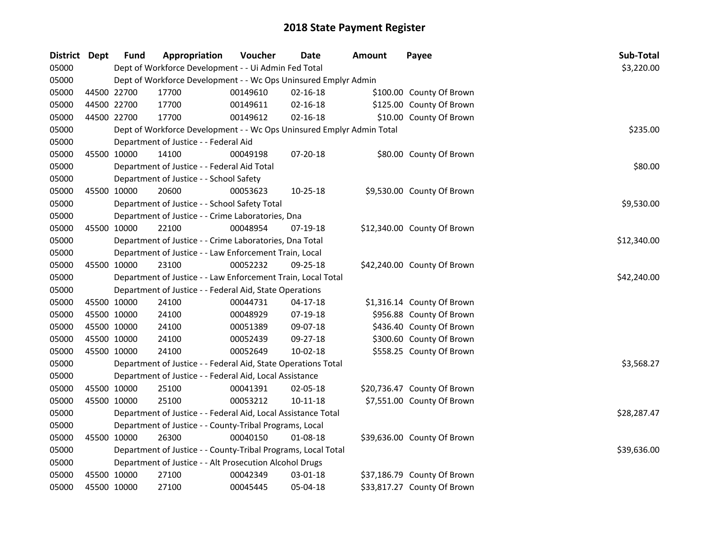| District Dept |             | <b>Fund</b> | Appropriation                                                         | Voucher  | <b>Date</b>    | <b>Amount</b> | Payee                       | Sub-Total   |
|---------------|-------------|-------------|-----------------------------------------------------------------------|----------|----------------|---------------|-----------------------------|-------------|
| 05000         |             |             | Dept of Workforce Development - - Ui Admin Fed Total                  |          |                |               |                             | \$3,220.00  |
| 05000         |             |             | Dept of Workforce Development - - Wc Ops Uninsured Emplyr Admin       |          |                |               |                             |             |
| 05000         | 44500 22700 |             | 17700                                                                 | 00149610 | $02 - 16 - 18$ |               | \$100.00 County Of Brown    |             |
| 05000         |             | 44500 22700 | 17700                                                                 | 00149611 | 02-16-18       |               | \$125.00 County Of Brown    |             |
| 05000         | 44500 22700 |             | 17700                                                                 | 00149612 | $02 - 16 - 18$ |               | \$10.00 County Of Brown     |             |
| 05000         |             |             | Dept of Workforce Development - - Wc Ops Uninsured Emplyr Admin Total |          |                |               |                             | \$235.00    |
| 05000         |             |             | Department of Justice - - Federal Aid                                 |          |                |               |                             |             |
| 05000         | 45500 10000 |             | 14100                                                                 | 00049198 | 07-20-18       |               | \$80.00 County Of Brown     |             |
| 05000         |             |             | Department of Justice - - Federal Aid Total                           |          |                |               |                             | \$80.00     |
| 05000         |             |             | Department of Justice - - School Safety                               |          |                |               |                             |             |
| 05000         |             | 45500 10000 | 20600                                                                 | 00053623 | $10-25-18$     |               | \$9,530.00 County Of Brown  |             |
| 05000         |             |             | Department of Justice - - School Safety Total                         |          |                |               |                             | \$9,530.00  |
| 05000         |             |             | Department of Justice - - Crime Laboratories, Dna                     |          |                |               |                             |             |
| 05000         | 45500 10000 |             | 22100                                                                 | 00048954 | 07-19-18       |               | \$12,340.00 County Of Brown |             |
| 05000         |             |             | Department of Justice - - Crime Laboratories, Dna Total               |          |                |               |                             | \$12,340.00 |
| 05000         |             |             | Department of Justice - - Law Enforcement Train, Local                |          |                |               |                             |             |
| 05000         | 45500 10000 |             | 23100                                                                 | 00052232 | 09-25-18       |               | \$42,240.00 County Of Brown |             |
| 05000         |             |             | Department of Justice - - Law Enforcement Train, Local Total          |          |                |               |                             | \$42,240.00 |
| 05000         |             |             | Department of Justice - - Federal Aid, State Operations               |          |                |               |                             |             |
| 05000         | 45500 10000 |             | 24100                                                                 | 00044731 | $04 - 17 - 18$ |               | \$1,316.14 County Of Brown  |             |
| 05000         | 45500 10000 |             | 24100                                                                 | 00048929 | 07-19-18       |               | \$956.88 County Of Brown    |             |
| 05000         | 45500 10000 |             | 24100                                                                 | 00051389 | 09-07-18       |               | \$436.40 County Of Brown    |             |
| 05000         | 45500 10000 |             | 24100                                                                 | 00052439 | 09-27-18       |               | \$300.60 County Of Brown    |             |
| 05000         | 45500 10000 |             | 24100                                                                 | 00052649 | $10-02-18$     |               | \$558.25 County Of Brown    |             |
| 05000         |             |             | Department of Justice - - Federal Aid, State Operations Total         |          |                |               |                             | \$3,568.27  |
| 05000         |             |             | Department of Justice - - Federal Aid, Local Assistance               |          |                |               |                             |             |
| 05000         | 45500 10000 |             | 25100                                                                 | 00041391 | 02-05-18       |               | \$20,736.47 County Of Brown |             |
| 05000         | 45500 10000 |             | 25100                                                                 | 00053212 | $10 - 11 - 18$ |               | \$7,551.00 County Of Brown  |             |
| 05000         |             |             | Department of Justice - - Federal Aid, Local Assistance Total         |          |                |               |                             | \$28,287.47 |
| 05000         |             |             | Department of Justice - - County-Tribal Programs, Local               |          |                |               |                             |             |
| 05000         | 45500 10000 |             | 26300                                                                 | 00040150 | 01-08-18       |               | \$39,636.00 County Of Brown |             |
| 05000         |             |             | Department of Justice - - County-Tribal Programs, Local Total         |          |                |               |                             | \$39,636.00 |
| 05000         |             |             | Department of Justice - - Alt Prosecution Alcohol Drugs               |          |                |               |                             |             |
| 05000         | 45500 10000 |             | 27100                                                                 | 00042349 | 03-01-18       |               | \$37,186.79 County Of Brown |             |
| 05000         | 45500 10000 |             | 27100                                                                 | 00045445 | 05-04-18       |               | \$33,817.27 County Of Brown |             |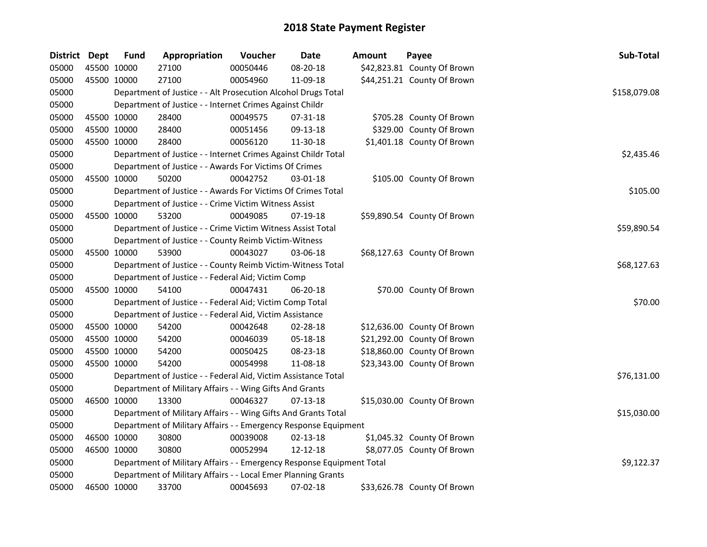| District Dept |             | Fund        | Appropriation                                                         | Voucher  | Date           | Amount | Payee                       | Sub-Total    |
|---------------|-------------|-------------|-----------------------------------------------------------------------|----------|----------------|--------|-----------------------------|--------------|
| 05000         |             | 45500 10000 | 27100                                                                 | 00050446 | 08-20-18       |        | \$42,823.81 County Of Brown |              |
| 05000         |             | 45500 10000 | 27100                                                                 | 00054960 | 11-09-18       |        | \$44,251.21 County Of Brown |              |
| 05000         |             |             | Department of Justice - - Alt Prosecution Alcohol Drugs Total         |          |                |        |                             | \$158,079.08 |
| 05000         |             |             | Department of Justice - - Internet Crimes Against Childr              |          |                |        |                             |              |
| 05000         |             | 45500 10000 | 28400                                                                 | 00049575 | 07-31-18       |        | \$705.28 County Of Brown    |              |
| 05000         | 45500 10000 |             | 28400                                                                 | 00051456 | 09-13-18       |        | \$329.00 County Of Brown    |              |
| 05000         |             | 45500 10000 | 28400                                                                 | 00056120 | 11-30-18       |        | \$1,401.18 County Of Brown  |              |
| 05000         |             |             | Department of Justice - - Internet Crimes Against Childr Total        |          |                |        |                             | \$2,435.46   |
| 05000         |             |             | Department of Justice - - Awards For Victims Of Crimes                |          |                |        |                             |              |
| 05000         |             | 45500 10000 | 50200                                                                 | 00042752 | 03-01-18       |        | \$105.00 County Of Brown    |              |
| 05000         |             |             | Department of Justice - - Awards For Victims Of Crimes Total          |          |                |        |                             | \$105.00     |
| 05000         |             |             | Department of Justice - - Crime Victim Witness Assist                 |          |                |        |                             |              |
| 05000         |             | 45500 10000 | 53200                                                                 | 00049085 | 07-19-18       |        | \$59,890.54 County Of Brown |              |
| 05000         |             |             | Department of Justice - - Crime Victim Witness Assist Total           |          |                |        |                             | \$59,890.54  |
| 05000         |             |             | Department of Justice - - County Reimb Victim-Witness                 |          |                |        |                             |              |
| 05000         |             | 45500 10000 | 53900                                                                 | 00043027 | 03-06-18       |        | \$68,127.63 County Of Brown |              |
| 05000         |             |             | Department of Justice - - County Reimb Victim-Witness Total           |          |                |        |                             | \$68,127.63  |
| 05000         |             |             | Department of Justice - - Federal Aid; Victim Comp                    |          |                |        |                             |              |
| 05000         |             | 45500 10000 | 54100                                                                 | 00047431 | $06 - 20 - 18$ |        | \$70.00 County Of Brown     |              |
| 05000         |             |             | Department of Justice - - Federal Aid; Victim Comp Total              |          |                |        |                             | \$70.00      |
| 05000         |             |             | Department of Justice - - Federal Aid, Victim Assistance              |          |                |        |                             |              |
| 05000         | 45500 10000 |             | 54200                                                                 | 00042648 | 02-28-18       |        | \$12,636.00 County Of Brown |              |
| 05000         |             | 45500 10000 | 54200                                                                 | 00046039 | 05-18-18       |        | \$21,292.00 County Of Brown |              |
| 05000         |             | 45500 10000 | 54200                                                                 | 00050425 | 08-23-18       |        | \$18,860.00 County Of Brown |              |
| 05000         |             | 45500 10000 | 54200                                                                 | 00054998 | 11-08-18       |        | \$23,343.00 County Of Brown |              |
| 05000         |             |             | Department of Justice - - Federal Aid, Victim Assistance Total        |          |                |        |                             | \$76,131.00  |
| 05000         |             |             | Department of Military Affairs - - Wing Gifts And Grants              |          |                |        |                             |              |
| 05000         |             | 46500 10000 | 13300                                                                 | 00046327 | $07-13-18$     |        | \$15,030.00 County Of Brown |              |
| 05000         |             |             | Department of Military Affairs - - Wing Gifts And Grants Total        |          |                |        |                             | \$15,030.00  |
| 05000         |             |             | Department of Military Affairs - - Emergency Response Equipment       |          |                |        |                             |              |
| 05000         |             | 46500 10000 | 30800                                                                 | 00039008 | $02 - 13 - 18$ |        | \$1,045.32 County Of Brown  |              |
| 05000         |             | 46500 10000 | 30800                                                                 | 00052994 | $12 - 12 - 18$ |        | \$8,077.05 County Of Brown  |              |
| 05000         |             |             | Department of Military Affairs - - Emergency Response Equipment Total |          |                |        |                             | \$9,122.37   |
| 05000         |             |             | Department of Military Affairs - - Local Emer Planning Grants         |          |                |        |                             |              |
| 05000         |             | 46500 10000 | 33700                                                                 | 00045693 | 07-02-18       |        | \$33,626.78 County Of Brown |              |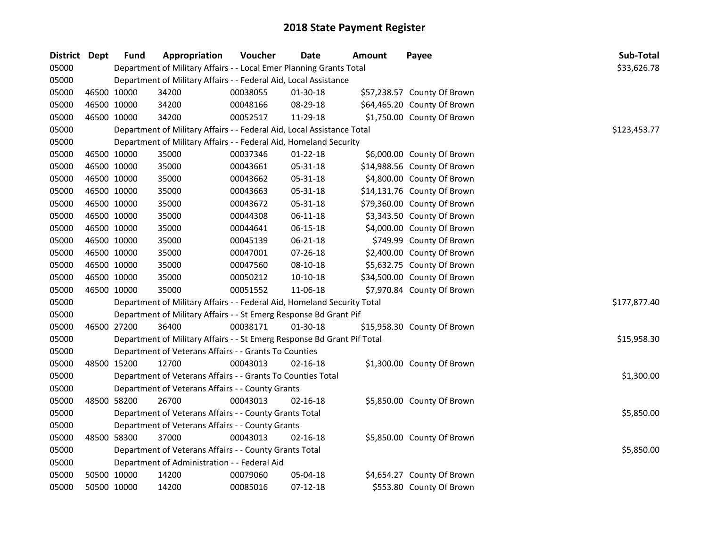| District Dept |             | <b>Fund</b> | Appropriation                                                           | Voucher  | Date           | <b>Amount</b> | Payee                       | Sub-Total    |
|---------------|-------------|-------------|-------------------------------------------------------------------------|----------|----------------|---------------|-----------------------------|--------------|
| 05000         |             |             | Department of Military Affairs - - Local Emer Planning Grants Total     |          |                |               |                             | \$33,626.78  |
| 05000         |             |             | Department of Military Affairs - - Federal Aid, Local Assistance        |          |                |               |                             |              |
| 05000         | 46500 10000 |             | 34200                                                                   | 00038055 | 01-30-18       |               | \$57,238.57 County Of Brown |              |
| 05000         | 46500 10000 |             | 34200                                                                   | 00048166 | 08-29-18       |               | \$64,465.20 County Of Brown |              |
| 05000         |             | 46500 10000 | 34200                                                                   | 00052517 | 11-29-18       |               | \$1,750.00 County Of Brown  |              |
| 05000         |             |             | Department of Military Affairs - - Federal Aid, Local Assistance Total  |          |                |               |                             | \$123,453.77 |
| 05000         |             |             | Department of Military Affairs - - Federal Aid, Homeland Security       |          |                |               |                             |              |
| 05000         | 46500 10000 |             | 35000                                                                   | 00037346 | $01 - 22 - 18$ |               | \$6,000.00 County Of Brown  |              |
| 05000         | 46500 10000 |             | 35000                                                                   | 00043661 | 05-31-18       |               | \$14,988.56 County Of Brown |              |
| 05000         | 46500 10000 |             | 35000                                                                   | 00043662 | 05-31-18       |               | \$4,800.00 County Of Brown  |              |
| 05000         | 46500 10000 |             | 35000                                                                   | 00043663 | 05-31-18       |               | \$14,131.76 County Of Brown |              |
| 05000         | 46500 10000 |             | 35000                                                                   | 00043672 | 05-31-18       |               | \$79,360.00 County Of Brown |              |
| 05000         | 46500 10000 |             | 35000                                                                   | 00044308 | 06-11-18       |               | \$3,343.50 County Of Brown  |              |
| 05000         | 46500 10000 |             | 35000                                                                   | 00044641 | 06-15-18       |               | \$4,000.00 County Of Brown  |              |
| 05000         | 46500 10000 |             | 35000                                                                   | 00045139 | 06-21-18       |               | \$749.99 County Of Brown    |              |
| 05000         | 46500 10000 |             | 35000                                                                   | 00047001 | 07-26-18       |               | \$2,400.00 County Of Brown  |              |
| 05000         | 46500 10000 |             | 35000                                                                   | 00047560 | 08-10-18       |               | \$5,632.75 County Of Brown  |              |
| 05000         | 46500 10000 |             | 35000                                                                   | 00050212 | $10-10-18$     |               | \$34,500.00 County Of Brown |              |
| 05000         |             | 46500 10000 | 35000                                                                   | 00051552 | 11-06-18       |               | \$7,970.84 County Of Brown  |              |
| 05000         |             |             | Department of Military Affairs - - Federal Aid, Homeland Security Total |          |                |               |                             | \$177,877.40 |
| 05000         |             |             | Department of Military Affairs - - St Emerg Response Bd Grant Pif       |          |                |               |                             |              |
| 05000         | 46500 27200 |             | 36400                                                                   | 00038171 | $01 - 30 - 18$ |               | \$15,958.30 County Of Brown |              |
| 05000         |             |             | Department of Military Affairs - - St Emerg Response Bd Grant Pif Total |          |                |               |                             | \$15,958.30  |
| 05000         |             |             | Department of Veterans Affairs - - Grants To Counties                   |          |                |               |                             |              |
| 05000         | 48500 15200 |             | 12700                                                                   | 00043013 | $02 - 16 - 18$ |               | \$1,300.00 County Of Brown  |              |
| 05000         |             |             | Department of Veterans Affairs - - Grants To Counties Total             |          |                |               |                             | \$1,300.00   |
| 05000         |             |             | Department of Veterans Affairs - - County Grants                        |          |                |               |                             |              |
| 05000         |             | 48500 58200 | 26700                                                                   | 00043013 | $02 - 16 - 18$ |               | \$5,850.00 County Of Brown  |              |
| 05000         |             |             | Department of Veterans Affairs - - County Grants Total                  |          |                |               |                             | \$5,850.00   |
| 05000         |             |             | Department of Veterans Affairs - - County Grants                        |          |                |               |                             |              |
| 05000         |             | 48500 58300 | 37000                                                                   | 00043013 | $02 - 16 - 18$ |               | \$5,850.00 County Of Brown  |              |
| 05000         |             |             | Department of Veterans Affairs - - County Grants Total                  |          |                |               |                             | \$5,850.00   |
| 05000         |             |             | Department of Administration - - Federal Aid                            |          |                |               |                             |              |
| 05000         |             | 50500 10000 | 14200                                                                   | 00079060 | 05-04-18       |               | \$4,654.27 County Of Brown  |              |
| 05000         | 50500 10000 |             | 14200                                                                   | 00085016 | 07-12-18       |               | \$553.80 County Of Brown    |              |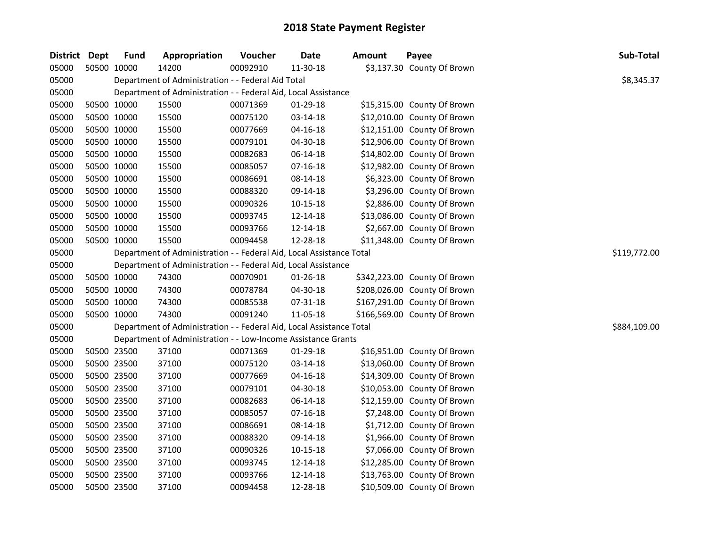| District Dept |             | <b>Fund</b> | Appropriation                                                        | Voucher  | <b>Date</b>    | <b>Amount</b> | Payee                        | Sub-Total    |  |
|---------------|-------------|-------------|----------------------------------------------------------------------|----------|----------------|---------------|------------------------------|--------------|--|
| 05000         | 50500 10000 |             | 14200                                                                | 00092910 | 11-30-18       |               | \$3,137.30 County Of Brown   |              |  |
| 05000         |             |             | Department of Administration - - Federal Aid Total                   |          |                |               |                              | \$8,345.37   |  |
| 05000         |             |             | Department of Administration - - Federal Aid, Local Assistance       |          |                |               |                              |              |  |
| 05000         | 50500 10000 |             | 15500                                                                | 00071369 | $01-29-18$     |               | \$15,315.00 County Of Brown  |              |  |
| 05000         | 50500 10000 |             | 15500                                                                | 00075120 | 03-14-18       |               | \$12,010.00 County Of Brown  |              |  |
| 05000         | 50500 10000 |             | 15500                                                                | 00077669 | 04-16-18       |               | \$12,151.00 County Of Brown  |              |  |
| 05000         | 50500 10000 |             | 15500                                                                | 00079101 | 04-30-18       |               | \$12,906.00 County Of Brown  |              |  |
| 05000         | 50500 10000 |             | 15500                                                                | 00082683 | 06-14-18       |               | \$14,802.00 County Of Brown  |              |  |
| 05000         | 50500 10000 |             | 15500                                                                | 00085057 | 07-16-18       |               | \$12,982.00 County Of Brown  |              |  |
| 05000         | 50500 10000 |             | 15500                                                                | 00086691 | 08-14-18       |               | \$6,323.00 County Of Brown   |              |  |
| 05000         | 50500 10000 |             | 15500                                                                | 00088320 | 09-14-18       |               | \$3,296.00 County Of Brown   |              |  |
| 05000         | 50500 10000 |             | 15500                                                                | 00090326 | 10-15-18       |               | \$2,886.00 County Of Brown   |              |  |
| 05000         | 50500 10000 |             | 15500                                                                | 00093745 | 12-14-18       |               | \$13,086.00 County Of Brown  |              |  |
| 05000         | 50500 10000 |             | 15500                                                                | 00093766 | 12-14-18       |               | \$2,667.00 County Of Brown   |              |  |
| 05000         | 50500 10000 |             | 15500                                                                | 00094458 | 12-28-18       |               | \$11,348.00 County Of Brown  |              |  |
| 05000         |             |             | Department of Administration - - Federal Aid, Local Assistance Total |          |                |               |                              | \$119,772.00 |  |
| 05000         |             |             | Department of Administration - - Federal Aid, Local Assistance       |          |                |               |                              |              |  |
| 05000         | 50500 10000 |             | 74300                                                                | 00070901 | $01 - 26 - 18$ |               | \$342,223.00 County Of Brown |              |  |
| 05000         | 50500 10000 |             | 74300                                                                | 00078784 | 04-30-18       |               | \$208,026.00 County Of Brown |              |  |
| 05000         | 50500 10000 |             | 74300                                                                | 00085538 | 07-31-18       |               | \$167,291.00 County Of Brown |              |  |
| 05000         | 50500 10000 |             | 74300                                                                | 00091240 | 11-05-18       |               | \$166,569.00 County Of Brown |              |  |
| 05000         |             |             | Department of Administration - - Federal Aid, Local Assistance Total |          |                |               |                              | \$884,109.00 |  |
| 05000         |             |             | Department of Administration - - Low-Income Assistance Grants        |          |                |               |                              |              |  |
| 05000         | 50500 23500 |             | 37100                                                                | 00071369 | 01-29-18       |               | \$16,951.00 County Of Brown  |              |  |
| 05000         | 50500 23500 |             | 37100                                                                | 00075120 | 03-14-18       |               | \$13,060.00 County Of Brown  |              |  |
| 05000         | 50500 23500 |             | 37100                                                                | 00077669 | $04 - 16 - 18$ |               | \$14,309.00 County Of Brown  |              |  |
| 05000         | 50500 23500 |             | 37100                                                                | 00079101 | 04-30-18       |               | \$10,053.00 County Of Brown  |              |  |
| 05000         | 50500 23500 |             | 37100                                                                | 00082683 | 06-14-18       |               | \$12,159.00 County Of Brown  |              |  |
| 05000         | 50500 23500 |             | 37100                                                                | 00085057 | 07-16-18       |               | \$7,248.00 County Of Brown   |              |  |
| 05000         | 50500 23500 |             | 37100                                                                | 00086691 | 08-14-18       |               | \$1,712.00 County Of Brown   |              |  |
| 05000         | 50500 23500 |             | 37100                                                                | 00088320 | 09-14-18       |               | \$1,966.00 County Of Brown   |              |  |
| 05000         | 50500 23500 |             | 37100                                                                | 00090326 | 10-15-18       |               | \$7,066.00 County Of Brown   |              |  |
| 05000         | 50500 23500 |             | 37100                                                                | 00093745 | 12-14-18       |               | \$12,285.00 County Of Brown  |              |  |
| 05000         | 50500 23500 |             | 37100                                                                | 00093766 | 12-14-18       |               | \$13,763.00 County Of Brown  |              |  |
| 05000         | 50500 23500 |             | 37100                                                                | 00094458 | 12-28-18       |               | \$10,509.00 County Of Brown  |              |  |
|               |             |             |                                                                      |          |                |               |                              |              |  |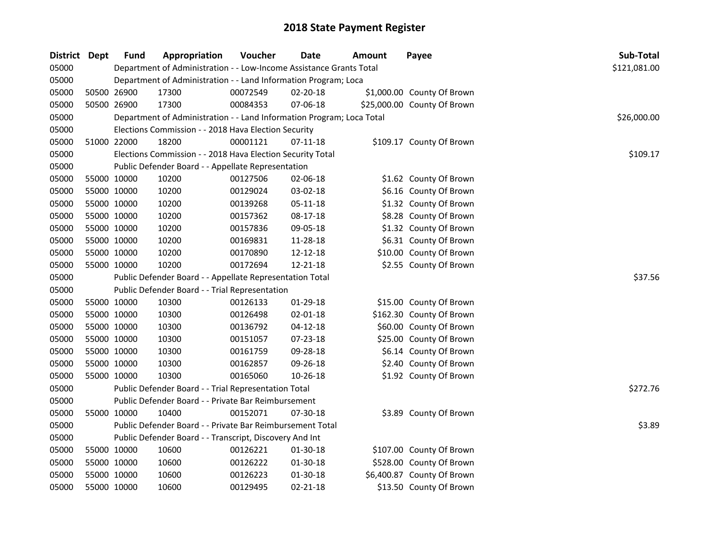| <b>District</b> | <b>Dept</b> | <b>Fund</b> | Appropriation                                                         | Voucher  | <b>Date</b>    | Amount | Payee                       | Sub-Total    |
|-----------------|-------------|-------------|-----------------------------------------------------------------------|----------|----------------|--------|-----------------------------|--------------|
| 05000           |             |             | Department of Administration - - Low-Income Assistance Grants Total   |          |                |        |                             | \$121,081.00 |
| 05000           |             |             | Department of Administration - - Land Information Program; Loca       |          |                |        |                             |              |
| 05000           |             | 50500 26900 | 17300                                                                 | 00072549 | 02-20-18       |        | \$1,000.00 County Of Brown  |              |
| 05000           | 50500 26900 |             | 17300                                                                 | 00084353 | 07-06-18       |        | \$25,000.00 County Of Brown |              |
| 05000           |             |             | Department of Administration - - Land Information Program; Loca Total |          |                |        |                             | \$26,000.00  |
| 05000           |             |             | Elections Commission - - 2018 Hava Election Security                  |          |                |        |                             |              |
| 05000           | 51000 22000 |             | 18200                                                                 | 00001121 | 07-11-18       |        | \$109.17 County Of Brown    |              |
| 05000           |             |             | Elections Commission - - 2018 Hava Election Security Total            |          |                |        |                             | \$109.17     |
| 05000           |             |             | Public Defender Board - - Appellate Representation                    |          |                |        |                             |              |
| 05000           |             | 55000 10000 | 10200                                                                 | 00127506 | 02-06-18       |        | \$1.62 County Of Brown      |              |
| 05000           | 55000 10000 |             | 10200                                                                 | 00129024 | 03-02-18       |        | \$6.16 County Of Brown      |              |
| 05000           | 55000 10000 |             | 10200                                                                 | 00139268 | 05-11-18       |        | \$1.32 County Of Brown      |              |
| 05000           | 55000 10000 |             | 10200                                                                 | 00157362 | 08-17-18       |        | \$8.28 County Of Brown      |              |
| 05000           | 55000 10000 |             | 10200                                                                 | 00157836 | 09-05-18       |        | \$1.32 County Of Brown      |              |
| 05000           |             | 55000 10000 | 10200                                                                 | 00169831 | 11-28-18       |        | \$6.31 County Of Brown      |              |
| 05000           | 55000 10000 |             | 10200                                                                 | 00170890 | 12-12-18       |        | \$10.00 County Of Brown     |              |
| 05000           | 55000 10000 |             | 10200                                                                 | 00172694 | 12-21-18       |        | \$2.55 County Of Brown      |              |
| 05000           |             |             | Public Defender Board - - Appellate Representation Total              |          |                |        |                             | \$37.56      |
| 05000           |             |             | Public Defender Board - - Trial Representation                        |          |                |        |                             |              |
| 05000           |             | 55000 10000 | 10300                                                                 | 00126133 | 01-29-18       |        | \$15.00 County Of Brown     |              |
| 05000           | 55000 10000 |             | 10300                                                                 | 00126498 | 02-01-18       |        | \$162.30 County Of Brown    |              |
| 05000           | 55000 10000 |             | 10300                                                                 | 00136792 | $04 - 12 - 18$ |        | \$60.00 County Of Brown     |              |
| 05000           |             | 55000 10000 | 10300                                                                 | 00151057 | 07-23-18       |        | \$25.00 County Of Brown     |              |
| 05000           | 55000 10000 |             | 10300                                                                 | 00161759 | 09-28-18       |        | \$6.14 County Of Brown      |              |
| 05000           | 55000 10000 |             | 10300                                                                 | 00162857 | 09-26-18       |        | \$2.40 County Of Brown      |              |
| 05000           | 55000 10000 |             | 10300                                                                 | 00165060 | 10-26-18       |        | \$1.92 County Of Brown      |              |
| 05000           |             |             | Public Defender Board - - Trial Representation Total                  |          |                |        |                             | \$272.76     |
| 05000           |             |             | Public Defender Board - - Private Bar Reimbursement                   |          |                |        |                             |              |
| 05000           | 55000 10000 |             | 10400                                                                 | 00152071 | 07-30-18       |        | \$3.89 County Of Brown      |              |
| 05000           |             |             | Public Defender Board - - Private Bar Reimbursement Total             |          |                |        |                             | \$3.89       |
| 05000           |             |             | Public Defender Board - - Transcript, Discovery And Int               |          |                |        |                             |              |
| 05000           |             | 55000 10000 | 10600                                                                 | 00126221 | 01-30-18       |        | \$107.00 County Of Brown    |              |
| 05000           | 55000 10000 |             | 10600                                                                 | 00126222 | 01-30-18       |        | \$528.00 County Of Brown    |              |
| 05000           | 55000 10000 |             | 10600                                                                 | 00126223 | 01-30-18       |        | \$6,400.87 County Of Brown  |              |
| 05000           | 55000 10000 |             | 10600                                                                 | 00129495 | $02 - 21 - 18$ |        | \$13.50 County Of Brown     |              |
|                 |             |             |                                                                       |          |                |        |                             |              |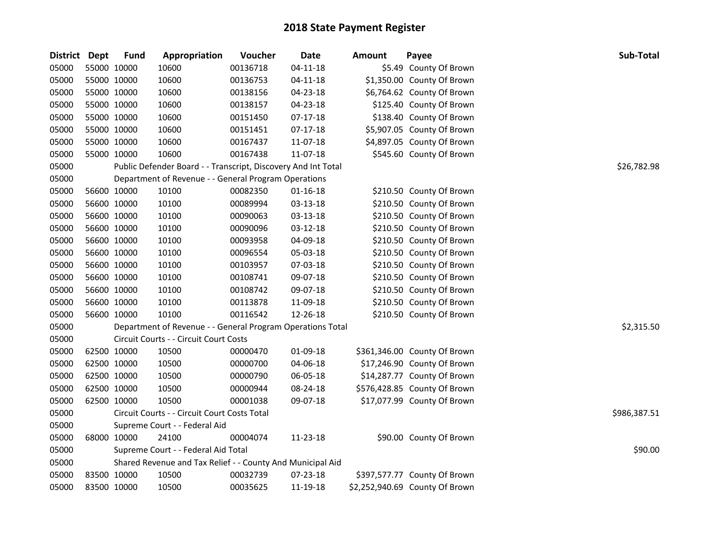| District Dept |             | <b>Fund</b> | Appropriation                                                 | Voucher  | <b>Date</b>    | <b>Amount</b> | Payee                          | Sub-Total    |
|---------------|-------------|-------------|---------------------------------------------------------------|----------|----------------|---------------|--------------------------------|--------------|
| 05000         | 55000 10000 |             | 10600                                                         | 00136718 | $04 - 11 - 18$ |               | \$5.49 County Of Brown         |              |
| 05000         | 55000 10000 |             | 10600                                                         | 00136753 | $04 - 11 - 18$ |               | \$1,350.00 County Of Brown     |              |
| 05000         | 55000 10000 |             | 10600                                                         | 00138156 | 04-23-18       |               | \$6,764.62 County Of Brown     |              |
| 05000         | 55000 10000 |             | 10600                                                         | 00138157 | 04-23-18       |               | \$125.40 County Of Brown       |              |
| 05000         | 55000 10000 |             | 10600                                                         | 00151450 | $07-17-18$     |               | \$138.40 County Of Brown       |              |
| 05000         | 55000 10000 |             | 10600                                                         | 00151451 | $07-17-18$     |               | \$5,907.05 County Of Brown     |              |
| 05000         | 55000 10000 |             | 10600                                                         | 00167437 | 11-07-18       |               | \$4,897.05 County Of Brown     |              |
| 05000         | 55000 10000 |             | 10600                                                         | 00167438 | 11-07-18       |               | \$545.60 County Of Brown       |              |
| 05000         |             |             | Public Defender Board - - Transcript, Discovery And Int Total |          |                |               |                                | \$26,782.98  |
| 05000         |             |             | Department of Revenue - - General Program Operations          |          |                |               |                                |              |
| 05000         | 56600 10000 |             | 10100                                                         | 00082350 | $01 - 16 - 18$ |               | \$210.50 County Of Brown       |              |
| 05000         | 56600 10000 |             | 10100                                                         | 00089994 | 03-13-18       |               | \$210.50 County Of Brown       |              |
| 05000         | 56600 10000 |             | 10100                                                         | 00090063 | 03-13-18       |               | \$210.50 County Of Brown       |              |
| 05000         | 56600 10000 |             | 10100                                                         | 00090096 | 03-12-18       |               | \$210.50 County Of Brown       |              |
| 05000         | 56600 10000 |             | 10100                                                         | 00093958 | 04-09-18       |               | \$210.50 County Of Brown       |              |
| 05000         |             | 56600 10000 | 10100                                                         | 00096554 | 05-03-18       |               | \$210.50 County Of Brown       |              |
| 05000         |             | 56600 10000 | 10100                                                         | 00103957 | 07-03-18       |               | \$210.50 County Of Brown       |              |
| 05000         | 56600 10000 |             | 10100                                                         | 00108741 | 09-07-18       |               | \$210.50 County Of Brown       |              |
| 05000         | 56600 10000 |             | 10100                                                         | 00108742 | 09-07-18       |               | \$210.50 County Of Brown       |              |
| 05000         |             | 56600 10000 | 10100                                                         | 00113878 | 11-09-18       |               | \$210.50 County Of Brown       |              |
| 05000         | 56600 10000 |             | 10100                                                         | 00116542 | 12-26-18       |               | \$210.50 County Of Brown       |              |
| 05000         |             |             | Department of Revenue - - General Program Operations Total    |          |                |               |                                | \$2,315.50   |
| 05000         |             |             | Circuit Courts - - Circuit Court Costs                        |          |                |               |                                |              |
| 05000         | 62500 10000 |             | 10500                                                         | 00000470 | 01-09-18       |               | \$361,346.00 County Of Brown   |              |
| 05000         | 62500 10000 |             | 10500                                                         | 00000700 | 04-06-18       |               | \$17,246.90 County Of Brown    |              |
| 05000         | 62500 10000 |             | 10500                                                         | 00000790 | 06-05-18       |               | \$14,287.77 County Of Brown    |              |
| 05000         | 62500 10000 |             | 10500                                                         | 00000944 | 08-24-18       |               | \$576,428.85 County Of Brown   |              |
| 05000         |             | 62500 10000 | 10500                                                         | 00001038 | 09-07-18       |               | \$17,077.99 County Of Brown    |              |
| 05000         |             |             | Circuit Courts - - Circuit Court Costs Total                  |          |                |               |                                | \$986,387.51 |
| 05000         |             |             | Supreme Court - - Federal Aid                                 |          |                |               |                                |              |
| 05000         | 68000 10000 |             | 24100                                                         | 00004074 | 11-23-18       |               | \$90.00 County Of Brown        |              |
| 05000         |             |             | Supreme Court - - Federal Aid Total                           |          |                |               |                                | \$90.00      |
| 05000         |             |             | Shared Revenue and Tax Relief - - County And Municipal Aid    |          |                |               |                                |              |
| 05000         | 83500 10000 |             | 10500                                                         | 00032739 | 07-23-18       |               | \$397,577.77 County Of Brown   |              |
| 05000         | 83500 10000 |             | 10500                                                         | 00035625 | 11-19-18       |               | \$2,252,940.69 County Of Brown |              |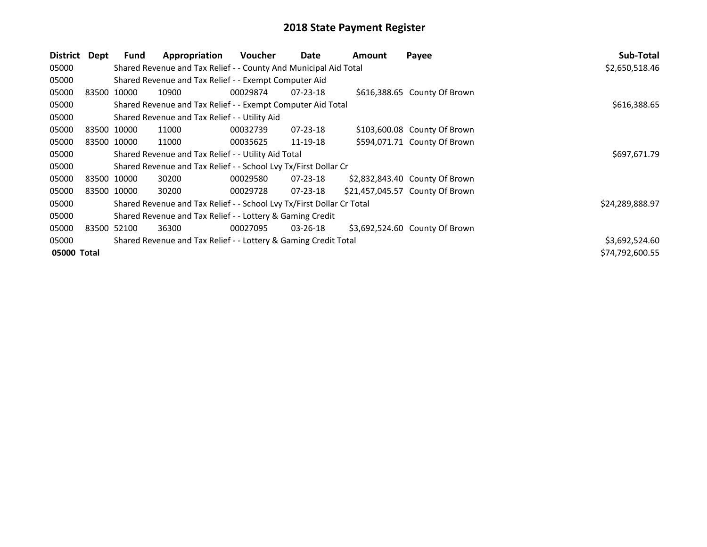| District    | Dept        | <b>Fund</b> | Appropriation                                                         | <b>Voucher</b> | Date           | Amount | Payee                           | Sub-Total       |
|-------------|-------------|-------------|-----------------------------------------------------------------------|----------------|----------------|--------|---------------------------------|-----------------|
| 05000       |             |             | Shared Revenue and Tax Relief - - County And Municipal Aid Total      |                |                |        |                                 | \$2,650,518.46  |
| 05000       |             |             | Shared Revenue and Tax Relief - - Exempt Computer Aid                 |                |                |        |                                 |                 |
| 05000       |             | 83500 10000 | 10900                                                                 | 00029874       | $07 - 23 - 18$ |        | \$616,388.65 County Of Brown    |                 |
| 05000       |             |             | Shared Revenue and Tax Relief - - Exempt Computer Aid Total           |                |                |        |                                 | \$616,388.65    |
| 05000       |             |             | Shared Revenue and Tax Relief - - Utility Aid                         |                |                |        |                                 |                 |
| 05000       | 83500 10000 |             | 11000                                                                 | 00032739       | $07 - 23 - 18$ |        | \$103,600.08 County Of Brown    |                 |
| 05000       |             | 83500 10000 | 11000                                                                 | 00035625       | 11-19-18       |        | \$594,071.71 County Of Brown    |                 |
| 05000       |             |             | Shared Revenue and Tax Relief - - Utility Aid Total                   |                |                |        |                                 | \$697,671.79    |
| 05000       |             |             | Shared Revenue and Tax Relief - - School Lvy Tx/First Dollar Cr       |                |                |        |                                 |                 |
| 05000       | 83500 10000 |             | 30200                                                                 | 00029580       | 07-23-18       |        | \$2,832,843.40 County Of Brown  |                 |
| 05000       |             | 83500 10000 | 30200                                                                 | 00029728       | $07 - 23 - 18$ |        | \$21,457,045.57 County Of Brown |                 |
| 05000       |             |             | Shared Revenue and Tax Relief - - School Lvy Tx/First Dollar Cr Total |                |                |        |                                 | \$24,289,888.97 |
| 05000       |             |             | Shared Revenue and Tax Relief - - Lottery & Gaming Credit             |                |                |        |                                 |                 |
| 05000       | 83500 52100 |             | 36300                                                                 | 00027095       | 03-26-18       |        | \$3,692,524.60 County Of Brown  |                 |
| 05000       |             |             | Shared Revenue and Tax Relief - - Lottery & Gaming Credit Total       |                |                |        |                                 | \$3,692,524.60  |
| 05000 Total |             |             |                                                                       |                |                |        |                                 | \$74,792,600.55 |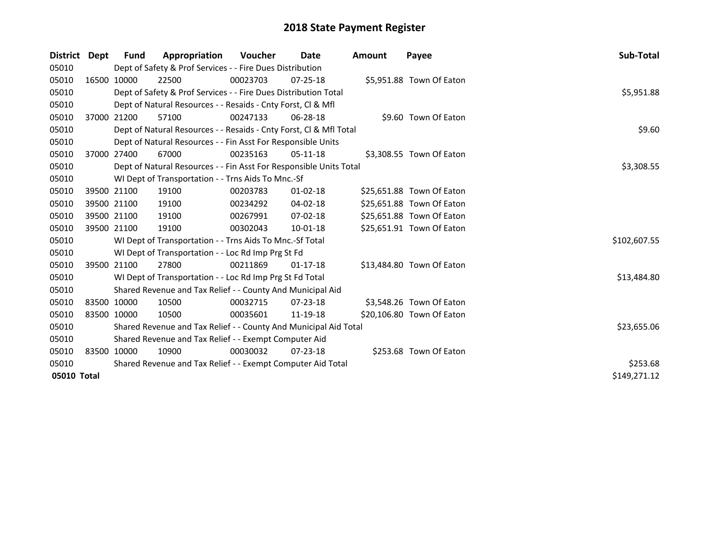| District                    | Dept                                                  | <b>Fund</b>                                                  | Appropriation                                                      | <b>Voucher</b> | Date           | Amount | Payee                     | Sub-Total    |  |  |
|-----------------------------|-------------------------------------------------------|--------------------------------------------------------------|--------------------------------------------------------------------|----------------|----------------|--------|---------------------------|--------------|--|--|
| 05010                       |                                                       |                                                              | Dept of Safety & Prof Services - - Fire Dues Distribution          |                |                |        |                           |              |  |  |
| 05010                       | 16500 10000                                           |                                                              | 22500                                                              | 00023703       | $07 - 25 - 18$ |        | \$5,951.88 Town Of Eaton  |              |  |  |
| 05010                       |                                                       | \$5,951.88                                                   |                                                                    |                |                |        |                           |              |  |  |
| 05010                       |                                                       | Dept of Natural Resources - - Resaids - Cnty Forst, CI & Mfl |                                                                    |                |                |        |                           |              |  |  |
| 05010                       | 37000 21200                                           |                                                              | 57100                                                              | 00247133       | $06 - 28 - 18$ |        | \$9.60 Town Of Eaton      |              |  |  |
| 05010                       |                                                       |                                                              | Dept of Natural Resources - - Resaids - Cnty Forst, Cl & Mfl Total |                |                |        |                           | \$9.60       |  |  |
| 05010                       |                                                       |                                                              | Dept of Natural Resources - - Fin Asst For Responsible Units       |                |                |        |                           |              |  |  |
| 05010                       | 37000 27400                                           |                                                              | 67000                                                              | 00235163       | $05-11-18$     |        | \$3,308.55 Town Of Eaton  |              |  |  |
| 05010                       |                                                       |                                                              | Dept of Natural Resources - - Fin Asst For Responsible Units Total |                |                |        |                           | \$3,308.55   |  |  |
| 05010                       |                                                       |                                                              | WI Dept of Transportation - - Trns Aids To Mnc.-Sf                 |                |                |        |                           |              |  |  |
| 05010                       | 39500 21100                                           |                                                              | 19100                                                              | 00203783       | $01 - 02 - 18$ |        | \$25,651.88 Town Of Eaton |              |  |  |
| 05010                       | 39500 21100                                           |                                                              | 19100                                                              | 00234292       | $04 - 02 - 18$ |        | \$25,651.88 Town Of Eaton |              |  |  |
| 05010                       | 39500 21100                                           |                                                              | 19100                                                              | 00267991       | $07 - 02 - 18$ |        | \$25,651.88 Town Of Eaton |              |  |  |
| 05010                       | 39500 21100                                           |                                                              | 19100                                                              | 00302043       | 10-01-18       |        | \$25,651.91 Town Of Eaton |              |  |  |
| 05010                       |                                                       |                                                              | WI Dept of Transportation - - Trns Aids To Mnc.-Sf Total           |                |                |        |                           | \$102,607.55 |  |  |
| 05010                       |                                                       |                                                              | WI Dept of Transportation - - Loc Rd Imp Prg St Fd                 |                |                |        |                           |              |  |  |
| 05010                       |                                                       | 39500 21100                                                  | 27800                                                              | 00211869       | $01-17-18$     |        | \$13,484.80 Town Of Eaton |              |  |  |
| 05010                       |                                                       |                                                              | WI Dept of Transportation - - Loc Rd Imp Prg St Fd Total           |                |                |        |                           | \$13,484.80  |  |  |
| 05010                       |                                                       |                                                              | Shared Revenue and Tax Relief - - County And Municipal Aid         |                |                |        |                           |              |  |  |
| 05010                       | 83500 10000                                           |                                                              | 10500                                                              | 00032715       | $07 - 23 - 18$ |        | \$3,548.26 Town Of Eaton  |              |  |  |
| 05010                       | 83500 10000                                           |                                                              | 10500                                                              | 00035601       | 11-19-18       |        | \$20,106.80 Town Of Eaton |              |  |  |
| 05010                       |                                                       |                                                              | Shared Revenue and Tax Relief - - County And Municipal Aid Total   |                |                |        |                           | \$23,655.06  |  |  |
| 05010                       | Shared Revenue and Tax Relief - - Exempt Computer Aid |                                                              |                                                                    |                |                |        |                           |              |  |  |
| 05010                       | 83500 10000                                           |                                                              | 10900                                                              | 00030032       | $07 - 23 - 18$ |        | \$253.68 Town Of Eaton    |              |  |  |
| 05010                       |                                                       |                                                              | Shared Revenue and Tax Relief - - Exempt Computer Aid Total        |                |                |        |                           | \$253.68     |  |  |
| 05010 Total<br>\$149,271.12 |                                                       |                                                              |                                                                    |                |                |        |                           |              |  |  |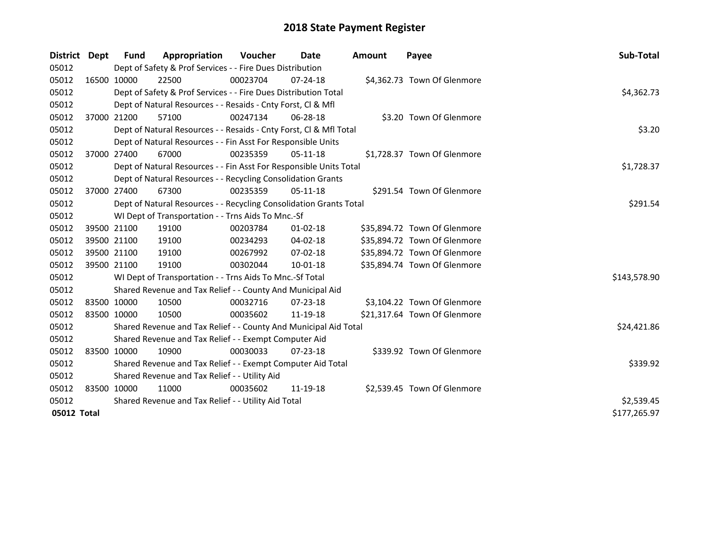| <b>District</b>             | <b>Dept</b> | <b>Fund</b>                                   | Appropriation                                                      | Voucher  | Date           | <b>Amount</b> | Payee                        | Sub-Total    |  |
|-----------------------------|-------------|-----------------------------------------------|--------------------------------------------------------------------|----------|----------------|---------------|------------------------------|--------------|--|
| 05012                       |             |                                               | Dept of Safety & Prof Services - - Fire Dues Distribution          |          |                |               |                              |              |  |
| 05012                       |             | 16500 10000                                   | 22500                                                              | 00023704 | $07 - 24 - 18$ |               | \$4,362.73 Town Of Glenmore  |              |  |
| 05012                       |             |                                               | Dept of Safety & Prof Services - - Fire Dues Distribution Total    |          |                |               |                              | \$4,362.73   |  |
| 05012                       |             |                                               | Dept of Natural Resources - - Resaids - Cnty Forst, Cl & Mfl       |          |                |               |                              |              |  |
| 05012                       |             | 37000 21200                                   | 57100                                                              | 00247134 | 06-28-18       |               | \$3.20 Town Of Glenmore      |              |  |
| 05012                       |             |                                               | Dept of Natural Resources - - Resaids - Cnty Forst, Cl & Mfl Total |          |                |               |                              | \$3.20       |  |
| 05012                       |             |                                               | Dept of Natural Resources - - Fin Asst For Responsible Units       |          |                |               |                              |              |  |
| 05012                       |             | 37000 27400                                   | 67000                                                              | 00235359 | $05-11-18$     |               | \$1,728.37 Town Of Glenmore  |              |  |
| 05012                       |             |                                               | Dept of Natural Resources - - Fin Asst For Responsible Units Total |          |                |               |                              | \$1,728.37   |  |
| 05012                       |             |                                               | Dept of Natural Resources - - Recycling Consolidation Grants       |          |                |               |                              |              |  |
| 05012                       |             | 37000 27400                                   | 67300                                                              | 00235359 | $05-11-18$     |               | \$291.54 Town Of Glenmore    |              |  |
| 05012                       |             |                                               | Dept of Natural Resources - - Recycling Consolidation Grants Total |          |                |               |                              | \$291.54     |  |
| 05012                       |             |                                               | WI Dept of Transportation - - Trns Aids To Mnc.-Sf                 |          |                |               |                              |              |  |
| 05012                       |             | 39500 21100                                   | 19100                                                              | 00203784 | $01 - 02 - 18$ |               | \$35,894.72 Town Of Glenmore |              |  |
| 05012                       | 39500 21100 |                                               | 19100                                                              | 00234293 | 04-02-18       |               | \$35,894.72 Town Of Glenmore |              |  |
| 05012                       | 39500 21100 |                                               | 19100                                                              | 00267992 | 07-02-18       |               | \$35,894.72 Town Of Glenmore |              |  |
| 05012                       | 39500 21100 |                                               | 19100                                                              | 00302044 | $10 - 01 - 18$ |               | \$35,894.74 Town Of Glenmore |              |  |
| 05012                       |             |                                               | WI Dept of Transportation - - Trns Aids To Mnc.-Sf Total           |          |                |               |                              | \$143,578.90 |  |
| 05012                       |             |                                               | Shared Revenue and Tax Relief - - County And Municipal Aid         |          |                |               |                              |              |  |
| 05012                       | 83500 10000 |                                               | 10500                                                              | 00032716 | 07-23-18       |               | \$3,104.22 Town Of Glenmore  |              |  |
| 05012                       | 83500 10000 |                                               | 10500                                                              | 00035602 | 11-19-18       |               | \$21,317.64 Town Of Glenmore |              |  |
| 05012                       |             |                                               | Shared Revenue and Tax Relief - - County And Municipal Aid Total   |          |                |               |                              | \$24,421.86  |  |
| 05012                       |             |                                               | Shared Revenue and Tax Relief - - Exempt Computer Aid              |          |                |               |                              |              |  |
| 05012                       | 83500 10000 |                                               | 10900                                                              | 00030033 | $07 - 23 - 18$ |               | \$339.92 Town Of Glenmore    |              |  |
| 05012                       |             |                                               | Shared Revenue and Tax Relief - - Exempt Computer Aid Total        |          |                |               |                              | \$339.92     |  |
| 05012                       |             | Shared Revenue and Tax Relief - - Utility Aid |                                                                    |          |                |               |                              |              |  |
| 05012                       | 83500 10000 |                                               | 11000                                                              | 00035602 | 11-19-18       |               | \$2,539.45 Town Of Glenmore  |              |  |
| 05012                       |             |                                               | Shared Revenue and Tax Relief - - Utility Aid Total                |          |                |               |                              | \$2,539.45   |  |
| \$177,265.97<br>05012 Total |             |                                               |                                                                    |          |                |               |                              |              |  |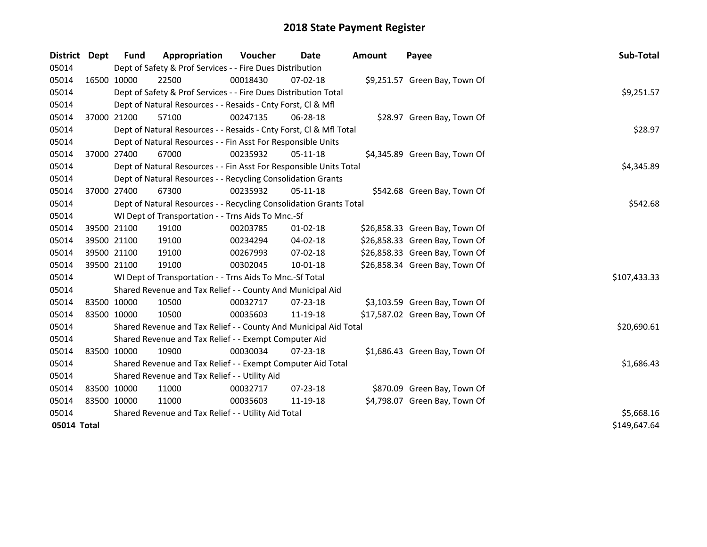| District                    | Dept        | <b>Fund</b>                                   | Appropriation                                                      | Voucher  | Date           | <b>Amount</b> | Payee                          | Sub-Total    |  |
|-----------------------------|-------------|-----------------------------------------------|--------------------------------------------------------------------|----------|----------------|---------------|--------------------------------|--------------|--|
| 05014                       |             |                                               | Dept of Safety & Prof Services - - Fire Dues Distribution          |          |                |               |                                |              |  |
| 05014                       |             | 16500 10000                                   | 22500                                                              | 00018430 | 07-02-18       |               | \$9,251.57 Green Bay, Town Of  |              |  |
| 05014                       |             |                                               | Dept of Safety & Prof Services - - Fire Dues Distribution Total    |          |                |               |                                | \$9,251.57   |  |
| 05014                       |             |                                               | Dept of Natural Resources - - Resaids - Cnty Forst, Cl & Mfl       |          |                |               |                                |              |  |
| 05014                       | 37000 21200 |                                               | 57100                                                              | 00247135 | 06-28-18       |               | \$28.97 Green Bay, Town Of     |              |  |
| 05014                       |             |                                               | Dept of Natural Resources - - Resaids - Cnty Forst, Cl & Mfl Total |          |                |               |                                | \$28.97      |  |
| 05014                       |             |                                               | Dept of Natural Resources - - Fin Asst For Responsible Units       |          |                |               |                                |              |  |
| 05014                       |             | 37000 27400                                   | 67000                                                              | 00235932 | 05-11-18       |               | \$4,345.89 Green Bay, Town Of  |              |  |
| 05014                       |             |                                               | Dept of Natural Resources - - Fin Asst For Responsible Units Total |          |                |               |                                | \$4,345.89   |  |
| 05014                       |             |                                               | Dept of Natural Resources - - Recycling Consolidation Grants       |          |                |               |                                |              |  |
| 05014                       |             | 37000 27400                                   | 67300                                                              | 00235932 | 05-11-18       |               | \$542.68 Green Bay, Town Of    |              |  |
| 05014                       |             |                                               | Dept of Natural Resources - - Recycling Consolidation Grants Total |          |                |               |                                | \$542.68     |  |
| 05014                       |             |                                               | WI Dept of Transportation - - Trns Aids To Mnc.-Sf                 |          |                |               |                                |              |  |
| 05014                       |             | 39500 21100                                   | 19100                                                              | 00203785 | 01-02-18       |               | \$26,858.33 Green Bay, Town Of |              |  |
| 05014                       |             | 39500 21100                                   | 19100                                                              | 00234294 | 04-02-18       |               | \$26,858.33 Green Bay, Town Of |              |  |
| 05014                       |             | 39500 21100                                   | 19100                                                              | 00267993 | 07-02-18       |               | \$26,858.33 Green Bay, Town Of |              |  |
| 05014                       |             | 39500 21100                                   | 19100                                                              | 00302045 | $10 - 01 - 18$ |               | \$26,858.34 Green Bay, Town Of |              |  |
| 05014                       |             |                                               | WI Dept of Transportation - - Trns Aids To Mnc.-Sf Total           |          |                |               |                                | \$107,433.33 |  |
| 05014                       |             |                                               | Shared Revenue and Tax Relief - - County And Municipal Aid         |          |                |               |                                |              |  |
| 05014                       |             | 83500 10000                                   | 10500                                                              | 00032717 | $07 - 23 - 18$ |               | \$3,103.59 Green Bay, Town Of  |              |  |
| 05014                       | 83500 10000 |                                               | 10500                                                              | 00035603 | 11-19-18       |               | \$17,587.02 Green Bay, Town Of |              |  |
| 05014                       |             |                                               | Shared Revenue and Tax Relief - - County And Municipal Aid Total   |          |                |               |                                | \$20,690.61  |  |
| 05014                       |             |                                               | Shared Revenue and Tax Relief - - Exempt Computer Aid              |          |                |               |                                |              |  |
| 05014                       |             | 83500 10000                                   | 10900                                                              | 00030034 | $07 - 23 - 18$ |               | \$1,686.43 Green Bay, Town Of  |              |  |
| 05014                       |             |                                               | Shared Revenue and Tax Relief - - Exempt Computer Aid Total        |          |                |               |                                | \$1,686.43   |  |
| 05014                       |             | Shared Revenue and Tax Relief - - Utility Aid |                                                                    |          |                |               |                                |              |  |
| 05014                       |             | 83500 10000                                   | 11000                                                              | 00032717 | 07-23-18       |               | \$870.09 Green Bay, Town Of    |              |  |
| 05014                       | 83500 10000 |                                               | 11000                                                              | 00035603 | 11-19-18       |               | \$4,798.07 Green Bay, Town Of  |              |  |
| 05014                       |             |                                               | Shared Revenue and Tax Relief - - Utility Aid Total                |          |                |               |                                | \$5,668.16   |  |
| \$149,647.64<br>05014 Total |             |                                               |                                                                    |          |                |               |                                |              |  |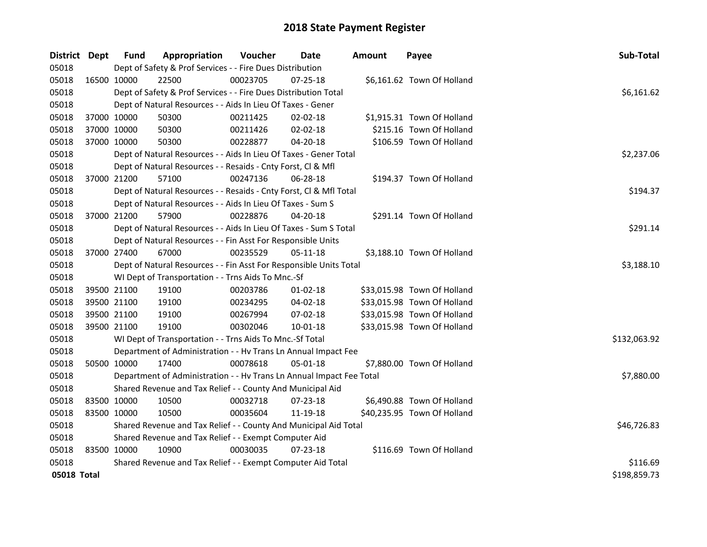| District Dept |             | <b>Fund</b> | Appropriation                                                        | Voucher  | <b>Date</b>    | <b>Amount</b> | Payee                       | Sub-Total    |
|---------------|-------------|-------------|----------------------------------------------------------------------|----------|----------------|---------------|-----------------------------|--------------|
| 05018         |             |             | Dept of Safety & Prof Services - - Fire Dues Distribution            |          |                |               |                             |              |
| 05018         | 16500 10000 |             | 22500                                                                | 00023705 | $07 - 25 - 18$ |               | \$6,161.62 Town Of Holland  |              |
| 05018         |             |             | Dept of Safety & Prof Services - - Fire Dues Distribution Total      |          |                |               |                             | \$6,161.62   |
| 05018         |             |             | Dept of Natural Resources - - Aids In Lieu Of Taxes - Gener          |          |                |               |                             |              |
| 05018         | 37000 10000 |             | 50300                                                                | 00211425 | 02-02-18       |               | \$1,915.31 Town Of Holland  |              |
| 05018         | 37000 10000 |             | 50300                                                                | 00211426 | 02-02-18       |               | \$215.16 Town Of Holland    |              |
| 05018         | 37000 10000 |             | 50300                                                                | 00228877 | 04-20-18       |               | \$106.59 Town Of Holland    |              |
| 05018         |             |             | Dept of Natural Resources - - Aids In Lieu Of Taxes - Gener Total    |          |                |               |                             | \$2,237.06   |
| 05018         |             |             | Dept of Natural Resources - - Resaids - Cnty Forst, Cl & Mfl         |          |                |               |                             |              |
| 05018         | 37000 21200 |             | 57100                                                                | 00247136 | 06-28-18       |               | \$194.37 Town Of Holland    |              |
| 05018         |             |             | Dept of Natural Resources - - Resaids - Cnty Forst, Cl & Mfl Total   |          |                |               |                             | \$194.37     |
| 05018         |             |             | Dept of Natural Resources - - Aids In Lieu Of Taxes - Sum S          |          |                |               |                             |              |
| 05018         | 37000 21200 |             | 57900                                                                | 00228876 | 04-20-18       |               | \$291.14 Town Of Holland    |              |
| 05018         |             |             | Dept of Natural Resources - - Aids In Lieu Of Taxes - Sum S Total    |          |                |               |                             | \$291.14     |
| 05018         |             |             | Dept of Natural Resources - - Fin Asst For Responsible Units         |          |                |               |                             |              |
| 05018         | 37000 27400 |             | 67000                                                                | 00235529 | 05-11-18       |               | \$3,188.10 Town Of Holland  |              |
| 05018         |             |             | Dept of Natural Resources - - Fin Asst For Responsible Units Total   |          |                |               |                             | \$3,188.10   |
| 05018         |             |             | WI Dept of Transportation - - Trns Aids To Mnc.-Sf                   |          |                |               |                             |              |
| 05018         | 39500 21100 |             | 19100                                                                | 00203786 | $01-02-18$     |               | \$33,015.98 Town Of Holland |              |
| 05018         | 39500 21100 |             | 19100                                                                | 00234295 | 04-02-18       |               | \$33,015.98 Town Of Holland |              |
| 05018         | 39500 21100 |             | 19100                                                                | 00267994 | 07-02-18       |               | \$33,015.98 Town Of Holland |              |
| 05018         | 39500 21100 |             | 19100                                                                | 00302046 | $10 - 01 - 18$ |               | \$33,015.98 Town Of Holland |              |
| 05018         |             |             | WI Dept of Transportation - - Trns Aids To Mnc.-Sf Total             |          |                |               |                             | \$132,063.92 |
| 05018         |             |             | Department of Administration - - Hv Trans Ln Annual Impact Fee       |          |                |               |                             |              |
| 05018         | 50500 10000 |             | 17400                                                                | 00078618 | 05-01-18       |               | \$7,880.00 Town Of Holland  |              |
| 05018         |             |             | Department of Administration - - Hv Trans Ln Annual Impact Fee Total |          |                |               |                             | \$7,880.00   |
| 05018         |             |             | Shared Revenue and Tax Relief - - County And Municipal Aid           |          |                |               |                             |              |
| 05018         | 83500 10000 |             | 10500                                                                | 00032718 | 07-23-18       |               | \$6,490.88 Town Of Holland  |              |
| 05018         | 83500 10000 |             | 10500                                                                | 00035604 | 11-19-18       |               | \$40,235.95 Town Of Holland |              |
| 05018         |             |             | Shared Revenue and Tax Relief - - County And Municipal Aid Total     |          |                |               |                             | \$46,726.83  |
| 05018         |             |             | Shared Revenue and Tax Relief - - Exempt Computer Aid                |          |                |               |                             |              |
| 05018         | 83500 10000 |             | 10900                                                                | 00030035 | $07 - 23 - 18$ |               | \$116.69 Town Of Holland    |              |
| 05018         |             |             | Shared Revenue and Tax Relief - - Exempt Computer Aid Total          |          |                |               |                             | \$116.69     |
| 05018 Total   |             |             |                                                                      |          |                |               |                             | \$198,859.73 |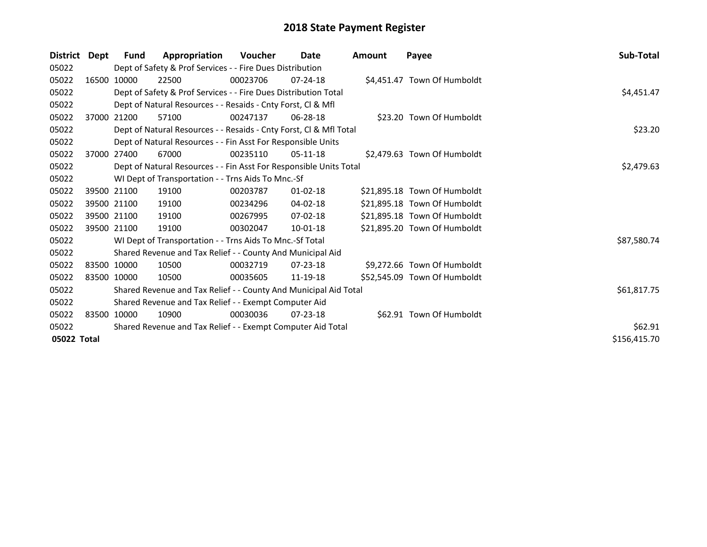| <b>District</b> | Dept        | Fund                                                        | Appropriation                                                      | Voucher  | Date           | <b>Amount</b> | Payee                        | Sub-Total    |
|-----------------|-------------|-------------------------------------------------------------|--------------------------------------------------------------------|----------|----------------|---------------|------------------------------|--------------|
| 05022           |             |                                                             | Dept of Safety & Prof Services - - Fire Dues Distribution          |          |                |               |                              |              |
| 05022           | 16500       | 10000                                                       | 22500                                                              | 00023706 | $07 - 24 - 18$ |               | \$4,451.47 Town Of Humboldt  |              |
| 05022           |             |                                                             | Dept of Safety & Prof Services - - Fire Dues Distribution Total    |          |                |               |                              | \$4,451.47   |
| 05022           |             |                                                             | Dept of Natural Resources - - Resaids - Cnty Forst, CI & Mfl       |          |                |               |                              |              |
| 05022           |             | 37000 21200                                                 | 57100                                                              | 00247137 | 06-28-18       |               | \$23.20 Town Of Humboldt     |              |
| 05022           |             |                                                             | Dept of Natural Resources - - Resaids - Cnty Forst, CI & Mfl Total |          |                |               |                              | \$23.20      |
| 05022           |             |                                                             | Dept of Natural Resources - - Fin Asst For Responsible Units       |          |                |               |                              |              |
| 05022           |             | 37000 27400                                                 | 67000                                                              | 00235110 | $05-11-18$     |               | \$2,479.63 Town Of Humboldt  |              |
| 05022           |             |                                                             | Dept of Natural Resources - - Fin Asst For Responsible Units Total |          |                |               |                              | \$2,479.63   |
| 05022           |             |                                                             | WI Dept of Transportation - - Trns Aids To Mnc.-Sf                 |          |                |               |                              |              |
| 05022           |             | 39500 21100                                                 | 19100                                                              | 00203787 | $01 - 02 - 18$ |               | \$21,895.18 Town Of Humboldt |              |
| 05022           |             | 39500 21100                                                 | 19100                                                              | 00234296 | $04 - 02 - 18$ |               | \$21,895.18 Town Of Humboldt |              |
| 05022           |             | 39500 21100                                                 | 19100                                                              | 00267995 | $07 - 02 - 18$ |               | \$21,895.18 Town Of Humboldt |              |
| 05022           |             | 39500 21100                                                 | 19100                                                              | 00302047 | $10-01-18$     |               | \$21,895.20 Town Of Humboldt |              |
| 05022           |             |                                                             | WI Dept of Transportation - - Trns Aids To Mnc.-Sf Total           |          |                |               |                              | \$87,580.74  |
| 05022           |             |                                                             | Shared Revenue and Tax Relief - - County And Municipal Aid         |          |                |               |                              |              |
| 05022           |             | 83500 10000                                                 | 10500                                                              | 00032719 | $07 - 23 - 18$ |               | \$9,272.66 Town Of Humboldt  |              |
| 05022           | 83500 10000 |                                                             | 10500                                                              | 00035605 | 11-19-18       |               | \$52,545.09 Town Of Humboldt |              |
| 05022           |             |                                                             | Shared Revenue and Tax Relief - - County And Municipal Aid Total   |          |                |               |                              | \$61,817.75  |
| 05022           |             |                                                             | Shared Revenue and Tax Relief - - Exempt Computer Aid              |          |                |               |                              |              |
| 05022           |             | 83500 10000                                                 | 10900                                                              | 00030036 | $07 - 23 - 18$ |               | \$62.91 Town Of Humboldt     |              |
| 05022           |             | Shared Revenue and Tax Relief - - Exempt Computer Aid Total |                                                                    |          |                |               |                              |              |
| 05022 Total     |             |                                                             |                                                                    |          |                |               |                              | \$156,415.70 |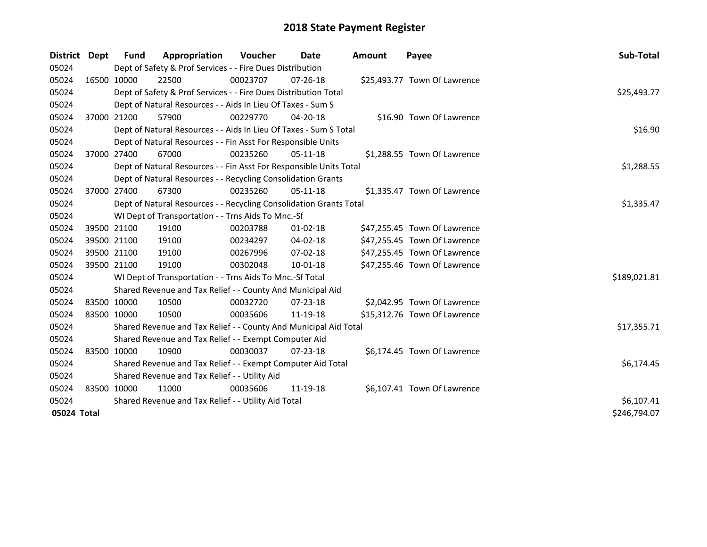| <b>District</b> | <b>Dept</b> | <b>Fund</b>                                   | Appropriation                                                      | Voucher  | <b>Date</b>    | <b>Amount</b> | Payee                        | Sub-Total    |  |
|-----------------|-------------|-----------------------------------------------|--------------------------------------------------------------------|----------|----------------|---------------|------------------------------|--------------|--|
| 05024           |             |                                               | Dept of Safety & Prof Services - - Fire Dues Distribution          |          |                |               |                              |              |  |
| 05024           | 16500 10000 |                                               | 22500                                                              | 00023707 | $07 - 26 - 18$ |               | \$25,493.77 Town Of Lawrence |              |  |
| 05024           |             |                                               | Dept of Safety & Prof Services - - Fire Dues Distribution Total    |          |                |               |                              | \$25,493.77  |  |
| 05024           |             |                                               | Dept of Natural Resources - - Aids In Lieu Of Taxes - Sum S        |          |                |               |                              |              |  |
| 05024           | 37000 21200 |                                               | 57900                                                              | 00229770 | $04 - 20 - 18$ |               | \$16.90 Town Of Lawrence     |              |  |
| 05024           |             |                                               | Dept of Natural Resources - - Aids In Lieu Of Taxes - Sum S Total  |          |                |               |                              | \$16.90      |  |
| 05024           |             |                                               | Dept of Natural Resources - - Fin Asst For Responsible Units       |          |                |               |                              |              |  |
| 05024           | 37000 27400 |                                               | 67000                                                              | 00235260 | $05-11-18$     |               | \$1,288.55 Town Of Lawrence  |              |  |
| 05024           |             |                                               | Dept of Natural Resources - - Fin Asst For Responsible Units Total |          |                |               |                              | \$1,288.55   |  |
| 05024           |             |                                               | Dept of Natural Resources - - Recycling Consolidation Grants       |          |                |               |                              |              |  |
| 05024           | 37000 27400 |                                               | 67300                                                              | 00235260 | $05-11-18$     |               | \$1,335.47 Town Of Lawrence  |              |  |
| 05024           |             |                                               | Dept of Natural Resources - - Recycling Consolidation Grants Total |          |                |               |                              | \$1,335.47   |  |
| 05024           |             |                                               | WI Dept of Transportation - - Trns Aids To Mnc.-Sf                 |          |                |               |                              |              |  |
| 05024           | 39500 21100 |                                               | 19100                                                              | 00203788 | $01 - 02 - 18$ |               | \$47,255.45 Town Of Lawrence |              |  |
| 05024           | 39500 21100 |                                               | 19100                                                              | 00234297 | 04-02-18       |               | \$47,255.45 Town Of Lawrence |              |  |
| 05024           | 39500 21100 |                                               | 19100                                                              | 00267996 | 07-02-18       |               | \$47,255.45 Town Of Lawrence |              |  |
| 05024           | 39500 21100 |                                               | 19100                                                              | 00302048 | 10-01-18       |               | \$47,255.46 Town Of Lawrence |              |  |
| 05024           |             |                                               | WI Dept of Transportation - - Trns Aids To Mnc.-Sf Total           |          |                |               |                              | \$189,021.81 |  |
| 05024           |             |                                               | Shared Revenue and Tax Relief - - County And Municipal Aid         |          |                |               |                              |              |  |
| 05024           | 83500 10000 |                                               | 10500                                                              | 00032720 | 07-23-18       |               | \$2,042.95 Town Of Lawrence  |              |  |
| 05024           | 83500 10000 |                                               | 10500                                                              | 00035606 | 11-19-18       |               | \$15,312.76 Town Of Lawrence |              |  |
| 05024           |             |                                               | Shared Revenue and Tax Relief - - County And Municipal Aid Total   |          |                |               |                              | \$17,355.71  |  |
| 05024           |             |                                               | Shared Revenue and Tax Relief - - Exempt Computer Aid              |          |                |               |                              |              |  |
| 05024           | 83500 10000 |                                               | 10900                                                              | 00030037 | $07 - 23 - 18$ |               | \$6,174.45 Town Of Lawrence  |              |  |
| 05024           |             |                                               | Shared Revenue and Tax Relief - - Exempt Computer Aid Total        |          |                |               |                              | \$6,174.45   |  |
| 05024           |             | Shared Revenue and Tax Relief - - Utility Aid |                                                                    |          |                |               |                              |              |  |
| 05024           | 83500 10000 |                                               | 11000                                                              | 00035606 | 11-19-18       |               | \$6,107.41 Town Of Lawrence  |              |  |
| 05024           |             |                                               | Shared Revenue and Tax Relief - - Utility Aid Total                |          |                |               |                              | \$6,107.41   |  |
| 05024 Total     |             |                                               |                                                                    |          |                |               |                              | \$246,794.07 |  |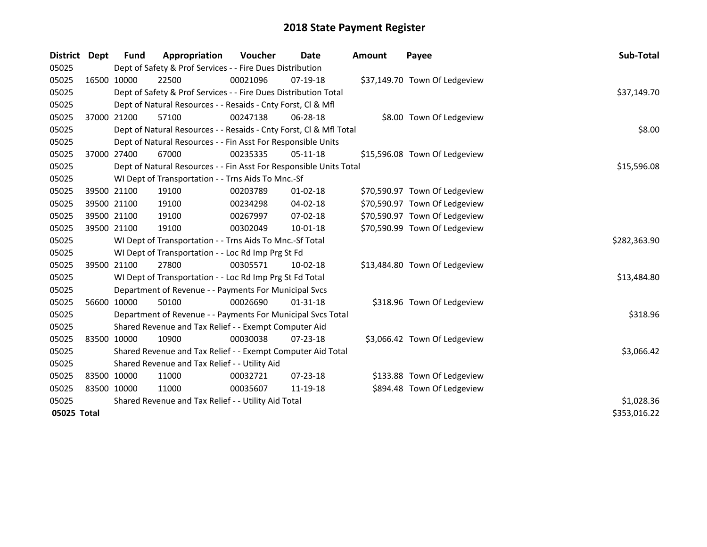| <b>District</b> | <b>Dept</b> | <b>Fund</b> | Appropriation                                                      | Voucher    | <b>Date</b>    | Amount | Payee                         | Sub-Total    |
|-----------------|-------------|-------------|--------------------------------------------------------------------|------------|----------------|--------|-------------------------------|--------------|
| 05025           |             |             | Dept of Safety & Prof Services - - Fire Dues Distribution          |            |                |        |                               |              |
| 05025           |             | 16500 10000 | 22500                                                              | 00021096   | 07-19-18       |        | \$37,149.70 Town Of Ledgeview |              |
| 05025           |             |             | Dept of Safety & Prof Services - - Fire Dues Distribution Total    |            |                |        |                               | \$37,149.70  |
| 05025           |             |             | Dept of Natural Resources - - Resaids - Cnty Forst, Cl & Mfl       |            |                |        |                               |              |
| 05025           |             | 37000 21200 | 57100                                                              | 00247138   | 06-28-18       |        | \$8.00 Town Of Ledgeview      |              |
| 05025           |             |             | Dept of Natural Resources - - Resaids - Cnty Forst, Cl & Mfl Total |            |                |        |                               | \$8.00       |
| 05025           |             |             | Dept of Natural Resources - - Fin Asst For Responsible Units       |            |                |        |                               |              |
| 05025           |             | 37000 27400 | 67000                                                              | 00235335   | $05-11-18$     |        | \$15,596.08 Town Of Ledgeview |              |
| 05025           |             |             | Dept of Natural Resources - - Fin Asst For Responsible Units Total |            |                |        |                               | \$15,596.08  |
| 05025           |             |             | WI Dept of Transportation - - Trns Aids To Mnc.-Sf                 |            |                |        |                               |              |
| 05025           |             | 39500 21100 | 19100                                                              | 00203789   | $01 - 02 - 18$ |        | \$70,590.97 Town Of Ledgeview |              |
| 05025           |             | 39500 21100 | 19100                                                              | 00234298   | 04-02-18       |        | \$70,590.97 Town Of Ledgeview |              |
| 05025           |             | 39500 21100 | 19100                                                              | 00267997   | 07-02-18       |        | \$70,590.97 Town Of Ledgeview |              |
| 05025           | 39500 21100 |             | 19100                                                              | 00302049   | 10-01-18       |        | \$70,590.99 Town Of Ledgeview |              |
| 05025           |             |             | WI Dept of Transportation - - Trns Aids To Mnc.-Sf Total           |            |                |        |                               | \$282,363.90 |
| 05025           |             |             | WI Dept of Transportation - - Loc Rd Imp Prg St Fd                 |            |                |        |                               |              |
| 05025           |             | 39500 21100 | 27800                                                              | 00305571   | $10-02-18$     |        | \$13,484.80 Town Of Ledgeview |              |
| 05025           |             |             | WI Dept of Transportation - - Loc Rd Imp Prg St Fd Total           |            |                |        |                               | \$13,484.80  |
| 05025           |             |             | Department of Revenue - - Payments For Municipal Svcs              |            |                |        |                               |              |
| 05025           |             | 56600 10000 | 50100                                                              | 00026690   | $01 - 31 - 18$ |        | \$318.96 Town Of Ledgeview    |              |
| 05025           |             |             | Department of Revenue - - Payments For Municipal Svcs Total        |            |                |        |                               | \$318.96     |
| 05025           |             |             | Shared Revenue and Tax Relief - - Exempt Computer Aid              |            |                |        |                               |              |
| 05025           | 83500 10000 |             | 10900                                                              | 00030038   | $07 - 23 - 18$ |        | \$3,066.42 Town Of Ledgeview  |              |
| 05025           |             |             | Shared Revenue and Tax Relief - - Exempt Computer Aid Total        |            |                |        |                               | \$3,066.42   |
| 05025           |             |             | Shared Revenue and Tax Relief - - Utility Aid                      |            |                |        |                               |              |
| 05025           |             | 83500 10000 | 11000                                                              | 00032721   | $07 - 23 - 18$ |        | \$133.88 Town Of Ledgeview    |              |
| 05025           | 83500 10000 |             | 11000                                                              | 00035607   | 11-19-18       |        | \$894.48 Town Of Ledgeview    |              |
| 05025           |             |             | Shared Revenue and Tax Relief - - Utility Aid Total                | \$1,028.36 |                |        |                               |              |
| 05025 Total     |             |             |                                                                    |            |                |        |                               | \$353,016.22 |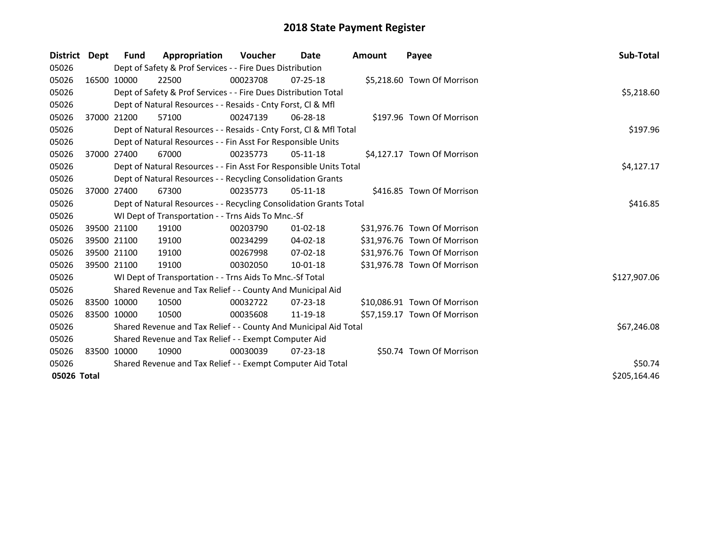| District    | Dept         | <b>Fund</b> | Appropriation                                                      | <b>Voucher</b> | Date           | <b>Amount</b> | Payee                        | Sub-Total    |
|-------------|--------------|-------------|--------------------------------------------------------------------|----------------|----------------|---------------|------------------------------|--------------|
| 05026       |              |             | Dept of Safety & Prof Services - - Fire Dues Distribution          |                |                |               |                              |              |
| 05026       |              | 16500 10000 | 22500                                                              | 00023708       | $07 - 25 - 18$ |               | \$5,218.60 Town Of Morrison  |              |
| 05026       |              |             | Dept of Safety & Prof Services - - Fire Dues Distribution Total    |                |                |               |                              | \$5,218.60   |
| 05026       |              |             | Dept of Natural Resources - - Resaids - Cnty Forst, CI & Mfl       |                |                |               |                              |              |
| 05026       |              | 37000 21200 | 57100                                                              | 00247139       | 06-28-18       |               | \$197.96 Town Of Morrison    |              |
| 05026       |              |             | Dept of Natural Resources - - Resaids - Cnty Forst, CI & Mfl Total |                |                |               |                              | \$197.96     |
| 05026       |              |             | Dept of Natural Resources - - Fin Asst For Responsible Units       |                |                |               |                              |              |
| 05026       |              | 37000 27400 | 67000                                                              | 00235773       | $05-11-18$     |               | \$4,127.17 Town Of Morrison  |              |
| 05026       |              |             | Dept of Natural Resources - - Fin Asst For Responsible Units Total |                |                |               |                              | \$4,127.17   |
| 05026       |              |             | Dept of Natural Resources - - Recycling Consolidation Grants       |                |                |               |                              |              |
| 05026       |              | 37000 27400 | 67300                                                              | 00235773       | $05-11-18$     |               | \$416.85 Town Of Morrison    |              |
| 05026       |              |             | Dept of Natural Resources - - Recycling Consolidation Grants Total |                |                |               |                              | \$416.85     |
| 05026       |              |             | WI Dept of Transportation - - Trns Aids To Mnc.-Sf                 |                |                |               |                              |              |
| 05026       |              | 39500 21100 | 19100                                                              | 00203790       | $01-02-18$     |               | \$31,976.76 Town Of Morrison |              |
| 05026       |              | 39500 21100 | 19100                                                              | 00234299       | $04 - 02 - 18$ |               | \$31,976.76 Town Of Morrison |              |
| 05026       |              | 39500 21100 | 19100                                                              | 00267998       | $07 - 02 - 18$ |               | \$31,976.76 Town Of Morrison |              |
| 05026       |              | 39500 21100 | 19100                                                              | 00302050       | 10-01-18       |               | \$31,976.78 Town Of Morrison |              |
| 05026       |              |             | WI Dept of Transportation - - Trns Aids To Mnc.-Sf Total           |                |                |               |                              | \$127,907.06 |
| 05026       |              |             | Shared Revenue and Tax Relief - - County And Municipal Aid         |                |                |               |                              |              |
| 05026       |              | 83500 10000 | 10500                                                              | 00032722       | $07 - 23 - 18$ |               | \$10,086.91 Town Of Morrison |              |
| 05026       |              | 83500 10000 | 10500                                                              | 00035608       | 11-19-18       |               | \$57,159.17 Town Of Morrison |              |
| 05026       |              |             | Shared Revenue and Tax Relief - - County And Municipal Aid Total   |                |                |               |                              | \$67,246.08  |
| 05026       |              |             | Shared Revenue and Tax Relief - - Exempt Computer Aid              |                |                |               |                              |              |
| 05026       |              | 83500 10000 | 10900                                                              | 00030039       | 07-23-18       |               | \$50.74 Town Of Morrison     |              |
| 05026       |              |             | Shared Revenue and Tax Relief - - Exempt Computer Aid Total        | \$50.74        |                |               |                              |              |
| 05026 Total | \$205,164.46 |             |                                                                    |                |                |               |                              |              |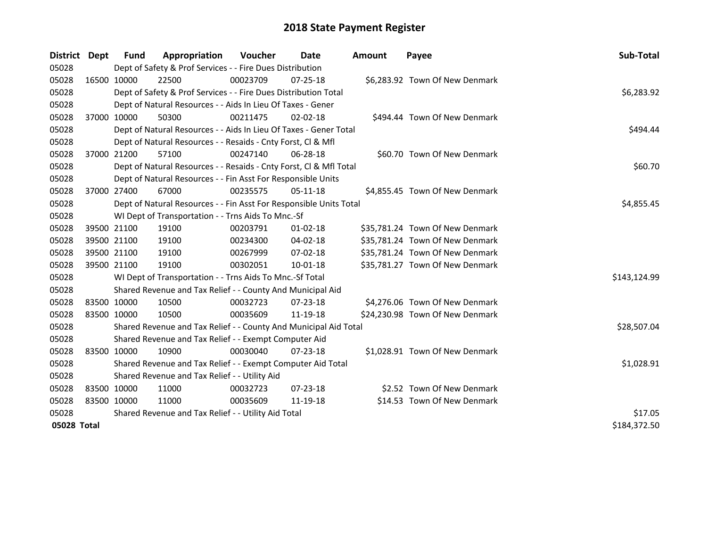| <b>District</b> | <b>Dept</b> | Fund                                                         | Appropriation                                                      | <b>Voucher</b> | Date           | <b>Amount</b> | Payee                           | Sub-Total    |
|-----------------|-------------|--------------------------------------------------------------|--------------------------------------------------------------------|----------------|----------------|---------------|---------------------------------|--------------|
| 05028           |             |                                                              | Dept of Safety & Prof Services - - Fire Dues Distribution          |                |                |               |                                 |              |
| 05028           |             | 16500 10000                                                  | 22500                                                              | 00023709       | 07-25-18       |               | \$6,283.92 Town Of New Denmark  |              |
| 05028           |             |                                                              | Dept of Safety & Prof Services - - Fire Dues Distribution Total    |                |                |               |                                 | \$6,283.92   |
| 05028           |             |                                                              | Dept of Natural Resources - - Aids In Lieu Of Taxes - Gener        |                |                |               |                                 |              |
| 05028           | 37000 10000 |                                                              | 50300                                                              | 00211475       | $02 - 02 - 18$ |               | \$494.44 Town Of New Denmark    |              |
| 05028           |             |                                                              | Dept of Natural Resources - - Aids In Lieu Of Taxes - Gener Total  |                |                |               |                                 | \$494.44     |
| 05028           |             | Dept of Natural Resources - - Resaids - Cnty Forst, Cl & Mfl |                                                                    |                |                |               |                                 |              |
| 05028           | 37000 21200 |                                                              | 57100                                                              | 00247140       | 06-28-18       |               | \$60.70 Town Of New Denmark     |              |
| 05028           |             |                                                              | Dept of Natural Resources - - Resaids - Cnty Forst, Cl & Mfl Total | \$60.70        |                |               |                                 |              |
| 05028           |             |                                                              | Dept of Natural Resources - - Fin Asst For Responsible Units       |                |                |               |                                 |              |
| 05028           | 37000 27400 |                                                              | 67000                                                              | 00235575       | $05-11-18$     |               | \$4,855.45 Town Of New Denmark  |              |
| 05028           |             |                                                              | Dept of Natural Resources - - Fin Asst For Responsible Units Total |                |                |               |                                 | \$4,855.45   |
| 05028           |             |                                                              | WI Dept of Transportation - - Trns Aids To Mnc.-Sf                 |                |                |               |                                 |              |
| 05028           | 39500 21100 |                                                              | 19100                                                              | 00203791       | $01 - 02 - 18$ |               | \$35,781.24 Town Of New Denmark |              |
| 05028           | 39500 21100 |                                                              | 19100                                                              | 00234300       | 04-02-18       |               | \$35,781.24 Town Of New Denmark |              |
| 05028           | 39500 21100 |                                                              | 19100                                                              | 00267999       | 07-02-18       |               | \$35,781.24 Town Of New Denmark |              |
| 05028           | 39500 21100 |                                                              | 19100                                                              | 00302051       | $10 - 01 - 18$ |               | \$35,781.27 Town Of New Denmark |              |
| 05028           |             |                                                              | WI Dept of Transportation - - Trns Aids To Mnc.-Sf Total           |                |                |               |                                 | \$143,124.99 |
| 05028           |             |                                                              | Shared Revenue and Tax Relief - - County And Municipal Aid         |                |                |               |                                 |              |
| 05028           | 83500 10000 |                                                              | 10500                                                              | 00032723       | $07 - 23 - 18$ |               | \$4,276.06 Town Of New Denmark  |              |
| 05028           | 83500 10000 |                                                              | 10500                                                              | 00035609       | 11-19-18       |               | \$24,230.98 Town Of New Denmark |              |
| 05028           |             |                                                              | Shared Revenue and Tax Relief - - County And Municipal Aid Total   |                |                |               |                                 | \$28,507.04  |
| 05028           |             |                                                              | Shared Revenue and Tax Relief - - Exempt Computer Aid              |                |                |               |                                 |              |
| 05028           | 83500 10000 |                                                              | 10900                                                              | 00030040       | $07 - 23 - 18$ |               | \$1,028.91 Town Of New Denmark  |              |
| 05028           |             |                                                              | Shared Revenue and Tax Relief - - Exempt Computer Aid Total        |                |                |               |                                 | \$1,028.91   |
| 05028           |             |                                                              | Shared Revenue and Tax Relief - - Utility Aid                      |                |                |               |                                 |              |
| 05028           | 83500 10000 |                                                              | 11000                                                              | 00032723       | $07 - 23 - 18$ |               | \$2.52 Town Of New Denmark      |              |
| 05028           | 83500 10000 |                                                              | 11000                                                              | 00035609       | 11-19-18       |               | \$14.53 Town Of New Denmark     |              |
| 05028           |             |                                                              | Shared Revenue and Tax Relief - - Utility Aid Total                |                |                |               |                                 | \$17.05      |
| 05028 Total     |             |                                                              |                                                                    |                |                |               |                                 | \$184,372.50 |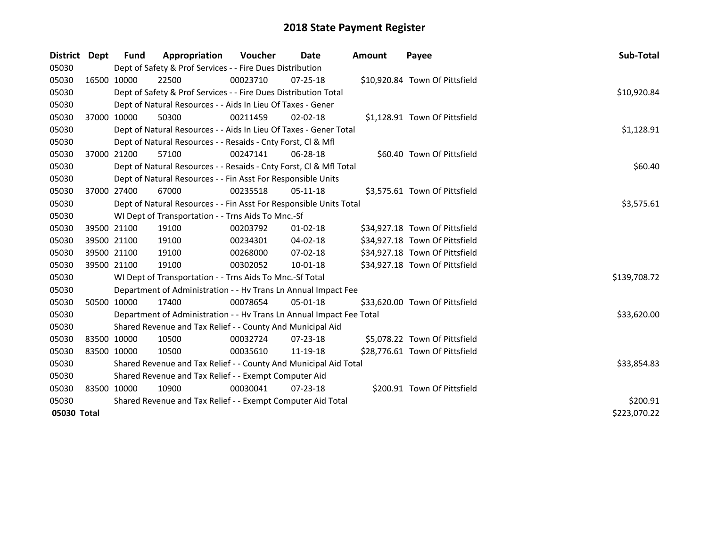| <b>District</b> | Dept        | <b>Fund</b>                                           | Appropriation                                                        | <b>Voucher</b> | Date           | <b>Amount</b> | Payee                          | Sub-Total    |
|-----------------|-------------|-------------------------------------------------------|----------------------------------------------------------------------|----------------|----------------|---------------|--------------------------------|--------------|
| 05030           |             |                                                       | Dept of Safety & Prof Services - - Fire Dues Distribution            |                |                |               |                                |              |
| 05030           | 16500 10000 |                                                       | 22500                                                                | 00023710       | $07 - 25 - 18$ |               | \$10,920.84 Town Of Pittsfield |              |
| 05030           |             |                                                       | Dept of Safety & Prof Services - - Fire Dues Distribution Total      |                |                |               |                                | \$10,920.84  |
| 05030           |             |                                                       | Dept of Natural Resources - - Aids In Lieu Of Taxes - Gener          |                |                |               |                                |              |
| 05030           |             | 37000 10000                                           | 50300                                                                | 00211459       | $02 - 02 - 18$ |               | \$1,128.91 Town Of Pittsfield  |              |
| 05030           |             |                                                       | Dept of Natural Resources - - Aids In Lieu Of Taxes - Gener Total    |                |                |               |                                | \$1,128.91   |
| 05030           |             |                                                       | Dept of Natural Resources - - Resaids - Cnty Forst, CI & Mfl         |                |                |               |                                |              |
| 05030           |             | 37000 21200                                           | 57100                                                                | 00247141       | 06-28-18       |               | \$60.40 Town Of Pittsfield     |              |
| 05030           |             |                                                       | Dept of Natural Resources - - Resaids - Cnty Forst, Cl & Mfl Total   |                |                |               |                                | \$60.40      |
| 05030           |             |                                                       | Dept of Natural Resources - - Fin Asst For Responsible Units         |                |                |               |                                |              |
| 05030           |             | 37000 27400                                           | 67000                                                                | 00235518       | $05-11-18$     |               | \$3,575.61 Town Of Pittsfield  |              |
| 05030           |             |                                                       | Dept of Natural Resources - - Fin Asst For Responsible Units Total   |                |                |               |                                | \$3,575.61   |
| 05030           |             |                                                       | WI Dept of Transportation - - Trns Aids To Mnc.-Sf                   |                |                |               |                                |              |
| 05030           |             | 39500 21100                                           | 19100                                                                | 00203792       | $01 - 02 - 18$ |               | \$34,927.18 Town Of Pittsfield |              |
| 05030           |             | 39500 21100                                           | 19100                                                                | 00234301       | 04-02-18       |               | \$34,927.18 Town Of Pittsfield |              |
| 05030           |             | 39500 21100                                           | 19100                                                                | 00268000       | 07-02-18       |               | \$34,927.18 Town Of Pittsfield |              |
| 05030           |             | 39500 21100                                           | 19100                                                                | 00302052       | 10-01-18       |               | \$34,927.18 Town Of Pittsfield |              |
| 05030           |             |                                                       | WI Dept of Transportation - - Trns Aids To Mnc.-Sf Total             |                |                |               |                                | \$139,708.72 |
| 05030           |             |                                                       | Department of Administration - - Hv Trans Ln Annual Impact Fee       |                |                |               |                                |              |
| 05030           |             | 50500 10000                                           | 17400                                                                | 00078654       | 05-01-18       |               | \$33,620.00 Town Of Pittsfield |              |
| 05030           |             |                                                       | Department of Administration - - Hv Trans Ln Annual Impact Fee Total |                |                |               |                                | \$33,620.00  |
| 05030           |             |                                                       | Shared Revenue and Tax Relief - - County And Municipal Aid           |                |                |               |                                |              |
| 05030           | 83500 10000 |                                                       | 10500                                                                | 00032724       | $07 - 23 - 18$ |               | \$5,078.22 Town Of Pittsfield  |              |
| 05030           | 83500 10000 |                                                       | 10500                                                                | 00035610       | 11-19-18       |               | \$28,776.61 Town Of Pittsfield |              |
| 05030           |             |                                                       | Shared Revenue and Tax Relief - - County And Municipal Aid Total     |                |                |               |                                | \$33,854.83  |
| 05030           |             | Shared Revenue and Tax Relief - - Exempt Computer Aid |                                                                      |                |                |               |                                |              |
| 05030           | 83500 10000 |                                                       | 10900                                                                | 00030041       | $07 - 23 - 18$ |               | \$200.91 Town Of Pittsfield    |              |
| 05030           |             |                                                       | Shared Revenue and Tax Relief - - Exempt Computer Aid Total          | \$200.91       |                |               |                                |              |
| 05030 Total     |             |                                                       |                                                                      |                |                |               |                                | \$223,070.22 |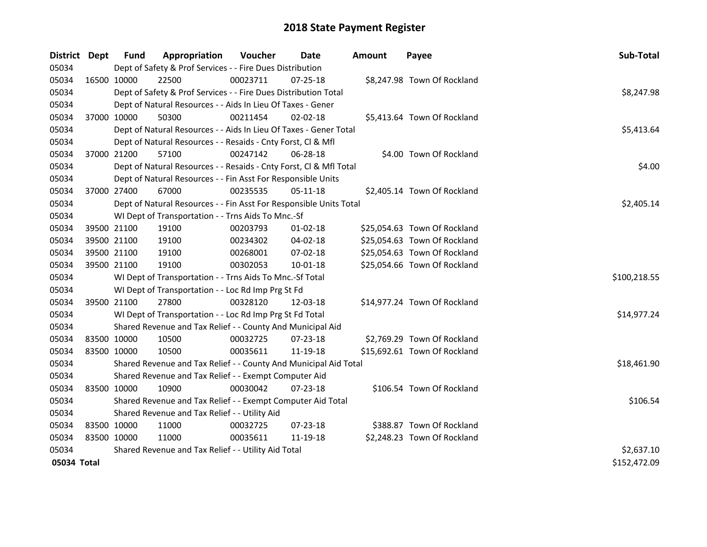| District Dept |             | <b>Fund</b>                                   | Appropriation                                                      | Voucher  | Date           | <b>Amount</b> | Payee                        | Sub-Total    |  |
|---------------|-------------|-----------------------------------------------|--------------------------------------------------------------------|----------|----------------|---------------|------------------------------|--------------|--|
| 05034         |             |                                               | Dept of Safety & Prof Services - - Fire Dues Distribution          |          |                |               |                              |              |  |
| 05034         |             | 16500 10000                                   | 22500                                                              | 00023711 | $07 - 25 - 18$ |               | \$8,247.98 Town Of Rockland  |              |  |
| 05034         |             |                                               | Dept of Safety & Prof Services - - Fire Dues Distribution Total    |          |                |               |                              | \$8,247.98   |  |
| 05034         |             |                                               | Dept of Natural Resources - - Aids In Lieu Of Taxes - Gener        |          |                |               |                              |              |  |
| 05034         |             | 37000 10000                                   | 50300                                                              | 00211454 | 02-02-18       |               | \$5,413.64 Town Of Rockland  |              |  |
| 05034         |             |                                               | Dept of Natural Resources - - Aids In Lieu Of Taxes - Gener Total  |          |                |               |                              | \$5,413.64   |  |
| 05034         |             |                                               | Dept of Natural Resources - - Resaids - Cnty Forst, Cl & Mfl       |          |                |               |                              |              |  |
| 05034         | 37000 21200 |                                               | 57100                                                              | 00247142 | 06-28-18       |               | \$4.00 Town Of Rockland      |              |  |
| 05034         |             |                                               | Dept of Natural Resources - - Resaids - Cnty Forst, Cl & Mfl Total |          |                |               |                              | \$4.00       |  |
| 05034         |             |                                               | Dept of Natural Resources - - Fin Asst For Responsible Units       |          |                |               |                              |              |  |
| 05034         | 37000 27400 |                                               | 67000                                                              | 00235535 | $05 - 11 - 18$ |               | \$2,405.14 Town Of Rockland  |              |  |
| 05034         |             |                                               | Dept of Natural Resources - - Fin Asst For Responsible Units Total |          |                |               |                              | \$2,405.14   |  |
| 05034         |             |                                               | WI Dept of Transportation - - Trns Aids To Mnc.-Sf                 |          |                |               |                              |              |  |
| 05034         |             | 39500 21100                                   | 19100                                                              | 00203793 | 01-02-18       |               | \$25,054.63 Town Of Rockland |              |  |
| 05034         |             | 39500 21100                                   | 19100                                                              | 00234302 | 04-02-18       |               | \$25,054.63 Town Of Rockland |              |  |
| 05034         |             | 39500 21100                                   | 19100                                                              | 00268001 | 07-02-18       |               | \$25,054.63 Town Of Rockland |              |  |
| 05034         |             | 39500 21100                                   | 19100                                                              | 00302053 | 10-01-18       |               | \$25,054.66 Town Of Rockland |              |  |
| 05034         |             |                                               | WI Dept of Transportation - - Trns Aids To Mnc.-Sf Total           |          |                |               |                              | \$100,218.55 |  |
| 05034         |             |                                               | WI Dept of Transportation - - Loc Rd Imp Prg St Fd                 |          |                |               |                              |              |  |
| 05034         |             | 39500 21100                                   | 27800                                                              | 00328120 | 12-03-18       |               | \$14,977.24 Town Of Rockland |              |  |
| 05034         |             |                                               | WI Dept of Transportation - - Loc Rd Imp Prg St Fd Total           |          |                |               |                              | \$14,977.24  |  |
| 05034         |             |                                               | Shared Revenue and Tax Relief - - County And Municipal Aid         |          |                |               |                              |              |  |
| 05034         |             | 83500 10000                                   | 10500                                                              | 00032725 | 07-23-18       |               | \$2,769.29 Town Of Rockland  |              |  |
| 05034         | 83500 10000 |                                               | 10500                                                              | 00035611 | 11-19-18       |               | \$15,692.61 Town Of Rockland |              |  |
| 05034         |             |                                               | Shared Revenue and Tax Relief - - County And Municipal Aid Total   |          |                |               |                              | \$18,461.90  |  |
| 05034         |             |                                               | Shared Revenue and Tax Relief - - Exempt Computer Aid              |          |                |               |                              |              |  |
| 05034         |             | 83500 10000                                   | 10900                                                              | 00030042 | 07-23-18       |               | \$106.54 Town Of Rockland    |              |  |
| 05034         |             |                                               | Shared Revenue and Tax Relief - - Exempt Computer Aid Total        |          |                |               |                              | \$106.54     |  |
| 05034         |             | Shared Revenue and Tax Relief - - Utility Aid |                                                                    |          |                |               |                              |              |  |
| 05034         |             | 83500 10000                                   | 11000                                                              | 00032725 | 07-23-18       |               | \$388.87 Town Of Rockland    |              |  |
| 05034         | 83500 10000 |                                               | 11000                                                              | 00035611 | 11-19-18       |               | \$2,248.23 Town Of Rockland  |              |  |
| 05034         |             |                                               | Shared Revenue and Tax Relief - - Utility Aid Total                |          |                |               |                              | \$2,637.10   |  |
| 05034 Total   |             |                                               |                                                                    |          |                |               |                              | \$152,472.09 |  |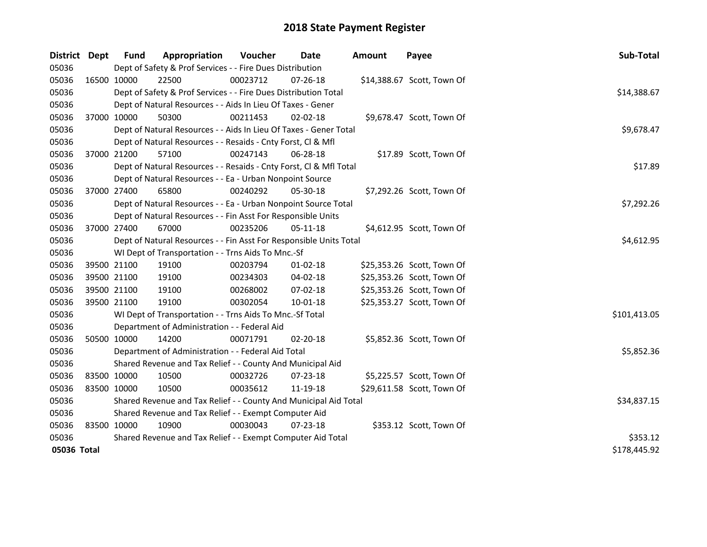| District    | Dept         | <b>Fund</b>                                                      | Appropriation                                                      | Voucher  | Date           | <b>Amount</b> | Payee                      | Sub-Total    |  |
|-------------|--------------|------------------------------------------------------------------|--------------------------------------------------------------------|----------|----------------|---------------|----------------------------|--------------|--|
| 05036       |              |                                                                  | Dept of Safety & Prof Services - - Fire Dues Distribution          |          |                |               |                            |              |  |
| 05036       | 16500 10000  |                                                                  | 22500                                                              | 00023712 | 07-26-18       |               | \$14,388.67 Scott, Town Of |              |  |
| 05036       |              |                                                                  | Dept of Safety & Prof Services - - Fire Dues Distribution Total    |          |                |               |                            | \$14,388.67  |  |
| 05036       |              |                                                                  | Dept of Natural Resources - - Aids In Lieu Of Taxes - Gener        |          |                |               |                            |              |  |
| 05036       | 37000 10000  |                                                                  | 50300                                                              | 00211453 | $02 - 02 - 18$ |               | \$9,678.47 Scott, Town Of  |              |  |
| 05036       |              |                                                                  | Dept of Natural Resources - - Aids In Lieu Of Taxes - Gener Total  |          |                |               |                            | \$9,678.47   |  |
| 05036       |              |                                                                  | Dept of Natural Resources - - Resaids - Cnty Forst, Cl & Mfl       |          |                |               |                            |              |  |
| 05036       | 37000 21200  |                                                                  | 57100                                                              | 00247143 | 06-28-18       |               | \$17.89 Scott, Town Of     |              |  |
| 05036       |              |                                                                  | Dept of Natural Resources - - Resaids - Cnty Forst, Cl & Mfl Total |          |                |               |                            | \$17.89      |  |
| 05036       |              |                                                                  | Dept of Natural Resources - - Ea - Urban Nonpoint Source           |          |                |               |                            |              |  |
| 05036       | 37000 27400  |                                                                  | 65800                                                              | 00240292 | 05-30-18       |               | \$7,292.26 Scott, Town Of  |              |  |
| 05036       |              |                                                                  | Dept of Natural Resources - - Ea - Urban Nonpoint Source Total     |          |                |               |                            | \$7,292.26   |  |
| 05036       |              |                                                                  | Dept of Natural Resources - - Fin Asst For Responsible Units       |          |                |               |                            |              |  |
| 05036       | 37000 27400  |                                                                  | 67000                                                              | 00235206 | $05 - 11 - 18$ |               | \$4,612.95 Scott, Town Of  |              |  |
| 05036       |              |                                                                  | Dept of Natural Resources - - Fin Asst For Responsible Units Total |          |                |               |                            | \$4,612.95   |  |
| 05036       |              |                                                                  | WI Dept of Transportation - - Trns Aids To Mnc.-Sf                 |          |                |               |                            |              |  |
| 05036       | 39500 21100  |                                                                  | 19100                                                              | 00203794 | $01 - 02 - 18$ |               | \$25,353.26 Scott, Town Of |              |  |
| 05036       | 39500 21100  |                                                                  | 19100                                                              | 00234303 | 04-02-18       |               | \$25,353.26 Scott, Town Of |              |  |
| 05036       | 39500 21100  |                                                                  | 19100                                                              | 00268002 | 07-02-18       |               | \$25,353.26 Scott, Town Of |              |  |
| 05036       | 39500 21100  |                                                                  | 19100                                                              | 00302054 | 10-01-18       |               | \$25,353.27 Scott, Town Of |              |  |
| 05036       |              |                                                                  | WI Dept of Transportation - - Trns Aids To Mnc.-Sf Total           |          |                |               |                            | \$101,413.05 |  |
| 05036       |              |                                                                  | Department of Administration - - Federal Aid                       |          |                |               |                            |              |  |
| 05036       | 50500 10000  |                                                                  | 14200                                                              | 00071791 | 02-20-18       |               | \$5,852.36 Scott, Town Of  |              |  |
| 05036       |              |                                                                  | Department of Administration - - Federal Aid Total                 |          |                |               |                            | \$5,852.36   |  |
| 05036       |              |                                                                  | Shared Revenue and Tax Relief - - County And Municipal Aid         |          |                |               |                            |              |  |
| 05036       |              | 83500 10000                                                      | 10500                                                              | 00032726 | 07-23-18       |               | \$5,225.57 Scott, Town Of  |              |  |
| 05036       | 83500 10000  |                                                                  | 10500                                                              | 00035612 | 11-19-18       |               | \$29,611.58 Scott, Town Of |              |  |
| 05036       |              | Shared Revenue and Tax Relief - - County And Municipal Aid Total | \$34,837.15                                                        |          |                |               |                            |              |  |
| 05036       |              | Shared Revenue and Tax Relief - - Exempt Computer Aid            |                                                                    |          |                |               |                            |              |  |
| 05036       | 83500 10000  |                                                                  | 10900                                                              | 00030043 | 07-23-18       |               | \$353.12 Scott, Town Of    |              |  |
| 05036       |              | Shared Revenue and Tax Relief - - Exempt Computer Aid Total      | \$353.12                                                           |          |                |               |                            |              |  |
| 05036 Total | \$178,445.92 |                                                                  |                                                                    |          |                |               |                            |              |  |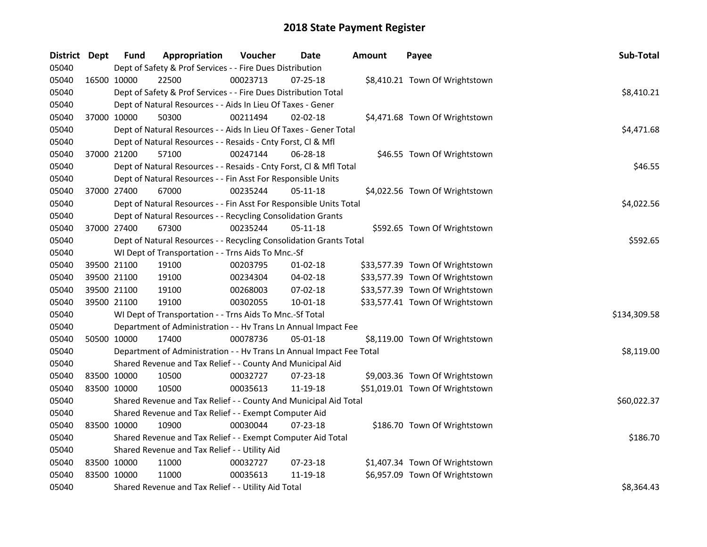| District Dept |             | Fund        | Appropriation                                                        | Voucher  | Date           | <b>Amount</b> | Payee                           | Sub-Total    |
|---------------|-------------|-------------|----------------------------------------------------------------------|----------|----------------|---------------|---------------------------------|--------------|
| 05040         |             |             | Dept of Safety & Prof Services - - Fire Dues Distribution            |          |                |               |                                 |              |
| 05040         | 16500 10000 |             | 22500                                                                | 00023713 | 07-25-18       |               | \$8,410.21 Town Of Wrightstown  |              |
| 05040         |             |             | Dept of Safety & Prof Services - - Fire Dues Distribution Total      |          |                |               |                                 | \$8,410.21   |
| 05040         |             |             | Dept of Natural Resources - - Aids In Lieu Of Taxes - Gener          |          |                |               |                                 |              |
| 05040         | 37000 10000 |             | 50300                                                                | 00211494 | $02 - 02 - 18$ |               | \$4,471.68 Town Of Wrightstown  |              |
| 05040         |             |             | Dept of Natural Resources - - Aids In Lieu Of Taxes - Gener Total    |          |                |               |                                 | \$4,471.68   |
| 05040         |             |             | Dept of Natural Resources - - Resaids - Cnty Forst, Cl & Mfl         |          |                |               |                                 |              |
| 05040         |             | 37000 21200 | 57100                                                                | 00247144 | $06 - 28 - 18$ |               | \$46.55 Town Of Wrightstown     |              |
| 05040         |             |             | Dept of Natural Resources - - Resaids - Cnty Forst, Cl & Mfl Total   |          |                |               |                                 | \$46.55      |
| 05040         |             |             | Dept of Natural Resources - - Fin Asst For Responsible Units         |          |                |               |                                 |              |
| 05040         | 37000 27400 |             | 67000                                                                | 00235244 | 05-11-18       |               | \$4,022.56 Town Of Wrightstown  |              |
| 05040         |             |             | Dept of Natural Resources - - Fin Asst For Responsible Units Total   |          |                |               |                                 | \$4,022.56   |
| 05040         |             |             | Dept of Natural Resources - - Recycling Consolidation Grants         |          |                |               |                                 |              |
| 05040         | 37000 27400 |             | 67300                                                                | 00235244 | 05-11-18       |               | \$592.65 Town Of Wrightstown    |              |
| 05040         |             |             | Dept of Natural Resources - - Recycling Consolidation Grants Total   |          |                |               |                                 | \$592.65     |
| 05040         |             |             | WI Dept of Transportation - - Trns Aids To Mnc.-Sf                   |          |                |               |                                 |              |
| 05040         | 39500 21100 |             | 19100                                                                | 00203795 | $01-02-18$     |               | \$33,577.39 Town Of Wrightstown |              |
| 05040         | 39500 21100 |             | 19100                                                                | 00234304 | 04-02-18       |               | \$33,577.39 Town Of Wrightstown |              |
| 05040         | 39500 21100 |             | 19100                                                                | 00268003 | 07-02-18       |               | \$33,577.39 Town Of Wrightstown |              |
| 05040         | 39500 21100 |             | 19100                                                                | 00302055 | 10-01-18       |               | \$33,577.41 Town Of Wrightstown |              |
| 05040         |             |             | WI Dept of Transportation - - Trns Aids To Mnc.-Sf Total             |          |                |               |                                 | \$134,309.58 |
| 05040         |             |             | Department of Administration - - Hv Trans Ln Annual Impact Fee       |          |                |               |                                 |              |
| 05040         | 50500 10000 |             | 17400                                                                | 00078736 | 05-01-18       |               | \$8,119.00 Town Of Wrightstown  |              |
| 05040         |             |             | Department of Administration - - Hv Trans Ln Annual Impact Fee Total |          |                |               |                                 | \$8,119.00   |
| 05040         |             |             | Shared Revenue and Tax Relief - - County And Municipal Aid           |          |                |               |                                 |              |
| 05040         | 83500 10000 |             | 10500                                                                | 00032727 | 07-23-18       |               | \$9,003.36 Town Of Wrightstown  |              |
| 05040         | 83500 10000 |             | 10500                                                                | 00035613 | 11-19-18       |               | \$51,019.01 Town Of Wrightstown |              |
| 05040         |             |             | Shared Revenue and Tax Relief - - County And Municipal Aid Total     |          |                |               |                                 | \$60,022.37  |
| 05040         |             |             | Shared Revenue and Tax Relief - - Exempt Computer Aid                |          |                |               |                                 |              |
| 05040         | 83500 10000 |             | 10900                                                                | 00030044 | 07-23-18       |               | \$186.70 Town Of Wrightstown    |              |
| 05040         |             |             | Shared Revenue and Tax Relief - - Exempt Computer Aid Total          |          |                |               |                                 | \$186.70     |
| 05040         |             |             | Shared Revenue and Tax Relief - - Utility Aid                        |          |                |               |                                 |              |
| 05040         | 83500 10000 |             | 11000                                                                | 00032727 | 07-23-18       |               | \$1,407.34 Town Of Wrightstown  |              |
| 05040         | 83500 10000 |             | 11000                                                                | 00035613 | 11-19-18       |               | \$6,957.09 Town Of Wrightstown  |              |
| 05040         |             |             | Shared Revenue and Tax Relief - - Utility Aid Total                  |          |                |               |                                 | \$8,364.43   |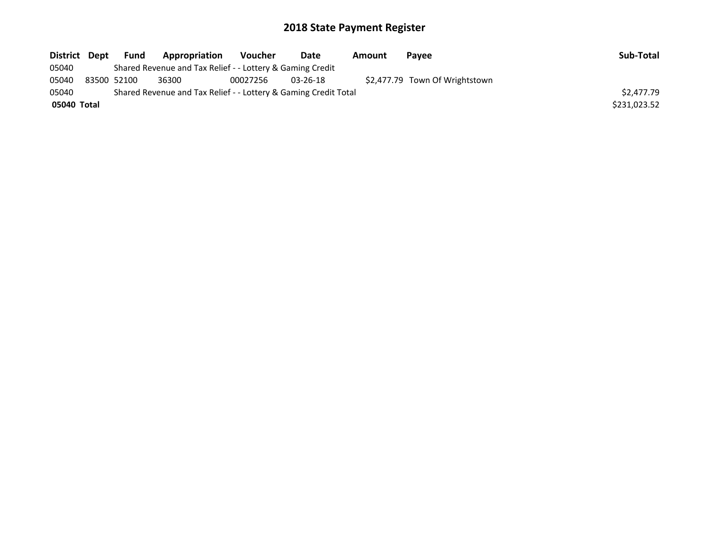| <b>District</b> | Dept | <b>Fund</b> | Appropriation                                                   | <b>Voucher</b> | Date           | Amount | <b>Pavee</b>                   | Sub-Total    |
|-----------------|------|-------------|-----------------------------------------------------------------|----------------|----------------|--------|--------------------------------|--------------|
| 05040           |      |             | Shared Revenue and Tax Relief - - Lottery & Gaming Credit       |                |                |        |                                |              |
| 05040           |      | 83500 52100 | 36300                                                           | 00027256       | $03 - 26 - 18$ |        | \$2,477.79 Town Of Wrightstown |              |
| 05040           |      |             | Shared Revenue and Tax Relief - - Lottery & Gaming Credit Total |                |                |        |                                | \$2,477.79   |
| 05040 Total     |      |             |                                                                 |                |                |        |                                | \$231,023.52 |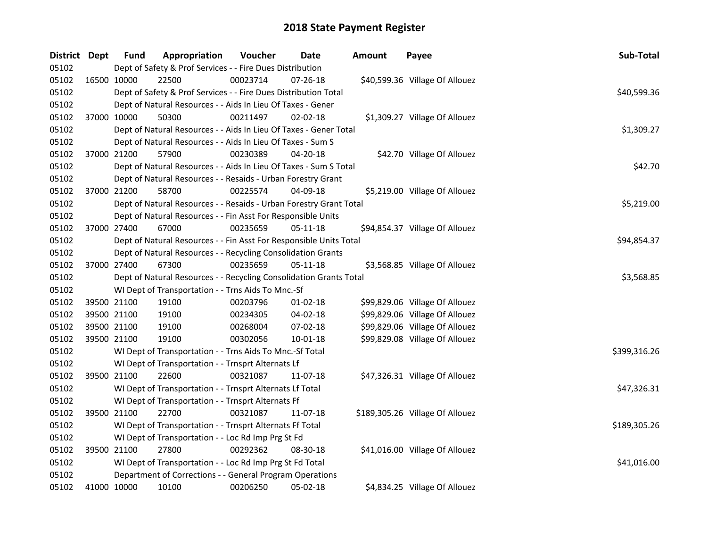| District Dept |             | <b>Fund</b> | Appropriation                                                      | Voucher  | Date           | <b>Amount</b> | Payee                           | Sub-Total    |
|---------------|-------------|-------------|--------------------------------------------------------------------|----------|----------------|---------------|---------------------------------|--------------|
| 05102         |             |             | Dept of Safety & Prof Services - - Fire Dues Distribution          |          |                |               |                                 |              |
| 05102         | 16500 10000 |             | 22500                                                              | 00023714 | 07-26-18       |               | \$40,599.36 Village Of Allouez  |              |
| 05102         |             |             | Dept of Safety & Prof Services - - Fire Dues Distribution Total    |          |                |               |                                 | \$40,599.36  |
| 05102         |             |             | Dept of Natural Resources - - Aids In Lieu Of Taxes - Gener        |          |                |               |                                 |              |
| 05102         |             | 37000 10000 | 50300                                                              | 00211497 | $02 - 02 - 18$ |               | \$1,309.27 Village Of Allouez   |              |
| 05102         |             |             | Dept of Natural Resources - - Aids In Lieu Of Taxes - Gener Total  |          |                |               |                                 | \$1,309.27   |
| 05102         |             |             | Dept of Natural Resources - - Aids In Lieu Of Taxes - Sum S        |          |                |               |                                 |              |
| 05102         |             | 37000 21200 | 57900                                                              | 00230389 | 04-20-18       |               | \$42.70 Village Of Allouez      |              |
| 05102         |             |             | Dept of Natural Resources - - Aids In Lieu Of Taxes - Sum S Total  |          |                |               |                                 | \$42.70      |
| 05102         |             |             | Dept of Natural Resources - - Resaids - Urban Forestry Grant       |          |                |               |                                 |              |
| 05102         |             | 37000 21200 | 58700                                                              | 00225574 | 04-09-18       |               | \$5,219.00 Village Of Allouez   |              |
| 05102         |             |             | Dept of Natural Resources - - Resaids - Urban Forestry Grant Total |          |                |               |                                 | \$5,219.00   |
| 05102         |             |             | Dept of Natural Resources - - Fin Asst For Responsible Units       |          |                |               |                                 |              |
| 05102         |             | 37000 27400 | 67000                                                              | 00235659 | 05-11-18       |               | \$94,854.37 Village Of Allouez  |              |
| 05102         |             |             | Dept of Natural Resources - - Fin Asst For Responsible Units Total |          |                |               |                                 | \$94,854.37  |
| 05102         |             |             | Dept of Natural Resources - - Recycling Consolidation Grants       |          |                |               |                                 |              |
| 05102         |             | 37000 27400 | 67300                                                              | 00235659 | $05 - 11 - 18$ |               | \$3,568.85 Village Of Allouez   |              |
| 05102         |             |             | Dept of Natural Resources - - Recycling Consolidation Grants Total |          |                |               |                                 | \$3,568.85   |
| 05102         |             |             | WI Dept of Transportation - - Trns Aids To Mnc.-Sf                 |          |                |               |                                 |              |
| 05102         | 39500 21100 |             | 19100                                                              | 00203796 | $01-02-18$     |               | \$99,829.06 Village Of Allouez  |              |
| 05102         | 39500 21100 |             | 19100                                                              | 00234305 | 04-02-18       |               | \$99,829.06 Village Of Allouez  |              |
| 05102         | 39500 21100 |             | 19100                                                              | 00268004 | 07-02-18       |               | \$99,829.06 Village Of Allouez  |              |
| 05102         |             | 39500 21100 | 19100                                                              | 00302056 | 10-01-18       |               | \$99,829.08 Village Of Allouez  |              |
| 05102         |             |             | WI Dept of Transportation - - Trns Aids To Mnc.-Sf Total           |          |                |               |                                 | \$399,316.26 |
| 05102         |             |             | WI Dept of Transportation - - Trnsprt Alternats Lf                 |          |                |               |                                 |              |
| 05102         |             | 39500 21100 | 22600                                                              | 00321087 | 11-07-18       |               | \$47,326.31 Village Of Allouez  |              |
| 05102         |             |             | WI Dept of Transportation - - Trnsprt Alternats Lf Total           |          |                |               |                                 | \$47,326.31  |
| 05102         |             |             | WI Dept of Transportation - - Trnsprt Alternats Ff                 |          |                |               |                                 |              |
| 05102         |             | 39500 21100 | 22700                                                              | 00321087 | 11-07-18       |               | \$189,305.26 Village Of Allouez |              |
| 05102         |             |             | WI Dept of Transportation - - Trnsprt Alternats Ff Total           |          |                |               |                                 | \$189,305.26 |
| 05102         |             |             | WI Dept of Transportation - - Loc Rd Imp Prg St Fd                 |          |                |               |                                 |              |
| 05102         |             | 39500 21100 | 27800                                                              | 00292362 | 08-30-18       |               | \$41,016.00 Village Of Allouez  |              |
| 05102         |             |             | WI Dept of Transportation - - Loc Rd Imp Prg St Fd Total           |          |                |               |                                 | \$41,016.00  |
| 05102         |             |             | Department of Corrections - - General Program Operations           |          |                |               |                                 |              |
| 05102         | 41000 10000 |             | 10100                                                              | 00206250 | 05-02-18       |               | \$4,834.25 Village Of Allouez   |              |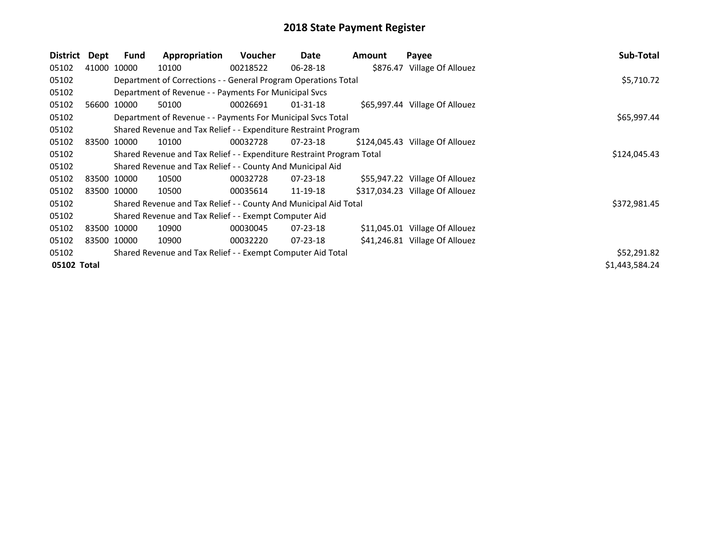| District    | Dept  | Fund        | Appropriation                                                         | <b>Voucher</b> | Date           | <b>Amount</b> | Payee                           | Sub-Total      |
|-------------|-------|-------------|-----------------------------------------------------------------------|----------------|----------------|---------------|---------------------------------|----------------|
| 05102       |       | 41000 10000 | 10100                                                                 | 00218522       | $06 - 28 - 18$ |               | \$876.47 Village Of Allouez     |                |
| 05102       |       |             | Department of Corrections - - General Program Operations Total        |                |                |               |                                 | \$5,710.72     |
| 05102       |       |             | Department of Revenue - - Payments For Municipal Svcs                 |                |                |               |                                 |                |
| 05102       | 56600 | 10000       | 50100                                                                 | 00026691       | $01 - 31 - 18$ |               | \$65,997.44 Village Of Allouez  |                |
| 05102       |       |             | Department of Revenue - - Payments For Municipal Svcs Total           |                |                |               |                                 | \$65,997.44    |
| 05102       |       |             | Shared Revenue and Tax Relief - - Expenditure Restraint Program       |                |                |               |                                 |                |
| 05102       |       | 83500 10000 | 10100                                                                 | 00032728       | 07-23-18       |               | \$124,045.43 Village Of Allouez |                |
| 05102       |       |             | Shared Revenue and Tax Relief - - Expenditure Restraint Program Total | \$124,045.43   |                |               |                                 |                |
| 05102       |       |             | Shared Revenue and Tax Relief - - County And Municipal Aid            |                |                |               |                                 |                |
| 05102       |       | 83500 10000 | 10500                                                                 | 00032728       | 07-23-18       |               | \$55,947.22 Village Of Allouez  |                |
| 05102       |       | 83500 10000 | 10500                                                                 | 00035614       | 11-19-18       |               | \$317,034.23 Village Of Allouez |                |
| 05102       |       |             | Shared Revenue and Tax Relief - - County And Municipal Aid Total      |                |                |               |                                 | \$372,981.45   |
| 05102       |       |             | Shared Revenue and Tax Relief - - Exempt Computer Aid                 |                |                |               |                                 |                |
| 05102       |       | 83500 10000 | 10900                                                                 | 00030045       | $07 - 23 - 18$ |               | \$11,045.01 Village Of Allouez  |                |
| 05102       |       | 83500 10000 | 10900                                                                 | 00032220       | $07 - 23 - 18$ |               | \$41,246.81 Village Of Allouez  |                |
| 05102       |       |             | Shared Revenue and Tax Relief - - Exempt Computer Aid Total           |                |                |               |                                 | \$52,291.82    |
| 05102 Total |       |             |                                                                       |                |                |               |                                 | \$1,443,584.24 |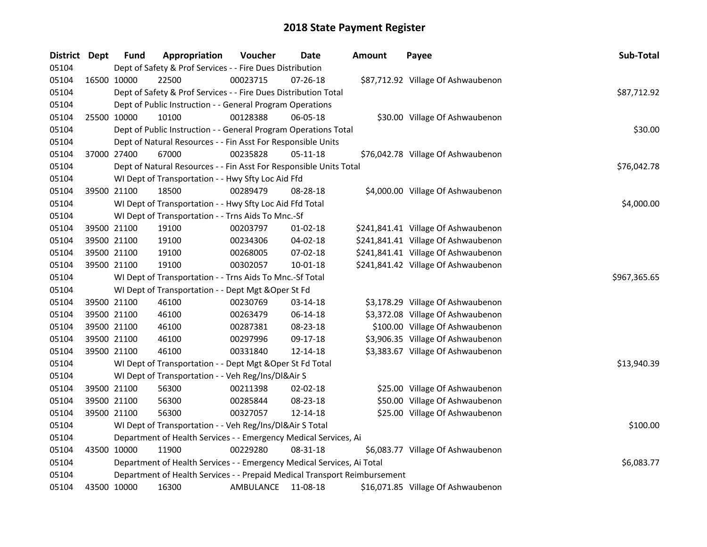| District Dept |             | <b>Fund</b>                                                            | Appropriation                                                             | Voucher   | Date       | <b>Amount</b> | Payee                               | Sub-Total    |
|---------------|-------------|------------------------------------------------------------------------|---------------------------------------------------------------------------|-----------|------------|---------------|-------------------------------------|--------------|
| 05104         |             |                                                                        | Dept of Safety & Prof Services - - Fire Dues Distribution                 |           |            |               |                                     |              |
| 05104         |             | 16500 10000                                                            | 22500                                                                     | 00023715  | 07-26-18   |               | \$87,712.92 Village Of Ashwaubenon  |              |
| 05104         |             |                                                                        | Dept of Safety & Prof Services - - Fire Dues Distribution Total           |           |            |               |                                     | \$87,712.92  |
| 05104         |             |                                                                        | Dept of Public Instruction - - General Program Operations                 |           |            |               |                                     |              |
| 05104         |             | 25500 10000                                                            | 10100                                                                     | 00128388  | 06-05-18   |               | \$30.00 Village Of Ashwaubenon      |              |
| 05104         |             |                                                                        | Dept of Public Instruction - - General Program Operations Total           |           |            |               |                                     | \$30.00      |
| 05104         |             |                                                                        | Dept of Natural Resources - - Fin Asst For Responsible Units              |           |            |               |                                     |              |
| 05104         |             | 37000 27400                                                            | 67000                                                                     | 00235828  | 05-11-18   |               | \$76,042.78 Village Of Ashwaubenon  |              |
| 05104         |             |                                                                        | Dept of Natural Resources - - Fin Asst For Responsible Units Total        |           |            |               |                                     | \$76,042.78  |
| 05104         |             |                                                                        | WI Dept of Transportation - - Hwy Sfty Loc Aid Ffd                        |           |            |               |                                     |              |
| 05104         |             | 39500 21100                                                            | 18500                                                                     | 00289479  | 08-28-18   |               | \$4,000.00 Village Of Ashwaubenon   |              |
| 05104         |             |                                                                        | WI Dept of Transportation - - Hwy Sfty Loc Aid Ffd Total                  |           |            |               |                                     | \$4,000.00   |
| 05104         |             |                                                                        | WI Dept of Transportation - - Trns Aids To Mnc.-Sf                        |           |            |               |                                     |              |
| 05104         |             | 39500 21100                                                            | 19100                                                                     | 00203797  | $01-02-18$ |               | \$241,841.41 Village Of Ashwaubenon |              |
| 05104         |             | 39500 21100                                                            | 19100                                                                     | 00234306  | 04-02-18   |               | \$241,841.41 Village Of Ashwaubenon |              |
| 05104         |             | 39500 21100                                                            | 19100                                                                     | 00268005  | 07-02-18   |               | \$241,841.41 Village Of Ashwaubenon |              |
| 05104         |             | 39500 21100                                                            | 19100                                                                     | 00302057  | 10-01-18   |               | \$241,841.42 Village Of Ashwaubenon |              |
| 05104         |             |                                                                        | WI Dept of Transportation - - Trns Aids To Mnc.-Sf Total                  |           |            |               |                                     | \$967,365.65 |
| 05104         |             |                                                                        | WI Dept of Transportation - - Dept Mgt & Oper St Fd                       |           |            |               |                                     |              |
| 05104         |             | 39500 21100                                                            | 46100                                                                     | 00230769  | 03-14-18   |               | \$3,178.29 Village Of Ashwaubenon   |              |
| 05104         |             | 39500 21100                                                            | 46100                                                                     | 00263479  | 06-14-18   |               | \$3,372.08 Village Of Ashwaubenon   |              |
| 05104         |             | 39500 21100                                                            | 46100                                                                     | 00287381  | 08-23-18   |               | \$100.00 Village Of Ashwaubenon     |              |
| 05104         |             | 39500 21100                                                            | 46100                                                                     | 00297996  | 09-17-18   |               | \$3,906.35 Village Of Ashwaubenon   |              |
| 05104         |             | 39500 21100                                                            | 46100                                                                     | 00331840  | 12-14-18   |               | \$3,383.67 Village Of Ashwaubenon   |              |
| 05104         |             |                                                                        | WI Dept of Transportation - - Dept Mgt & Oper St Fd Total                 |           |            |               |                                     | \$13,940.39  |
| 05104         |             |                                                                        | WI Dept of Transportation - - Veh Reg/Ins/DI&Air S                        |           |            |               |                                     |              |
| 05104         |             | 39500 21100                                                            | 56300                                                                     | 00211398  | 02-02-18   |               | \$25.00 Village Of Ashwaubenon      |              |
| 05104         |             | 39500 21100                                                            | 56300                                                                     | 00285844  | 08-23-18   |               | \$50.00 Village Of Ashwaubenon      |              |
| 05104         | 39500 21100 |                                                                        | 56300                                                                     | 00327057  | 12-14-18   |               | \$25.00 Village Of Ashwaubenon      |              |
| 05104         |             |                                                                        | WI Dept of Transportation - - Veh Reg/Ins/DI&Air S Total                  |           |            |               |                                     | \$100.00     |
| 05104         |             |                                                                        | Department of Health Services - - Emergency Medical Services, Ai          |           |            |               |                                     |              |
| 05104         |             | 43500 10000                                                            | 11900                                                                     | 00229280  | 08-31-18   |               | \$6,083.77 Village Of Ashwaubenon   |              |
| 05104         |             | Department of Health Services - - Emergency Medical Services, Ai Total | \$6,083.77                                                                |           |            |               |                                     |              |
| 05104         |             |                                                                        | Department of Health Services - - Prepaid Medical Transport Reimbursement |           |            |               |                                     |              |
| 05104         |             | 43500 10000                                                            | 16300                                                                     | AMBULANCE | 11-08-18   |               | \$16,071.85 Village Of Ashwaubenon  |              |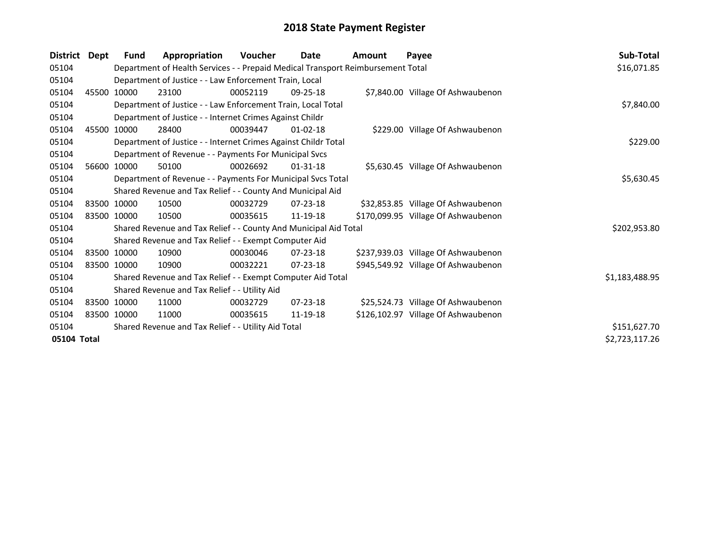| <b>District</b> | Dept | <b>Fund</b>                                         | Appropriation                                                                   | Voucher  | Date           | <b>Amount</b> | Payee                               | Sub-Total      |
|-----------------|------|-----------------------------------------------------|---------------------------------------------------------------------------------|----------|----------------|---------------|-------------------------------------|----------------|
| 05104           |      |                                                     | Department of Health Services - - Prepaid Medical Transport Reimbursement Total |          |                |               |                                     | \$16,071.85    |
| 05104           |      |                                                     | Department of Justice - - Law Enforcement Train, Local                          |          |                |               |                                     |                |
| 05104           |      | 45500 10000                                         | 23100                                                                           | 00052119 | $09 - 25 - 18$ |               | \$7,840.00 Village Of Ashwaubenon   |                |
| 05104           |      |                                                     | Department of Justice - - Law Enforcement Train, Local Total                    |          |                |               |                                     | \$7,840.00     |
| 05104           |      |                                                     | Department of Justice - - Internet Crimes Against Childr                        |          |                |               |                                     |                |
| 05104           |      | 45500 10000                                         | 28400                                                                           | 00039447 | $01 - 02 - 18$ |               | \$229.00 Village Of Ashwaubenon     |                |
| 05104           |      |                                                     | Department of Justice - - Internet Crimes Against Childr Total                  |          |                |               |                                     | \$229.00       |
| 05104           |      |                                                     | Department of Revenue - - Payments For Municipal Svcs                           |          |                |               |                                     |                |
| 05104           |      | 56600 10000                                         | 50100                                                                           | 00026692 | $01 - 31 - 18$ |               | \$5,630.45 Village Of Ashwaubenon   |                |
| 05104           |      |                                                     | Department of Revenue - - Payments For Municipal Svcs Total                     |          |                |               |                                     | \$5,630.45     |
| 05104           |      |                                                     | Shared Revenue and Tax Relief - - County And Municipal Aid                      |          |                |               |                                     |                |
| 05104           |      | 83500 10000                                         | 10500                                                                           | 00032729 | $07 - 23 - 18$ |               | \$32,853.85 Village Of Ashwaubenon  |                |
| 05104           |      | 83500 10000                                         | 10500                                                                           | 00035615 | 11-19-18       |               | \$170,099.95 Village Of Ashwaubenon |                |
| 05104           |      |                                                     | Shared Revenue and Tax Relief - - County And Municipal Aid Total                |          |                |               |                                     | \$202,953.80   |
| 05104           |      |                                                     | Shared Revenue and Tax Relief - - Exempt Computer Aid                           |          |                |               |                                     |                |
| 05104           |      | 83500 10000                                         | 10900                                                                           | 00030046 | $07 - 23 - 18$ |               | \$237,939.03 Village Of Ashwaubenon |                |
| 05104           |      | 83500 10000                                         | 10900                                                                           | 00032221 | $07 - 23 - 18$ |               | \$945,549.92 Village Of Ashwaubenon |                |
| 05104           |      |                                                     | Shared Revenue and Tax Relief - - Exempt Computer Aid Total                     |          |                |               |                                     | \$1,183,488.95 |
| 05104           |      |                                                     | Shared Revenue and Tax Relief - - Utility Aid                                   |          |                |               |                                     |                |
| 05104           |      | 83500 10000                                         | 11000                                                                           | 00032729 | $07 - 23 - 18$ |               | \$25,524.73 Village Of Ashwaubenon  |                |
| 05104           |      | 83500 10000                                         | 11000                                                                           | 00035615 | 11-19-18       |               | \$126,102.97 Village Of Ashwaubenon |                |
| 05104           |      | Shared Revenue and Tax Relief - - Utility Aid Total | \$151,627.70                                                                    |          |                |               |                                     |                |
| 05104 Total     |      |                                                     |                                                                                 |          |                |               |                                     | \$2,723,117.26 |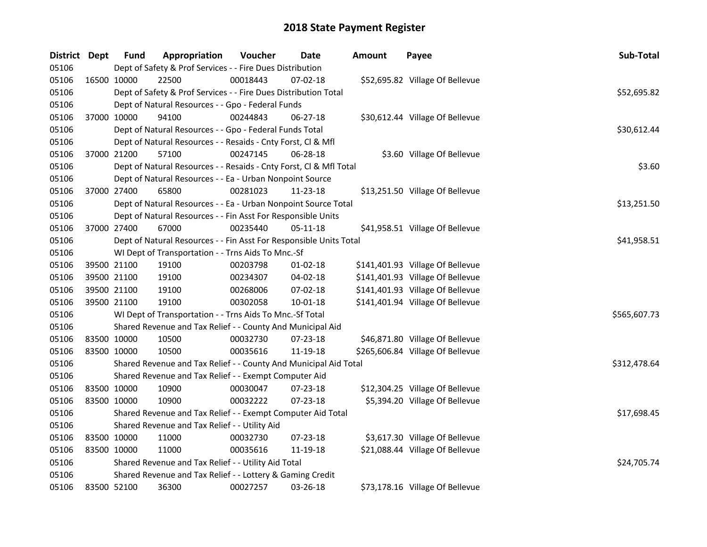| District Dept |             | <b>Fund</b> | Appropriation                                                      | Voucher  | Date           | <b>Amount</b> | Payee                            | Sub-Total    |
|---------------|-------------|-------------|--------------------------------------------------------------------|----------|----------------|---------------|----------------------------------|--------------|
| 05106         |             |             | Dept of Safety & Prof Services - - Fire Dues Distribution          |          |                |               |                                  |              |
| 05106         | 16500 10000 |             | 22500                                                              | 00018443 | 07-02-18       |               | \$52,695.82 Village Of Bellevue  |              |
| 05106         |             |             | Dept of Safety & Prof Services - - Fire Dues Distribution Total    |          |                |               |                                  | \$52,695.82  |
| 05106         |             |             | Dept of Natural Resources - - Gpo - Federal Funds                  |          |                |               |                                  |              |
| 05106         | 37000 10000 |             | 94100                                                              | 00244843 | 06-27-18       |               | \$30,612.44 Village Of Bellevue  |              |
| 05106         |             |             | Dept of Natural Resources - - Gpo - Federal Funds Total            |          |                |               |                                  | \$30,612.44  |
| 05106         |             |             | Dept of Natural Resources - - Resaids - Cnty Forst, Cl & Mfl       |          |                |               |                                  |              |
| 05106         |             | 37000 21200 | 57100                                                              | 00247145 | 06-28-18       |               | \$3.60 Village Of Bellevue       |              |
| 05106         |             |             | Dept of Natural Resources - - Resaids - Cnty Forst, CI & Mfl Total |          |                |               |                                  | \$3.60       |
| 05106         |             |             | Dept of Natural Resources - - Ea - Urban Nonpoint Source           |          |                |               |                                  |              |
| 05106         | 37000 27400 |             | 65800                                                              | 00281023 | 11-23-18       |               | \$13,251.50 Village Of Bellevue  |              |
| 05106         |             |             | Dept of Natural Resources - - Ea - Urban Nonpoint Source Total     |          |                |               |                                  | \$13,251.50  |
| 05106         |             |             | Dept of Natural Resources - - Fin Asst For Responsible Units       |          |                |               |                                  |              |
| 05106         | 37000 27400 |             | 67000                                                              | 00235440 | 05-11-18       |               | \$41,958.51 Village Of Bellevue  |              |
| 05106         |             |             | Dept of Natural Resources - - Fin Asst For Responsible Units Total |          |                |               |                                  | \$41,958.51  |
| 05106         |             |             | WI Dept of Transportation - - Trns Aids To Mnc.-Sf                 |          |                |               |                                  |              |
| 05106         |             | 39500 21100 | 19100                                                              | 00203798 | $01-02-18$     |               | \$141,401.93 Village Of Bellevue |              |
| 05106         | 39500 21100 |             | 19100                                                              | 00234307 | 04-02-18       |               | \$141,401.93 Village Of Bellevue |              |
| 05106         | 39500 21100 |             | 19100                                                              | 00268006 | 07-02-18       |               | \$141,401.93 Village Of Bellevue |              |
| 05106         | 39500 21100 |             | 19100                                                              | 00302058 | $10 - 01 - 18$ |               | \$141,401.94 Village Of Bellevue |              |
| 05106         |             |             | WI Dept of Transportation - - Trns Aids To Mnc.-Sf Total           |          |                |               |                                  | \$565,607.73 |
| 05106         |             |             | Shared Revenue and Tax Relief - - County And Municipal Aid         |          |                |               |                                  |              |
| 05106         |             | 83500 10000 | 10500                                                              | 00032730 | 07-23-18       |               | \$46,871.80 Village Of Bellevue  |              |
| 05106         | 83500 10000 |             | 10500                                                              | 00035616 | 11-19-18       |               | \$265,606.84 Village Of Bellevue |              |
| 05106         |             |             | Shared Revenue and Tax Relief - - County And Municipal Aid Total   |          |                |               |                                  | \$312,478.64 |
| 05106         |             |             | Shared Revenue and Tax Relief - - Exempt Computer Aid              |          |                |               |                                  |              |
| 05106         | 83500 10000 |             | 10900                                                              | 00030047 | 07-23-18       |               | \$12,304.25 Village Of Bellevue  |              |
| 05106         | 83500 10000 |             | 10900                                                              | 00032222 | 07-23-18       |               | \$5,394.20 Village Of Bellevue   |              |
| 05106         |             |             | Shared Revenue and Tax Relief - - Exempt Computer Aid Total        |          |                |               |                                  | \$17,698.45  |
| 05106         |             |             | Shared Revenue and Tax Relief - - Utility Aid                      |          |                |               |                                  |              |
| 05106         | 83500 10000 |             | 11000                                                              | 00032730 | 07-23-18       |               | \$3,617.30 Village Of Bellevue   |              |
| 05106         | 83500 10000 |             | 11000                                                              | 00035616 | 11-19-18       |               | \$21,088.44 Village Of Bellevue  |              |
| 05106         |             |             | Shared Revenue and Tax Relief - - Utility Aid Total                |          |                |               |                                  | \$24,705.74  |
| 05106         |             |             | Shared Revenue and Tax Relief - - Lottery & Gaming Credit          |          |                |               |                                  |              |
| 05106         | 83500 52100 |             | 36300                                                              | 00027257 | 03-26-18       |               | \$73,178.16 Village Of Bellevue  |              |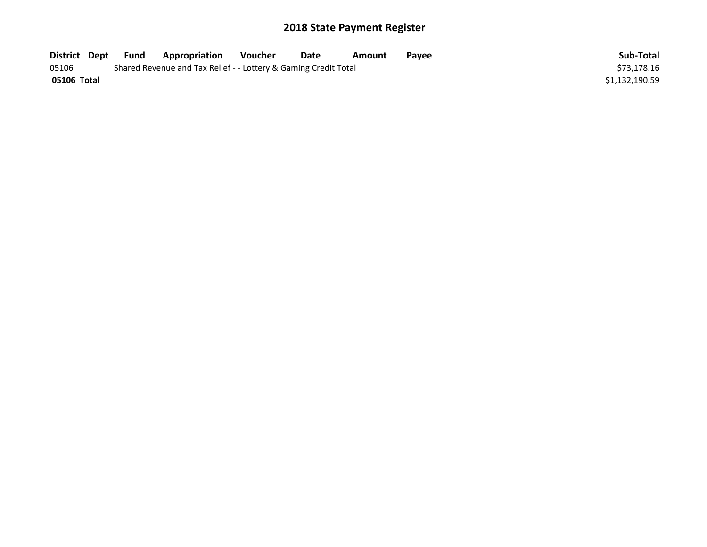| District Dept | Fund | Appropriation                                                   | Voucher | Date | Amount | <b>Pavee</b> | Sub-Total      |
|---------------|------|-----------------------------------------------------------------|---------|------|--------|--------------|----------------|
| 05106         |      | Shared Revenue and Tax Relief - - Lottery & Gaming Credit Total |         |      |        |              | \$73.178.16    |
| 05106 Total   |      |                                                                 |         |      |        |              | \$1,132,190.59 |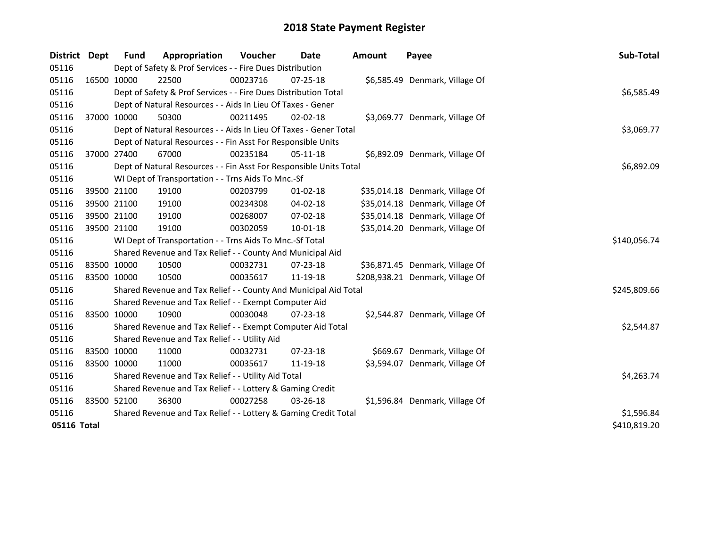| District    | Dept        | <b>Fund</b> | Appropriation                                                      | Voucher    | <b>Date</b>    | <b>Amount</b> | Payee                            | Sub-Total    |
|-------------|-------------|-------------|--------------------------------------------------------------------|------------|----------------|---------------|----------------------------------|--------------|
| 05116       |             |             | Dept of Safety & Prof Services - - Fire Dues Distribution          |            |                |               |                                  |              |
| 05116       |             | 16500 10000 | 22500                                                              | 00023716   | 07-25-18       |               | \$6,585.49 Denmark, Village Of   |              |
| 05116       |             |             | Dept of Safety & Prof Services - - Fire Dues Distribution Total    |            |                |               |                                  | \$6,585.49   |
| 05116       |             |             | Dept of Natural Resources - - Aids In Lieu Of Taxes - Gener        |            |                |               |                                  |              |
| 05116       | 37000 10000 |             | 50300                                                              | 00211495   | $02 - 02 - 18$ |               | \$3,069.77 Denmark, Village Of   |              |
| 05116       |             |             | Dept of Natural Resources - - Aids In Lieu Of Taxes - Gener Total  |            |                |               |                                  | \$3,069.77   |
| 05116       |             |             | Dept of Natural Resources - - Fin Asst For Responsible Units       |            |                |               |                                  |              |
| 05116       |             | 37000 27400 | 67000                                                              | 00235184   | 05-11-18       |               | \$6,892.09 Denmark, Village Of   |              |
| 05116       |             |             | Dept of Natural Resources - - Fin Asst For Responsible Units Total | \$6,892.09 |                |               |                                  |              |
| 05116       |             |             | WI Dept of Transportation - - Trns Aids To Mnc.-Sf                 |            |                |               |                                  |              |
| 05116       |             | 39500 21100 | 19100                                                              | 00203799   | $01 - 02 - 18$ |               | \$35,014.18 Denmark, Village Of  |              |
| 05116       |             | 39500 21100 | 19100                                                              | 00234308   | 04-02-18       |               | \$35,014.18 Denmark, Village Of  |              |
| 05116       |             | 39500 21100 | 19100                                                              | 00268007   | $07 - 02 - 18$ |               | \$35,014.18 Denmark, Village Of  |              |
| 05116       | 39500 21100 |             | 19100                                                              | 00302059   | $10 - 01 - 18$ |               | \$35,014.20 Denmark, Village Of  |              |
| 05116       |             |             | WI Dept of Transportation - - Trns Aids To Mnc.-Sf Total           |            |                |               |                                  | \$140,056.74 |
| 05116       |             |             | Shared Revenue and Tax Relief - - County And Municipal Aid         |            |                |               |                                  |              |
| 05116       |             | 83500 10000 | 10500                                                              | 00032731   | 07-23-18       |               | \$36,871.45 Denmark, Village Of  |              |
| 05116       | 83500 10000 |             | 10500                                                              | 00035617   | 11-19-18       |               | \$208,938.21 Denmark, Village Of |              |
| 05116       |             |             | Shared Revenue and Tax Relief - - County And Municipal Aid Total   |            |                |               |                                  | \$245,809.66 |
| 05116       |             |             | Shared Revenue and Tax Relief - - Exempt Computer Aid              |            |                |               |                                  |              |
| 05116       |             | 83500 10000 | 10900                                                              | 00030048   | 07-23-18       |               | \$2,544.87 Denmark, Village Of   |              |
| 05116       |             |             | Shared Revenue and Tax Relief - - Exempt Computer Aid Total        |            |                |               |                                  | \$2,544.87   |
| 05116       |             |             | Shared Revenue and Tax Relief - - Utility Aid                      |            |                |               |                                  |              |
| 05116       |             | 83500 10000 | 11000                                                              | 00032731   | $07 - 23 - 18$ |               | \$669.67 Denmark, Village Of     |              |
| 05116       |             | 83500 10000 | 11000                                                              | 00035617   | 11-19-18       |               | \$3,594.07 Denmark, Village Of   |              |
| 05116       |             |             | Shared Revenue and Tax Relief - - Utility Aid Total                |            |                |               |                                  | \$4,263.74   |
| 05116       |             |             | Shared Revenue and Tax Relief - - Lottery & Gaming Credit          |            |                |               |                                  |              |
| 05116       |             | 83500 52100 | 36300                                                              | 00027258   | 03-26-18       |               | \$1,596.84 Denmark, Village Of   |              |
| 05116       |             |             | Shared Revenue and Tax Relief - - Lottery & Gaming Credit Total    |            |                |               |                                  | \$1,596.84   |
| 05116 Total |             |             |                                                                    |            |                |               |                                  | \$410,819.20 |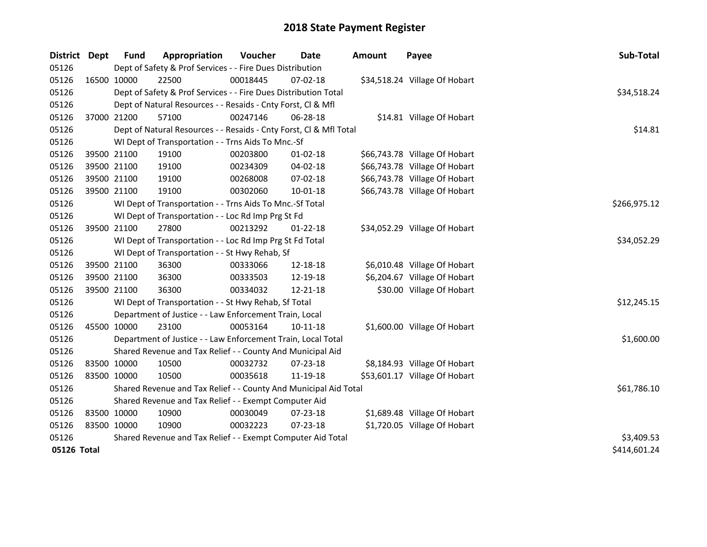| District    | <b>Dept</b> | <b>Fund</b>                                           | Appropriation                                                      | Voucher     | <b>Date</b>    | <b>Amount</b> | Payee                         | Sub-Total    |
|-------------|-------------|-------------------------------------------------------|--------------------------------------------------------------------|-------------|----------------|---------------|-------------------------------|--------------|
| 05126       |             |                                                       | Dept of Safety & Prof Services - - Fire Dues Distribution          |             |                |               |                               |              |
| 05126       | 16500 10000 |                                                       | 22500                                                              | 00018445    | 07-02-18       |               | \$34,518.24 Village Of Hobart |              |
| 05126       |             |                                                       | Dept of Safety & Prof Services - - Fire Dues Distribution Total    |             |                |               |                               | \$34,518.24  |
| 05126       |             |                                                       | Dept of Natural Resources - - Resaids - Cnty Forst, Cl & Mfl       |             |                |               |                               |              |
| 05126       | 37000 21200 |                                                       | 57100                                                              | 00247146    | 06-28-18       |               | \$14.81 Village Of Hobart     |              |
| 05126       |             |                                                       | Dept of Natural Resources - - Resaids - Cnty Forst, Cl & Mfl Total |             |                |               |                               | \$14.81      |
| 05126       |             |                                                       | WI Dept of Transportation - - Trns Aids To Mnc.-Sf                 |             |                |               |                               |              |
| 05126       | 39500 21100 |                                                       | 19100                                                              | 00203800    | $01 - 02 - 18$ |               | \$66,743.78 Village Of Hobart |              |
| 05126       | 39500 21100 |                                                       | 19100                                                              | 00234309    | $04 - 02 - 18$ |               | \$66,743.78 Village Of Hobart |              |
| 05126       | 39500 21100 |                                                       | 19100                                                              | 00268008    | 07-02-18       |               | \$66,743.78 Village Of Hobart |              |
| 05126       | 39500 21100 |                                                       | 19100                                                              | 00302060    | 10-01-18       |               | \$66,743.78 Village Of Hobart |              |
| 05126       |             |                                                       | WI Dept of Transportation - - Trns Aids To Mnc.-Sf Total           |             |                |               |                               | \$266,975.12 |
| 05126       |             |                                                       | WI Dept of Transportation - - Loc Rd Imp Prg St Fd                 |             |                |               |                               |              |
| 05126       | 39500 21100 |                                                       | 27800                                                              | 00213292    | 01-22-18       |               | \$34,052.29 Village Of Hobart |              |
| 05126       |             |                                                       | WI Dept of Transportation - - Loc Rd Imp Prg St Fd Total           | \$34,052.29 |                |               |                               |              |
| 05126       |             |                                                       | WI Dept of Transportation - - St Hwy Rehab, Sf                     |             |                |               |                               |              |
| 05126       | 39500 21100 |                                                       | 36300                                                              | 00333066    | 12-18-18       |               | \$6,010.48 Village Of Hobart  |              |
| 05126       | 39500 21100 |                                                       | 36300                                                              | 00333503    | 12-19-18       |               | \$6,204.67 Village Of Hobart  |              |
| 05126       |             | 39500 21100                                           | 36300                                                              | 00334032    | 12-21-18       |               | \$30.00 Village Of Hobart     |              |
| 05126       |             |                                                       | WI Dept of Transportation - - St Hwy Rehab, Sf Total               |             |                |               |                               | \$12,245.15  |
| 05126       |             |                                                       | Department of Justice - - Law Enforcement Train, Local             |             |                |               |                               |              |
| 05126       | 45500 10000 |                                                       | 23100                                                              | 00053164    | $10 - 11 - 18$ |               | \$1,600.00 Village Of Hobart  |              |
| 05126       |             |                                                       | Department of Justice - - Law Enforcement Train, Local Total       |             |                |               |                               | \$1,600.00   |
| 05126       |             |                                                       | Shared Revenue and Tax Relief - - County And Municipal Aid         |             |                |               |                               |              |
| 05126       | 83500 10000 |                                                       | 10500                                                              | 00032732    | $07 - 23 - 18$ |               | \$8,184.93 Village Of Hobart  |              |
| 05126       | 83500 10000 |                                                       | 10500                                                              | 00035618    | 11-19-18       |               | \$53,601.17 Village Of Hobart |              |
| 05126       |             |                                                       | Shared Revenue and Tax Relief - - County And Municipal Aid Total   |             |                |               |                               | \$61,786.10  |
| 05126       |             | Shared Revenue and Tax Relief - - Exempt Computer Aid |                                                                    |             |                |               |                               |              |
| 05126       | 83500 10000 |                                                       | 10900                                                              | 00030049    | 07-23-18       |               | \$1,689.48 Village Of Hobart  |              |
| 05126       | 83500 10000 |                                                       | 10900                                                              | 00032223    | 07-23-18       |               | \$1,720.05 Village Of Hobart  |              |
| 05126       |             |                                                       | Shared Revenue and Tax Relief - - Exempt Computer Aid Total        |             |                |               |                               | \$3,409.53   |
| 05126 Total |             |                                                       |                                                                    |             |                |               |                               | \$414,601.24 |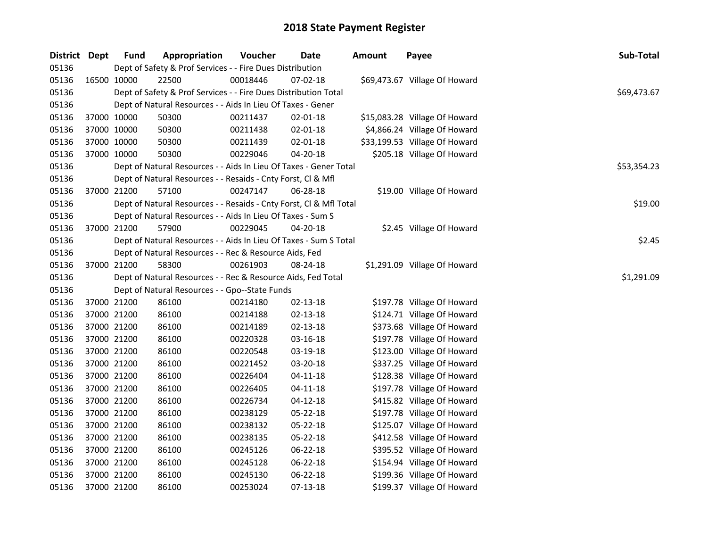| District Dept |             | <b>Fund</b> | Appropriation                                                      | Voucher  | Date           | <b>Amount</b> | Payee                         | Sub-Total   |
|---------------|-------------|-------------|--------------------------------------------------------------------|----------|----------------|---------------|-------------------------------|-------------|
| 05136         |             |             | Dept of Safety & Prof Services - - Fire Dues Distribution          |          |                |               |                               |             |
| 05136         |             | 16500 10000 | 22500                                                              | 00018446 | 07-02-18       |               | \$69,473.67 Village Of Howard |             |
| 05136         |             |             | Dept of Safety & Prof Services - - Fire Dues Distribution Total    |          |                |               |                               | \$69,473.67 |
| 05136         |             |             | Dept of Natural Resources - - Aids In Lieu Of Taxes - Gener        |          |                |               |                               |             |
| 05136         | 37000 10000 |             | 50300                                                              | 00211437 | $02 - 01 - 18$ |               | \$15,083.28 Village Of Howard |             |
| 05136         | 37000 10000 |             | 50300                                                              | 00211438 | $02 - 01 - 18$ |               | \$4,866.24 Village Of Howard  |             |
| 05136         | 37000 10000 |             | 50300                                                              | 00211439 | $02 - 01 - 18$ |               | \$33,199.53 Village Of Howard |             |
| 05136         | 37000 10000 |             | 50300                                                              | 00229046 | 04-20-18       |               | \$205.18 Village Of Howard    |             |
| 05136         |             |             | Dept of Natural Resources - - Aids In Lieu Of Taxes - Gener Total  |          |                |               |                               | \$53,354.23 |
| 05136         |             |             | Dept of Natural Resources - - Resaids - Cnty Forst, Cl & Mfl       |          |                |               |                               |             |
| 05136         |             | 37000 21200 | 57100                                                              | 00247147 | 06-28-18       |               | \$19.00 Village Of Howard     |             |
| 05136         |             |             | Dept of Natural Resources - - Resaids - Cnty Forst, Cl & Mfl Total |          |                |               |                               | \$19.00     |
| 05136         |             |             | Dept of Natural Resources - - Aids In Lieu Of Taxes - Sum S        |          |                |               |                               |             |
| 05136         |             | 37000 21200 | 57900                                                              | 00229045 | 04-20-18       |               | \$2.45 Village Of Howard      |             |
| 05136         |             |             | Dept of Natural Resources - - Aids In Lieu Of Taxes - Sum S Total  |          |                |               |                               | \$2.45      |
| 05136         |             |             | Dept of Natural Resources - - Rec & Resource Aids, Fed             |          |                |               |                               |             |
| 05136         |             | 37000 21200 | 58300                                                              | 00261903 | 08-24-18       |               | \$1,291.09 Village Of Howard  |             |
| 05136         |             |             | Dept of Natural Resources - - Rec & Resource Aids, Fed Total       |          |                |               |                               | \$1,291.09  |
| 05136         |             |             | Dept of Natural Resources - - Gpo--State Funds                     |          |                |               |                               |             |
| 05136         | 37000 21200 |             | 86100                                                              | 00214180 | 02-13-18       |               | \$197.78 Village Of Howard    |             |
| 05136         | 37000 21200 |             | 86100                                                              | 00214188 | $02 - 13 - 18$ |               | \$124.71 Village Of Howard    |             |
| 05136         | 37000 21200 |             | 86100                                                              | 00214189 | 02-13-18       |               | \$373.68 Village Of Howard    |             |
| 05136         | 37000 21200 |             | 86100                                                              | 00220328 | 03-16-18       |               | \$197.78 Village Of Howard    |             |
| 05136         | 37000 21200 |             | 86100                                                              | 00220548 | 03-19-18       |               | \$123.00 Village Of Howard    |             |
| 05136         | 37000 21200 |             | 86100                                                              | 00221452 | 03-20-18       |               | \$337.25 Village Of Howard    |             |
| 05136         | 37000 21200 |             | 86100                                                              | 00226404 | $04 - 11 - 18$ |               | \$128.38 Village Of Howard    |             |
| 05136         | 37000 21200 |             | 86100                                                              | 00226405 | $04 - 11 - 18$ |               | \$197.78 Village Of Howard    |             |
| 05136         | 37000 21200 |             | 86100                                                              | 00226734 | 04-12-18       |               | \$415.82 Village Of Howard    |             |
| 05136         | 37000 21200 |             | 86100                                                              | 00238129 | 05-22-18       |               | \$197.78 Village Of Howard    |             |
| 05136         | 37000 21200 |             | 86100                                                              | 00238132 | 05-22-18       |               | \$125.07 Village Of Howard    |             |
| 05136         | 37000 21200 |             | 86100                                                              | 00238135 | 05-22-18       |               | \$412.58 Village Of Howard    |             |
| 05136         | 37000 21200 |             | 86100                                                              | 00245126 | 06-22-18       |               | \$395.52 Village Of Howard    |             |
| 05136         | 37000 21200 |             | 86100                                                              | 00245128 | 06-22-18       |               | \$154.94 Village Of Howard    |             |
| 05136         | 37000 21200 |             | 86100                                                              | 00245130 | 06-22-18       |               | \$199.36 Village Of Howard    |             |
| 05136         |             | 37000 21200 | 86100                                                              | 00253024 | 07-13-18       |               | \$199.37 Village Of Howard    |             |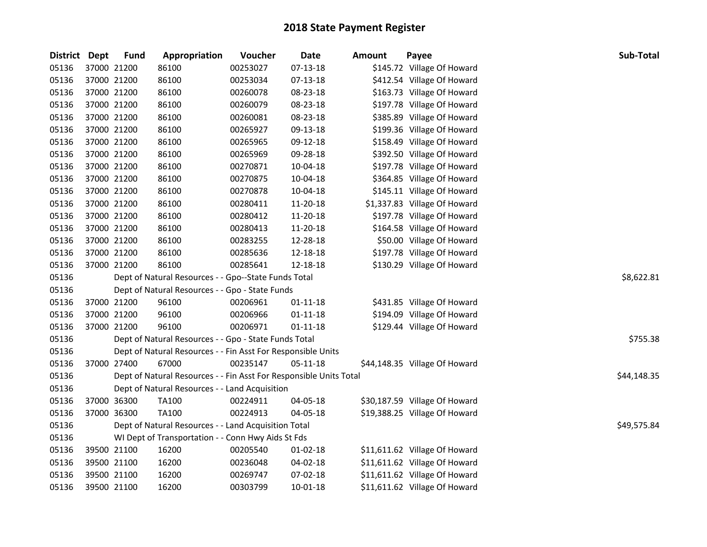| <b>District Dept</b> |             | <b>Fund</b> | Appropriation                                                      | Voucher  | <b>Date</b>    | <b>Amount</b> | Payee                         | Sub-Total   |
|----------------------|-------------|-------------|--------------------------------------------------------------------|----------|----------------|---------------|-------------------------------|-------------|
| 05136                | 37000 21200 |             | 86100                                                              | 00253027 | 07-13-18       |               | \$145.72 Village Of Howard    |             |
| 05136                | 37000 21200 |             | 86100                                                              | 00253034 | 07-13-18       |               | \$412.54 Village Of Howard    |             |
| 05136                | 37000 21200 |             | 86100                                                              | 00260078 | 08-23-18       |               | \$163.73 Village Of Howard    |             |
| 05136                | 37000 21200 |             | 86100                                                              | 00260079 | 08-23-18       |               | \$197.78 Village Of Howard    |             |
| 05136                | 37000 21200 |             | 86100                                                              | 00260081 | 08-23-18       |               | \$385.89 Village Of Howard    |             |
| 05136                | 37000 21200 |             | 86100                                                              | 00265927 | 09-13-18       |               | \$199.36 Village Of Howard    |             |
| 05136                | 37000 21200 |             | 86100                                                              | 00265965 | 09-12-18       |               | \$158.49 Village Of Howard    |             |
| 05136                | 37000 21200 |             | 86100                                                              | 00265969 | 09-28-18       |               | \$392.50 Village Of Howard    |             |
| 05136                | 37000 21200 |             | 86100                                                              | 00270871 | 10-04-18       |               | \$197.78 Village Of Howard    |             |
| 05136                | 37000 21200 |             | 86100                                                              | 00270875 | 10-04-18       |               | \$364.85 Village Of Howard    |             |
| 05136                | 37000 21200 |             | 86100                                                              | 00270878 | 10-04-18       |               | \$145.11 Village Of Howard    |             |
| 05136                | 37000 21200 |             | 86100                                                              | 00280411 | 11-20-18       |               | \$1,337.83 Village Of Howard  |             |
| 05136                | 37000 21200 |             | 86100                                                              | 00280412 | 11-20-18       |               | \$197.78 Village Of Howard    |             |
| 05136                | 37000 21200 |             | 86100                                                              | 00280413 | 11-20-18       |               | \$164.58 Village Of Howard    |             |
| 05136                | 37000 21200 |             | 86100                                                              | 00283255 | 12-28-18       |               | \$50.00 Village Of Howard     |             |
| 05136                | 37000 21200 |             | 86100                                                              | 00285636 | 12-18-18       |               | \$197.78 Village Of Howard    |             |
| 05136                | 37000 21200 |             | 86100                                                              | 00285641 | 12-18-18       |               | \$130.29 Village Of Howard    |             |
| 05136                |             |             | Dept of Natural Resources - - Gpo--State Funds Total               |          |                |               |                               | \$8,622.81  |
| 05136                |             |             | Dept of Natural Resources - - Gpo - State Funds                    |          |                |               |                               |             |
| 05136                |             | 37000 21200 | 96100                                                              | 00206961 | $01 - 11 - 18$ |               | \$431.85 Village Of Howard    |             |
| 05136                | 37000 21200 |             | 96100                                                              | 00206966 | $01 - 11 - 18$ |               | \$194.09 Village Of Howard    |             |
| 05136                | 37000 21200 |             | 96100                                                              | 00206971 | $01 - 11 - 18$ |               | \$129.44 Village Of Howard    |             |
| 05136                |             |             | Dept of Natural Resources - - Gpo - State Funds Total              |          |                |               |                               | \$755.38    |
| 05136                |             |             | Dept of Natural Resources - - Fin Asst For Responsible Units       |          |                |               |                               |             |
| 05136                | 37000 27400 |             | 67000                                                              | 00235147 | $05 - 11 - 18$ |               | \$44,148.35 Village Of Howard |             |
| 05136                |             |             | Dept of Natural Resources - - Fin Asst For Responsible Units Total |          |                |               |                               | \$44,148.35 |
| 05136                |             |             | Dept of Natural Resources - - Land Acquisition                     |          |                |               |                               |             |
| 05136                | 37000 36300 |             | <b>TA100</b>                                                       | 00224911 | 04-05-18       |               | \$30,187.59 Village Of Howard |             |
| 05136                | 37000 36300 |             | <b>TA100</b>                                                       | 00224913 | 04-05-18       |               | \$19,388.25 Village Of Howard |             |
| 05136                |             |             | Dept of Natural Resources - - Land Acquisition Total               |          |                |               |                               | \$49,575.84 |
| 05136                |             |             | WI Dept of Transportation - - Conn Hwy Aids St Fds                 |          |                |               |                               |             |
| 05136                |             | 39500 21100 | 16200                                                              | 00205540 | 01-02-18       |               | \$11,611.62 Village Of Howard |             |
| 05136                | 39500 21100 |             | 16200                                                              | 00236048 | $04 - 02 - 18$ |               | \$11,611.62 Village Of Howard |             |
| 05136                | 39500 21100 |             | 16200                                                              | 00269747 | 07-02-18       |               | \$11,611.62 Village Of Howard |             |
| 05136                | 39500 21100 |             | 16200                                                              | 00303799 | 10-01-18       |               | \$11,611.62 Village Of Howard |             |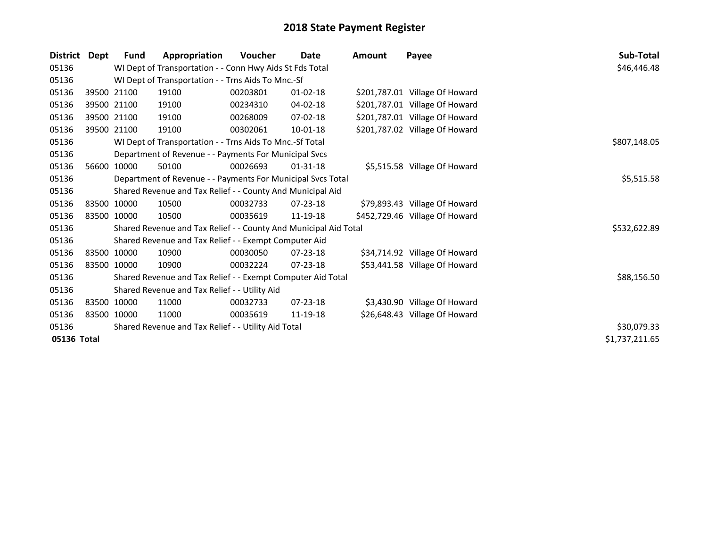| <b>District</b> | Dept        | <b>Fund</b>                                         | Appropriation                                                    | <b>Voucher</b> | Date           | Amount | Payee                          | Sub-Total      |
|-----------------|-------------|-----------------------------------------------------|------------------------------------------------------------------|----------------|----------------|--------|--------------------------------|----------------|
| 05136           |             |                                                     | WI Dept of Transportation - - Conn Hwy Aids St Fds Total         |                |                |        |                                | \$46,446.48    |
| 05136           |             |                                                     | WI Dept of Transportation - - Trns Aids To Mnc.-Sf               |                |                |        |                                |                |
| 05136           |             | 39500 21100                                         | 19100                                                            | 00203801       | $01 - 02 - 18$ |        | \$201,787.01 Village Of Howard |                |
| 05136           |             | 39500 21100                                         | 19100                                                            | 00234310       | 04-02-18       |        | \$201,787.01 Village Of Howard |                |
| 05136           |             | 39500 21100                                         | 19100                                                            | 00268009       | 07-02-18       |        | \$201,787.01 Village Of Howard |                |
| 05136           | 39500 21100 |                                                     | 19100                                                            | 00302061       | $10 - 01 - 18$ |        | \$201,787.02 Village Of Howard |                |
| 05136           |             |                                                     | WI Dept of Transportation - - Trns Aids To Mnc.-Sf Total         |                |                |        |                                | \$807,148.05   |
| 05136           |             |                                                     | Department of Revenue - - Payments For Municipal Svcs            |                |                |        |                                |                |
| 05136           |             | 56600 10000                                         | 50100                                                            | 00026693       | $01 - 31 - 18$ |        | \$5,515.58 Village Of Howard   |                |
| 05136           |             |                                                     | Department of Revenue - - Payments For Municipal Svcs Total      |                |                |        |                                | \$5,515.58     |
| 05136           |             |                                                     | Shared Revenue and Tax Relief - - County And Municipal Aid       |                |                |        |                                |                |
| 05136           |             | 83500 10000                                         | 10500                                                            | 00032733       | $07 - 23 - 18$ |        | \$79,893.43 Village Of Howard  |                |
| 05136           | 83500 10000 |                                                     | 10500                                                            | 00035619       | 11-19-18       |        | \$452,729.46 Village Of Howard |                |
| 05136           |             |                                                     | Shared Revenue and Tax Relief - - County And Municipal Aid Total |                |                |        |                                | \$532,622.89   |
| 05136           |             |                                                     | Shared Revenue and Tax Relief - - Exempt Computer Aid            |                |                |        |                                |                |
| 05136           |             | 83500 10000                                         | 10900                                                            | 00030050       | $07 - 23 - 18$ |        | \$34,714.92 Village Of Howard  |                |
| 05136           | 83500 10000 |                                                     | 10900                                                            | 00032224       | $07 - 23 - 18$ |        | \$53,441.58 Village Of Howard  |                |
| 05136           |             |                                                     | Shared Revenue and Tax Relief - - Exempt Computer Aid Total      |                |                |        |                                | \$88,156.50    |
| 05136           |             |                                                     | Shared Revenue and Tax Relief - - Utility Aid                    |                |                |        |                                |                |
| 05136           |             | 83500 10000                                         | 11000                                                            | 00032733       | $07 - 23 - 18$ |        | \$3,430.90 Village Of Howard   |                |
| 05136           | 83500 10000 |                                                     | 11000                                                            | 00035619       | 11-19-18       |        | \$26,648.43 Village Of Howard  |                |
| 05136           |             | Shared Revenue and Tax Relief - - Utility Aid Total | \$30,079.33                                                      |                |                |        |                                |                |
| 05136 Total     |             |                                                     |                                                                  |                |                |        |                                | \$1,737,211.65 |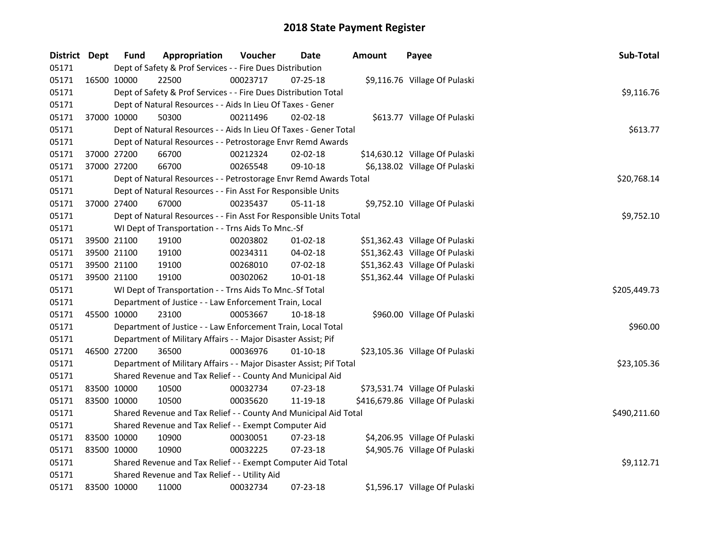| District Dept |             | <b>Fund</b> | Appropriation                                                       | Voucher  | <b>Date</b>    | <b>Amount</b> | Payee                           | Sub-Total    |
|---------------|-------------|-------------|---------------------------------------------------------------------|----------|----------------|---------------|---------------------------------|--------------|
| 05171         |             |             | Dept of Safety & Prof Services - - Fire Dues Distribution           |          |                |               |                                 |              |
| 05171         |             | 16500 10000 | 22500                                                               | 00023717 | $07 - 25 - 18$ |               | \$9,116.76 Village Of Pulaski   |              |
| 05171         |             |             | Dept of Safety & Prof Services - - Fire Dues Distribution Total     |          |                |               |                                 | \$9,116.76   |
| 05171         |             |             | Dept of Natural Resources - - Aids In Lieu Of Taxes - Gener         |          |                |               |                                 |              |
| 05171         |             | 37000 10000 | 50300                                                               | 00211496 | $02 - 02 - 18$ |               | \$613.77 Village Of Pulaski     |              |
| 05171         |             |             | Dept of Natural Resources - - Aids In Lieu Of Taxes - Gener Total   |          |                |               |                                 | \$613.77     |
| 05171         |             |             | Dept of Natural Resources - - Petrostorage Envr Remd Awards         |          |                |               |                                 |              |
| 05171         |             | 37000 27200 | 66700                                                               | 00212324 | $02 - 02 - 18$ |               | \$14,630.12 Village Of Pulaski  |              |
| 05171         |             | 37000 27200 | 66700                                                               | 00265548 | 09-10-18       |               | \$6,138.02 Village Of Pulaski   |              |
| 05171         |             |             | Dept of Natural Resources - - Petrostorage Envr Remd Awards Total   |          |                |               |                                 | \$20,768.14  |
| 05171         |             |             | Dept of Natural Resources - - Fin Asst For Responsible Units        |          |                |               |                                 |              |
| 05171         |             | 37000 27400 | 67000                                                               | 00235437 | 05-11-18       |               | \$9,752.10 Village Of Pulaski   |              |
| 05171         |             |             | Dept of Natural Resources - - Fin Asst For Responsible Units Total  |          |                |               |                                 | \$9,752.10   |
| 05171         |             |             | WI Dept of Transportation - - Trns Aids To Mnc.-Sf                  |          |                |               |                                 |              |
| 05171         |             | 39500 21100 | 19100                                                               | 00203802 | $01 - 02 - 18$ |               | \$51,362.43 Village Of Pulaski  |              |
| 05171         | 39500 21100 |             | 19100                                                               | 00234311 | 04-02-18       |               | \$51,362.43 Village Of Pulaski  |              |
| 05171         |             | 39500 21100 | 19100                                                               | 00268010 | 07-02-18       |               | \$51,362.43 Village Of Pulaski  |              |
| 05171         |             | 39500 21100 | 19100                                                               | 00302062 | $10 - 01 - 18$ |               | \$51,362.44 Village Of Pulaski  |              |
| 05171         |             |             | WI Dept of Transportation - - Trns Aids To Mnc.-Sf Total            |          |                |               |                                 | \$205,449.73 |
| 05171         |             |             | Department of Justice - - Law Enforcement Train, Local              |          |                |               |                                 |              |
| 05171         | 45500 10000 |             | 23100                                                               | 00053667 | 10-18-18       |               | \$960.00 Village Of Pulaski     |              |
| 05171         |             |             | Department of Justice - - Law Enforcement Train, Local Total        |          |                |               |                                 | \$960.00     |
| 05171         |             |             | Department of Military Affairs - - Major Disaster Assist; Pif       |          |                |               |                                 |              |
| 05171         |             | 46500 27200 | 36500                                                               | 00036976 | $01 - 10 - 18$ |               | \$23,105.36 Village Of Pulaski  |              |
| 05171         |             |             | Department of Military Affairs - - Major Disaster Assist; Pif Total |          |                |               |                                 | \$23,105.36  |
| 05171         |             |             | Shared Revenue and Tax Relief - - County And Municipal Aid          |          |                |               |                                 |              |
| 05171         | 83500 10000 |             | 10500                                                               | 00032734 | $07 - 23 - 18$ |               | \$73,531.74 Village Of Pulaski  |              |
| 05171         | 83500 10000 |             | 10500                                                               | 00035620 | 11-19-18       |               | \$416,679.86 Village Of Pulaski |              |
| 05171         |             |             | Shared Revenue and Tax Relief - - County And Municipal Aid Total    |          |                |               |                                 | \$490,211.60 |
| 05171         |             |             | Shared Revenue and Tax Relief - - Exempt Computer Aid               |          |                |               |                                 |              |
| 05171         | 83500 10000 |             | 10900                                                               | 00030051 | 07-23-18       |               | \$4,206.95 Village Of Pulaski   |              |
| 05171         | 83500 10000 |             | 10900                                                               | 00032225 | 07-23-18       |               | \$4,905.76 Village Of Pulaski   |              |
| 05171         |             |             | Shared Revenue and Tax Relief - - Exempt Computer Aid Total         |          |                |               |                                 | \$9,112.71   |
| 05171         |             |             | Shared Revenue and Tax Relief - - Utility Aid                       |          |                |               |                                 |              |
| 05171         | 83500 10000 |             | 11000                                                               | 00032734 | 07-23-18       |               | \$1,596.17 Village Of Pulaski   |              |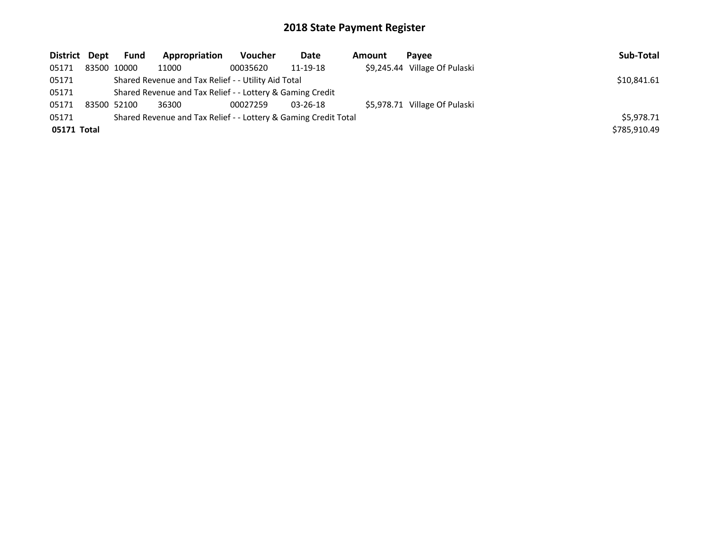| District Dept | <b>Fund</b>                                               | Appropriation                                                   | <b>Voucher</b> | Date           | <b>Amount</b> | Pavee                         | Sub-Total    |
|---------------|-----------------------------------------------------------|-----------------------------------------------------------------|----------------|----------------|---------------|-------------------------------|--------------|
| 05171         | 83500 10000                                               | 11000                                                           | 00035620       | 11-19-18       |               | \$9,245.44 Village Of Pulaski |              |
| 05171         |                                                           | Shared Revenue and Tax Relief - - Utility Aid Total             |                |                |               |                               | \$10,841.61  |
| 05171         | Shared Revenue and Tax Relief - - Lottery & Gaming Credit |                                                                 |                |                |               |                               |              |
| 05171         | 83500 52100                                               | 36300                                                           | 00027259       | $03 - 26 - 18$ |               | \$5,978.71 Village Of Pulaski |              |
| 05171         |                                                           | Shared Revenue and Tax Relief - - Lottery & Gaming Credit Total |                |                |               |                               | \$5,978.71   |
| 05171 Total   |                                                           |                                                                 |                |                |               |                               | \$785,910.49 |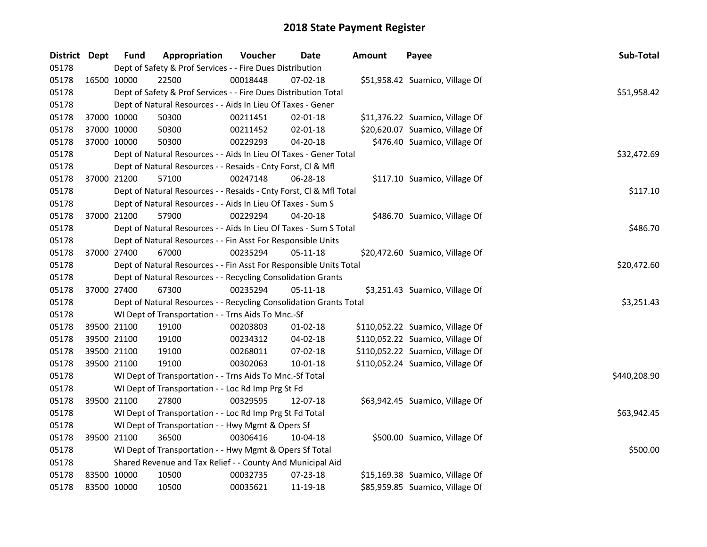| District Dept |             | <b>Fund</b>                                             | Appropriation                                                      | Voucher     | Date           | <b>Amount</b> | Payee                            | Sub-Total    |  |
|---------------|-------------|---------------------------------------------------------|--------------------------------------------------------------------|-------------|----------------|---------------|----------------------------------|--------------|--|
| 05178         |             |                                                         | Dept of Safety & Prof Services - - Fire Dues Distribution          |             |                |               |                                  |              |  |
| 05178         |             | 16500 10000                                             | 22500                                                              | 00018448    | 07-02-18       |               | \$51,958.42 Suamico, Village Of  |              |  |
| 05178         |             |                                                         | Dept of Safety & Prof Services - - Fire Dues Distribution Total    |             |                |               |                                  | \$51,958.42  |  |
| 05178         |             |                                                         | Dept of Natural Resources - - Aids In Lieu Of Taxes - Gener        |             |                |               |                                  |              |  |
| 05178         |             | 37000 10000                                             | 50300                                                              | 00211451    | $02 - 01 - 18$ |               | \$11,376.22 Suamico, Village Of  |              |  |
| 05178         | 37000 10000 |                                                         | 50300                                                              | 00211452    | $02 - 01 - 18$ |               | \$20,620.07 Suamico, Village Of  |              |  |
| 05178         | 37000 10000 |                                                         | 50300                                                              | 00229293    | 04-20-18       |               | \$476.40 Suamico, Village Of     |              |  |
| 05178         |             |                                                         | Dept of Natural Resources - - Aids In Lieu Of Taxes - Gener Total  |             |                | \$32,472.69   |                                  |              |  |
| 05178         |             |                                                         | Dept of Natural Resources - - Resaids - Cnty Forst, Cl & Mfl       |             |                |               |                                  |              |  |
| 05178         |             | 37000 21200                                             | 57100                                                              | 00247148    | 06-28-18       |               | \$117.10 Suamico, Village Of     |              |  |
| 05178         |             |                                                         | Dept of Natural Resources - - Resaids - Cnty Forst, Cl & Mfl Total |             |                |               |                                  | \$117.10     |  |
| 05178         |             |                                                         | Dept of Natural Resources - - Aids In Lieu Of Taxes - Sum S        |             |                |               |                                  |              |  |
| 05178         |             | 37000 21200                                             | 57900                                                              | 00229294    | 04-20-18       |               | \$486.70 Suamico, Village Of     |              |  |
| 05178         |             |                                                         | Dept of Natural Resources - - Aids In Lieu Of Taxes - Sum S Total  |             |                |               |                                  | \$486.70     |  |
| 05178         |             |                                                         | Dept of Natural Resources - - Fin Asst For Responsible Units       |             |                |               |                                  |              |  |
| 05178         |             | 37000 27400                                             | 67000                                                              | 00235294    | 05-11-18       |               | \$20,472.60 Suamico, Village Of  |              |  |
| 05178         |             |                                                         | Dept of Natural Resources - - Fin Asst For Responsible Units Total | \$20,472.60 |                |               |                                  |              |  |
| 05178         |             |                                                         | Dept of Natural Resources - - Recycling Consolidation Grants       |             |                |               |                                  |              |  |
| 05178         |             | 37000 27400                                             | 67300                                                              | 00235294    | 05-11-18       |               | \$3,251.43 Suamico, Village Of   |              |  |
| 05178         |             |                                                         | Dept of Natural Resources - - Recycling Consolidation Grants Total |             |                |               |                                  | \$3,251.43   |  |
| 05178         |             |                                                         | WI Dept of Transportation - - Trns Aids To Mnc.-Sf                 |             |                |               |                                  |              |  |
| 05178         | 39500 21100 |                                                         | 19100                                                              | 00203803    | $01 - 02 - 18$ |               | \$110,052.22 Suamico, Village Of |              |  |
| 05178         | 39500 21100 |                                                         | 19100                                                              | 00234312    | 04-02-18       |               | \$110,052.22 Suamico, Village Of |              |  |
| 05178         | 39500 21100 |                                                         | 19100                                                              | 00268011    | $07 - 02 - 18$ |               | \$110,052.22 Suamico, Village Of |              |  |
| 05178         |             | 39500 21100                                             | 19100                                                              | 00302063    | 10-01-18       |               | \$110,052.24 Suamico, Village Of |              |  |
| 05178         |             |                                                         | WI Dept of Transportation - - Trns Aids To Mnc.-Sf Total           |             |                |               |                                  | \$440,208.90 |  |
| 05178         |             |                                                         | WI Dept of Transportation - - Loc Rd Imp Prg St Fd                 |             |                |               |                                  |              |  |
| 05178         |             | 39500 21100                                             | 27800                                                              | 00329595    | 12-07-18       |               | \$63,942.45 Suamico, Village Of  |              |  |
| 05178         |             |                                                         | WI Dept of Transportation - - Loc Rd Imp Prg St Fd Total           |             |                |               |                                  | \$63,942.45  |  |
| 05178         |             |                                                         | WI Dept of Transportation - - Hwy Mgmt & Opers Sf                  |             |                |               |                                  |              |  |
| 05178         |             | 39500 21100                                             | 36500                                                              | 00306416    | 10-04-18       |               | \$500.00 Suamico, Village Of     |              |  |
| 05178         |             | WI Dept of Transportation - - Hwy Mgmt & Opers Sf Total |                                                                    |             |                |               |                                  |              |  |
| 05178         |             |                                                         | Shared Revenue and Tax Relief - - County And Municipal Aid         |             |                |               |                                  |              |  |
| 05178         | 83500 10000 |                                                         | 10500                                                              | 00032735    | 07-23-18       |               | \$15,169.38 Suamico, Village Of  |              |  |
| 05178         | 83500 10000 |                                                         | 10500                                                              | 00035621    | 11-19-18       |               | \$85,959.85 Suamico, Village Of  |              |  |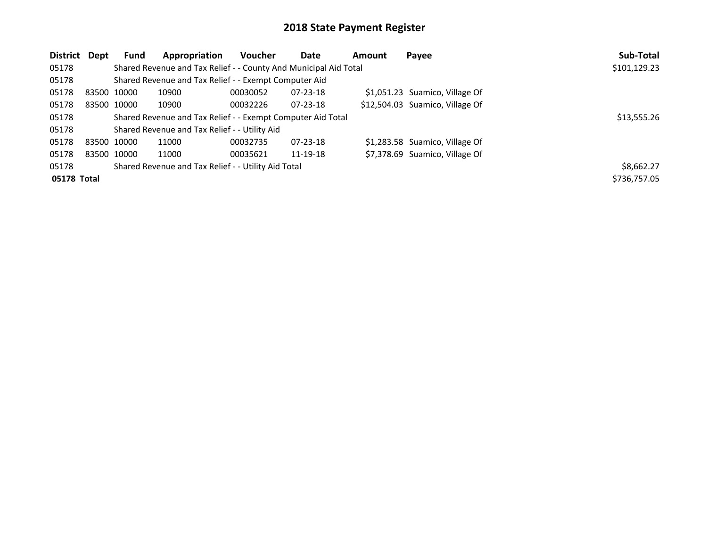| District    | Dept | Fund        | Appropriation                                                    | Voucher     | Date           | Amount | Payee                           | Sub-Total    |
|-------------|------|-------------|------------------------------------------------------------------|-------------|----------------|--------|---------------------------------|--------------|
| 05178       |      |             | Shared Revenue and Tax Relief - - County And Municipal Aid Total |             |                |        |                                 | \$101,129.23 |
| 05178       |      |             | Shared Revenue and Tax Relief - - Exempt Computer Aid            |             |                |        |                                 |              |
| 05178       |      | 83500 10000 | 10900                                                            | 00030052    | $07 - 23 - 18$ |        | \$1,051.23 Suamico, Village Of  |              |
| 05178       |      | 83500 10000 | 10900                                                            | 00032226    | $07 - 23 - 18$ |        | \$12,504.03 Suamico, Village Of |              |
| 05178       |      |             | Shared Revenue and Tax Relief - - Exempt Computer Aid Total      | \$13,555.26 |                |        |                                 |              |
| 05178       |      |             | Shared Revenue and Tax Relief - - Utility Aid                    |             |                |        |                                 |              |
| 05178       |      | 83500 10000 | 11000                                                            | 00032735    | $07 - 23 - 18$ |        | \$1,283.58 Suamico, Village Of  |              |
| 05178       |      | 83500 10000 | 11000                                                            | 00035621    | 11-19-18       |        | \$7,378.69 Suamico, Village Of  |              |
| 05178       |      |             | Shared Revenue and Tax Relief - - Utility Aid Total              |             |                |        |                                 | \$8,662.27   |
| 05178 Total |      |             |                                                                  |             |                |        |                                 | \$736,757.05 |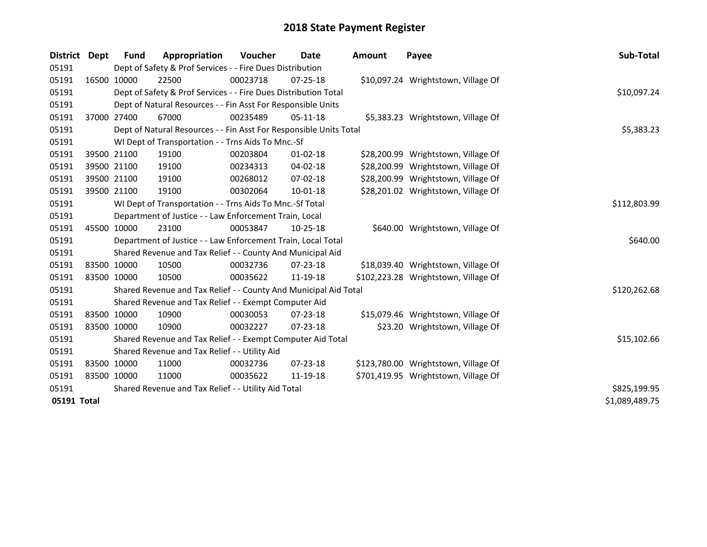| District    | <b>Dept</b> | <b>Fund</b>                                         | Appropriation                                                      | Voucher    | Date           | <b>Amount</b> | Payee                                | Sub-Total      |
|-------------|-------------|-----------------------------------------------------|--------------------------------------------------------------------|------------|----------------|---------------|--------------------------------------|----------------|
| 05191       |             |                                                     | Dept of Safety & Prof Services - - Fire Dues Distribution          |            |                |               |                                      |                |
| 05191       |             | 16500 10000                                         | 22500                                                              | 00023718   | 07-25-18       |               | \$10,097.24 Wrightstown, Village Of  |                |
| 05191       |             |                                                     | Dept of Safety & Prof Services - - Fire Dues Distribution Total    |            |                |               |                                      | \$10,097.24    |
| 05191       |             |                                                     | Dept of Natural Resources - - Fin Asst For Responsible Units       |            |                |               |                                      |                |
| 05191       |             | 37000 27400                                         | 67000                                                              | 00235489   | 05-11-18       |               | \$5,383.23 Wrightstown, Village Of   |                |
| 05191       |             |                                                     | Dept of Natural Resources - - Fin Asst For Responsible Units Total | \$5,383.23 |                |               |                                      |                |
| 05191       |             |                                                     | WI Dept of Transportation - - Trns Aids To Mnc.-Sf                 |            |                |               |                                      |                |
| 05191       |             | 39500 21100                                         | 19100                                                              | 00203804   | $01 - 02 - 18$ |               | \$28,200.99 Wrightstown, Village Of  |                |
| 05191       |             | 39500 21100                                         | 19100                                                              | 00234313   | 04-02-18       |               | \$28,200.99 Wrightstown, Village Of  |                |
| 05191       |             | 39500 21100                                         | 19100                                                              | 00268012   | 07-02-18       |               | \$28,200.99 Wrightstown, Village Of  |                |
| 05191       |             | 39500 21100                                         | 19100                                                              | 00302064   | 10-01-18       |               | \$28,201.02 Wrightstown, Village Of  |                |
| 05191       |             |                                                     | WI Dept of Transportation - - Trns Aids To Mnc.-Sf Total           |            |                |               |                                      | \$112,803.99   |
| 05191       |             |                                                     | Department of Justice - - Law Enforcement Train, Local             |            |                |               |                                      |                |
| 05191       |             | 45500 10000                                         | 23100                                                              | 00053847   | $10 - 25 - 18$ |               | \$640.00 Wrightstown, Village Of     |                |
| 05191       |             |                                                     | Department of Justice - - Law Enforcement Train, Local Total       |            |                |               |                                      | \$640.00       |
| 05191       |             |                                                     | Shared Revenue and Tax Relief - - County And Municipal Aid         |            |                |               |                                      |                |
| 05191       |             | 83500 10000                                         | 10500                                                              | 00032736   | $07 - 23 - 18$ |               | \$18,039.40 Wrightstown, Village Of  |                |
| 05191       |             | 83500 10000                                         | 10500                                                              | 00035622   | 11-19-18       |               | \$102,223.28 Wrightstown, Village Of |                |
| 05191       |             |                                                     | Shared Revenue and Tax Relief - - County And Municipal Aid Total   |            |                |               |                                      | \$120,262.68   |
| 05191       |             |                                                     | Shared Revenue and Tax Relief - - Exempt Computer Aid              |            |                |               |                                      |                |
| 05191       |             | 83500 10000                                         | 10900                                                              | 00030053   | $07 - 23 - 18$ |               | \$15,079.46 Wrightstown, Village Of  |                |
| 05191       |             | 83500 10000                                         | 10900                                                              | 00032227   | $07 - 23 - 18$ |               | \$23.20 Wrightstown, Village Of      |                |
| 05191       |             |                                                     | Shared Revenue and Tax Relief - - Exempt Computer Aid Total        |            |                |               |                                      | \$15,102.66    |
| 05191       |             |                                                     | Shared Revenue and Tax Relief - - Utility Aid                      |            |                |               |                                      |                |
| 05191       |             | 83500 10000                                         | 11000                                                              | 00032736   | $07 - 23 - 18$ |               | \$123,780.00 Wrightstown, Village Of |                |
| 05191       |             | 83500 10000                                         | 11000                                                              | 00035622   | 11-19-18       |               | \$701,419.95 Wrightstown, Village Of |                |
| 05191       |             | Shared Revenue and Tax Relief - - Utility Aid Total | \$825,199.95                                                       |            |                |               |                                      |                |
| 05191 Total |             |                                                     |                                                                    |            |                |               |                                      | \$1,089,489.75 |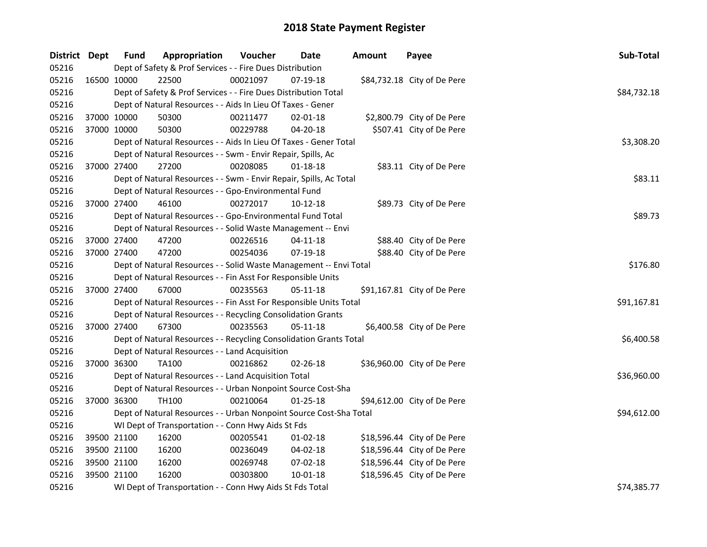| District Dept |             | <b>Fund</b> | Appropriation                                                      | Voucher  | Date           | <b>Amount</b> | Payee                       | Sub-Total   |
|---------------|-------------|-------------|--------------------------------------------------------------------|----------|----------------|---------------|-----------------------------|-------------|
| 05216         |             |             | Dept of Safety & Prof Services - - Fire Dues Distribution          |          |                |               |                             |             |
| 05216         |             | 16500 10000 | 22500                                                              | 00021097 | 07-19-18       |               | \$84,732.18 City of De Pere |             |
| 05216         |             |             | Dept of Safety & Prof Services - - Fire Dues Distribution Total    |          |                |               |                             | \$84,732.18 |
| 05216         |             |             | Dept of Natural Resources - - Aids In Lieu Of Taxes - Gener        |          |                |               |                             |             |
| 05216         |             | 37000 10000 | 50300                                                              | 00211477 | $02 - 01 - 18$ |               | \$2,800.79 City of De Pere  |             |
| 05216         | 37000 10000 |             | 50300                                                              | 00229788 | 04-20-18       |               | \$507.41 City of De Pere    |             |
| 05216         |             |             | Dept of Natural Resources - - Aids In Lieu Of Taxes - Gener Total  |          |                |               |                             | \$3,308.20  |
| 05216         |             |             | Dept of Natural Resources - - Swm - Envir Repair, Spills, Ac       |          |                |               |                             |             |
| 05216         |             | 37000 27400 | 27200                                                              | 00208085 | 01-18-18       |               | \$83.11 City of De Pere     |             |
| 05216         |             |             | Dept of Natural Resources - - Swm - Envir Repair, Spills, Ac Total |          |                |               |                             | \$83.11     |
| 05216         |             |             | Dept of Natural Resources - - Gpo-Environmental Fund               |          |                |               |                             |             |
| 05216         | 37000 27400 |             | 46100                                                              | 00272017 | 10-12-18       |               | \$89.73 City of De Pere     |             |
| 05216         |             |             | Dept of Natural Resources - - Gpo-Environmental Fund Total         |          |                |               |                             | \$89.73     |
| 05216         |             |             | Dept of Natural Resources - - Solid Waste Management -- Envi       |          |                |               |                             |             |
| 05216         | 37000 27400 |             | 47200                                                              | 00226516 | 04-11-18       |               | \$88.40 City of De Pere     |             |
| 05216         | 37000 27400 |             | 47200                                                              | 00254036 | 07-19-18       |               | \$88.40 City of De Pere     |             |
| 05216         |             |             | Dept of Natural Resources - - Solid Waste Management -- Envi Total |          |                |               |                             | \$176.80    |
| 05216         |             |             | Dept of Natural Resources - - Fin Asst For Responsible Units       |          |                |               |                             |             |
| 05216         | 37000 27400 |             | 67000                                                              | 00235563 | 05-11-18       |               | \$91,167.81 City of De Pere |             |
| 05216         |             |             | Dept of Natural Resources - - Fin Asst For Responsible Units Total |          |                |               |                             | \$91,167.81 |
| 05216         |             |             | Dept of Natural Resources - - Recycling Consolidation Grants       |          |                |               |                             |             |
| 05216         | 37000 27400 |             | 67300                                                              | 00235563 | 05-11-18       |               | \$6,400.58 City of De Pere  |             |
| 05216         |             |             | Dept of Natural Resources - - Recycling Consolidation Grants Total |          |                |               |                             | \$6,400.58  |
| 05216         |             |             | Dept of Natural Resources - - Land Acquisition                     |          |                |               |                             |             |
| 05216         | 37000 36300 |             | <b>TA100</b>                                                       | 00216862 | 02-26-18       |               | \$36,960.00 City of De Pere |             |
| 05216         |             |             | Dept of Natural Resources - - Land Acquisition Total               |          |                |               |                             | \$36,960.00 |
| 05216         |             |             | Dept of Natural Resources - - Urban Nonpoint Source Cost-Sha       |          |                |               |                             |             |
| 05216         | 37000 36300 |             | TH100                                                              | 00210064 | $01 - 25 - 18$ |               | \$94,612.00 City of De Pere |             |
| 05216         |             |             | Dept of Natural Resources - - Urban Nonpoint Source Cost-Sha Total |          |                |               |                             | \$94,612.00 |
| 05216         |             |             | WI Dept of Transportation - - Conn Hwy Aids St Fds                 |          |                |               |                             |             |
| 05216         |             | 39500 21100 | 16200                                                              | 00205541 | $01 - 02 - 18$ |               | \$18,596.44 City of De Pere |             |
| 05216         |             | 39500 21100 | 16200                                                              | 00236049 | 04-02-18       |               | \$18,596.44 City of De Pere |             |
| 05216         | 39500 21100 |             | 16200                                                              | 00269748 | 07-02-18       |               | \$18,596.44 City of De Pere |             |
| 05216         |             | 39500 21100 | 16200                                                              | 00303800 | 10-01-18       |               | \$18,596.45 City of De Pere |             |
| 05216         |             |             | WI Dept of Transportation - - Conn Hwy Aids St Fds Total           |          |                |               |                             | \$74,385.77 |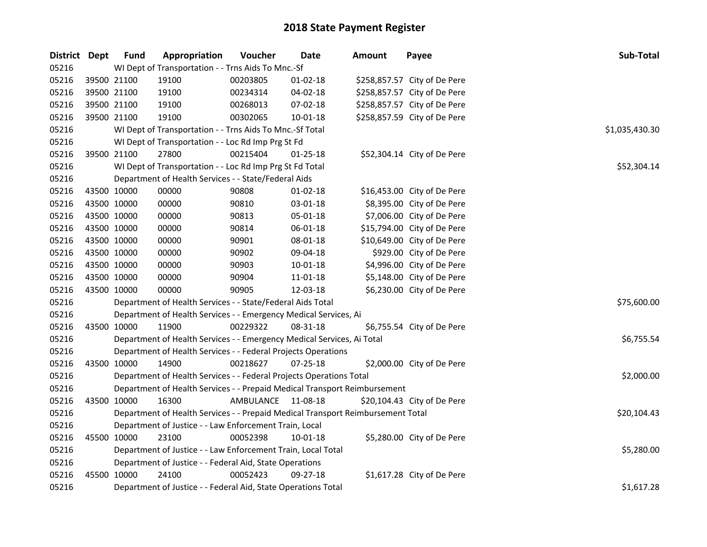| District Dept | <b>Fund</b> | Appropriation                                                                   | Voucher            | <b>Date</b>    | <b>Amount</b> | Payee                        | Sub-Total      |  |  |
|---------------|-------------|---------------------------------------------------------------------------------|--------------------|----------------|---------------|------------------------------|----------------|--|--|
| 05216         |             | WI Dept of Transportation - - Trns Aids To Mnc.-Sf                              |                    |                |               |                              |                |  |  |
| 05216         | 39500 21100 | 19100                                                                           | 00203805           | 01-02-18       |               | \$258,857.57 City of De Pere |                |  |  |
| 05216         | 39500 21100 | 19100                                                                           | 00234314           | 04-02-18       |               | \$258,857.57 City of De Pere |                |  |  |
| 05216         | 39500 21100 | 19100                                                                           | 00268013           | 07-02-18       |               | \$258,857.57 City of De Pere |                |  |  |
| 05216         | 39500 21100 | 19100                                                                           | 00302065           | 10-01-18       |               | \$258,857.59 City of De Pere |                |  |  |
| 05216         |             | WI Dept of Transportation - - Trns Aids To Mnc.-Sf Total                        |                    |                |               |                              | \$1,035,430.30 |  |  |
| 05216         |             | WI Dept of Transportation - - Loc Rd Imp Prg St Fd                              |                    |                |               |                              |                |  |  |
| 05216         | 39500 21100 | 27800                                                                           | 00215404           | $01 - 25 - 18$ |               | \$52,304.14 City of De Pere  |                |  |  |
| 05216         |             | WI Dept of Transportation - - Loc Rd Imp Prg St Fd Total                        |                    |                |               |                              | \$52,304.14    |  |  |
| 05216         |             | Department of Health Services - - State/Federal Aids                            |                    |                |               |                              |                |  |  |
| 05216         | 43500 10000 | 00000                                                                           | 90808              | 01-02-18       |               | \$16,453.00 City of De Pere  |                |  |  |
| 05216         | 43500 10000 | 00000                                                                           | 90810              | 03-01-18       |               | \$8,395.00 City of De Pere   |                |  |  |
| 05216         | 43500 10000 | 00000                                                                           | 90813              | 05-01-18       |               | \$7,006.00 City of De Pere   |                |  |  |
| 05216         | 43500 10000 | 00000                                                                           | 90814              | 06-01-18       |               | \$15,794.00 City of De Pere  |                |  |  |
| 05216         | 43500 10000 | 00000                                                                           | 90901              | 08-01-18       |               | \$10,649.00 City of De Pere  |                |  |  |
| 05216         | 43500 10000 | 00000                                                                           | 90902              | 09-04-18       |               | \$929.00 City of De Pere     |                |  |  |
| 05216         | 43500 10000 | 00000                                                                           | 90903              | $10 - 01 - 18$ |               | \$4,996.00 City of De Pere   |                |  |  |
| 05216         | 43500 10000 | 00000                                                                           | 90904              | $11 - 01 - 18$ |               | \$5,148.00 City of De Pere   |                |  |  |
| 05216         | 43500 10000 | 00000                                                                           | 90905              | 12-03-18       |               | \$6,230.00 City of De Pere   |                |  |  |
| 05216         |             | Department of Health Services - - State/Federal Aids Total                      |                    |                |               |                              | \$75,600.00    |  |  |
| 05216         |             | Department of Health Services - - Emergency Medical Services, Ai                |                    |                |               |                              |                |  |  |
| 05216         | 43500 10000 | 11900                                                                           | 00229322           | 08-31-18       |               | \$6,755.54 City of De Pere   |                |  |  |
| 05216         |             | Department of Health Services - - Emergency Medical Services, Ai Total          |                    |                |               |                              | \$6,755.54     |  |  |
| 05216         |             | Department of Health Services - - Federal Projects Operations                   |                    |                |               |                              |                |  |  |
| 05216         | 43500 10000 | 14900                                                                           | 00218627           | $07 - 25 - 18$ |               | \$2,000.00 City of De Pere   |                |  |  |
| 05216         |             | Department of Health Services - - Federal Projects Operations Total             |                    |                |               |                              | \$2,000.00     |  |  |
| 05216         |             | Department of Health Services - - Prepaid Medical Transport Reimbursement       |                    |                |               |                              |                |  |  |
| 05216         | 43500 10000 | 16300                                                                           | AMBULANCE 11-08-18 |                |               | \$20,104.43 City of De Pere  |                |  |  |
| 05216         |             | Department of Health Services - - Prepaid Medical Transport Reimbursement Total |                    |                |               |                              | \$20,104.43    |  |  |
| 05216         |             | Department of Justice - - Law Enforcement Train, Local                          |                    |                |               |                              |                |  |  |
| 05216         | 45500 10000 | 23100                                                                           | 00052398           | 10-01-18       |               | \$5,280.00 City of De Pere   |                |  |  |
| 05216         |             | Department of Justice - - Law Enforcement Train, Local Total                    |                    |                |               |                              | \$5,280.00     |  |  |
| 05216         |             | Department of Justice - - Federal Aid, State Operations                         |                    |                |               |                              |                |  |  |
| 05216         | 45500 10000 | 24100                                                                           | 00052423           | 09-27-18       |               | \$1,617.28 City of De Pere   |                |  |  |
| 05216         |             | Department of Justice - - Federal Aid, State Operations Total                   |                    |                |               |                              | \$1,617.28     |  |  |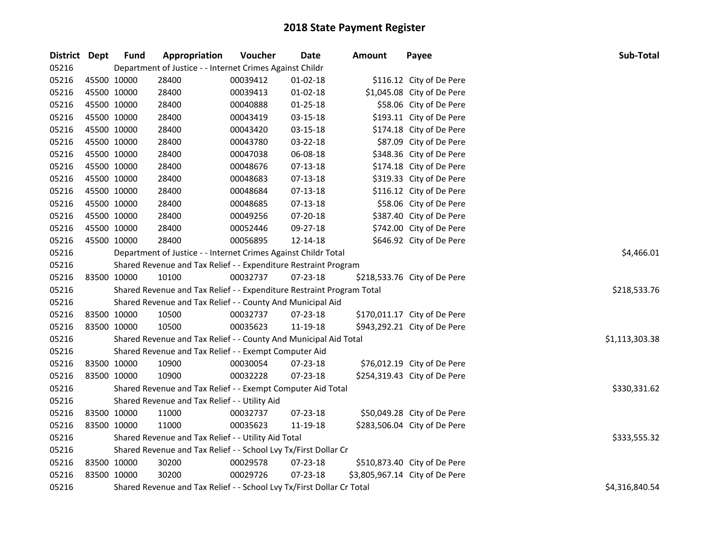| District Dept | <b>Fund</b> | Appropriation                                                         | Voucher    | Date           | Amount | Payee                          | Sub-Total      |
|---------------|-------------|-----------------------------------------------------------------------|------------|----------------|--------|--------------------------------|----------------|
| 05216         |             | Department of Justice - - Internet Crimes Against Childr              |            |                |        |                                |                |
| 05216         | 45500 10000 | 28400                                                                 | 00039412   | $01-02-18$     |        | \$116.12 City of De Pere       |                |
| 05216         | 45500 10000 | 28400                                                                 | 00039413   | $01-02-18$     |        | \$1,045.08 City of De Pere     |                |
| 05216         | 45500 10000 | 28400                                                                 | 00040888   | $01 - 25 - 18$ |        | \$58.06 City of De Pere        |                |
| 05216         | 45500 10000 | 28400                                                                 | 00043419   | 03-15-18       |        | \$193.11 City of De Pere       |                |
| 05216         | 45500 10000 | 28400                                                                 | 00043420   | 03-15-18       |        | \$174.18 City of De Pere       |                |
| 05216         | 45500 10000 | 28400                                                                 | 00043780   | 03-22-18       |        | \$87.09 City of De Pere        |                |
| 05216         | 45500 10000 | 28400                                                                 | 00047038   | 06-08-18       |        | \$348.36 City of De Pere       |                |
| 05216         | 45500 10000 | 28400                                                                 | 00048676   | 07-13-18       |        | \$174.18 City of De Pere       |                |
| 05216         | 45500 10000 | 28400                                                                 | 00048683   | 07-13-18       |        | \$319.33 City of De Pere       |                |
| 05216         | 45500 10000 | 28400                                                                 | 00048684   | 07-13-18       |        | \$116.12 City of De Pere       |                |
| 05216         | 45500 10000 | 28400                                                                 | 00048685   | 07-13-18       |        | \$58.06 City of De Pere        |                |
| 05216         | 45500 10000 | 28400                                                                 | 00049256   | 07-20-18       |        | \$387.40 City of De Pere       |                |
| 05216         | 45500 10000 | 28400                                                                 | 00052446   | 09-27-18       |        | \$742.00 City of De Pere       |                |
| 05216         | 45500 10000 | 28400                                                                 | 00056895   | 12-14-18       |        | \$646.92 City of De Pere       |                |
| 05216         |             | Department of Justice - - Internet Crimes Against Childr Total        | \$4,466.01 |                |        |                                |                |
| 05216         |             | Shared Revenue and Tax Relief - - Expenditure Restraint Program       |            |                |        |                                |                |
| 05216         | 83500 10000 | 10100                                                                 | 00032737   | 07-23-18       |        | \$218,533.76 City of De Pere   |                |
| 05216         |             | Shared Revenue and Tax Relief - - Expenditure Restraint Program Total |            |                |        |                                | \$218,533.76   |
| 05216         |             | Shared Revenue and Tax Relief - - County And Municipal Aid            |            |                |        |                                |                |
| 05216         | 83500 10000 | 10500                                                                 | 00032737   | 07-23-18       |        | \$170,011.17 City of De Pere   |                |
| 05216         | 83500 10000 | 10500                                                                 | 00035623   | 11-19-18       |        | \$943,292.21 City of De Pere   |                |
| 05216         |             | Shared Revenue and Tax Relief - - County And Municipal Aid Total      |            |                |        |                                | \$1,113,303.38 |
| 05216         |             | Shared Revenue and Tax Relief - - Exempt Computer Aid                 |            |                |        |                                |                |
| 05216         | 83500 10000 | 10900                                                                 | 00030054   | 07-23-18       |        | \$76,012.19 City of De Pere    |                |
| 05216         | 83500 10000 | 10900                                                                 | 00032228   | 07-23-18       |        | \$254,319.43 City of De Pere   |                |
| 05216         |             | Shared Revenue and Tax Relief - - Exempt Computer Aid Total           |            |                |        |                                | \$330,331.62   |
| 05216         |             | Shared Revenue and Tax Relief - - Utility Aid                         |            |                |        |                                |                |
| 05216         | 83500 10000 | 11000                                                                 | 00032737   | 07-23-18       |        | \$50,049.28 City of De Pere    |                |
| 05216         | 83500 10000 | 11000                                                                 | 00035623   | 11-19-18       |        | \$283,506.04 City of De Pere   |                |
| 05216         |             | Shared Revenue and Tax Relief - - Utility Aid Total                   |            |                |        |                                | \$333,555.32   |
| 05216         |             | Shared Revenue and Tax Relief - - School Lvy Tx/First Dollar Cr       |            |                |        |                                |                |
| 05216         | 83500 10000 | 30200                                                                 | 00029578   | 07-23-18       |        | \$510,873.40 City of De Pere   |                |
| 05216         | 83500 10000 | 30200                                                                 | 00029726   | 07-23-18       |        | \$3,805,967.14 City of De Pere |                |
| 05216         |             | Shared Revenue and Tax Relief - - School Lvy Tx/First Dollar Cr Total |            |                |        |                                | \$4,316,840.54 |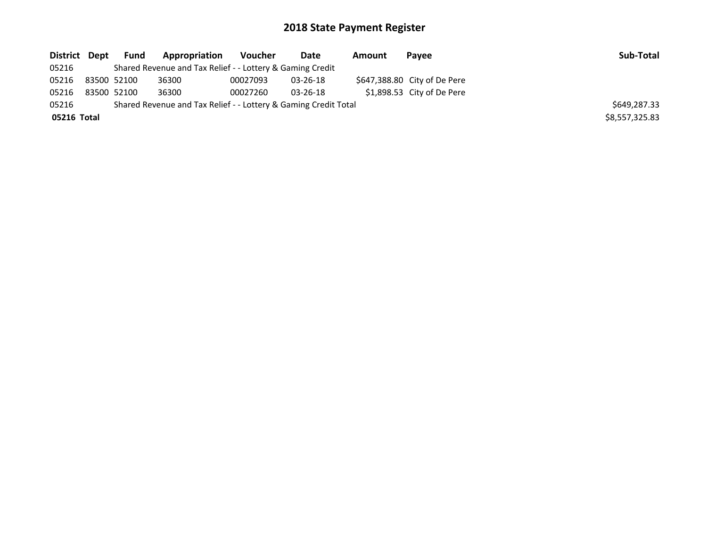| District Dept |             | Fund | Appropriation                                                   | Voucher  | Date           | Amount | Payee                        | Sub-Total      |
|---------------|-------------|------|-----------------------------------------------------------------|----------|----------------|--------|------------------------------|----------------|
| 05216         |             |      | Shared Revenue and Tax Relief - - Lottery & Gaming Credit       |          |                |        |                              |                |
| 05216         | 83500 52100 |      | 36300                                                           | 00027093 | 03-26-18       |        | \$647,388.80 City of De Pere |                |
| 05216         | 83500 52100 |      | 36300                                                           | 00027260 | $03 - 26 - 18$ |        | $$1,898.53$ City of De Pere  |                |
| 05216         |             |      | Shared Revenue and Tax Relief - - Lottery & Gaming Credit Total |          |                |        |                              | \$649,287.33   |
| 05216 Total   |             |      |                                                                 |          |                |        |                              | \$8,557,325.83 |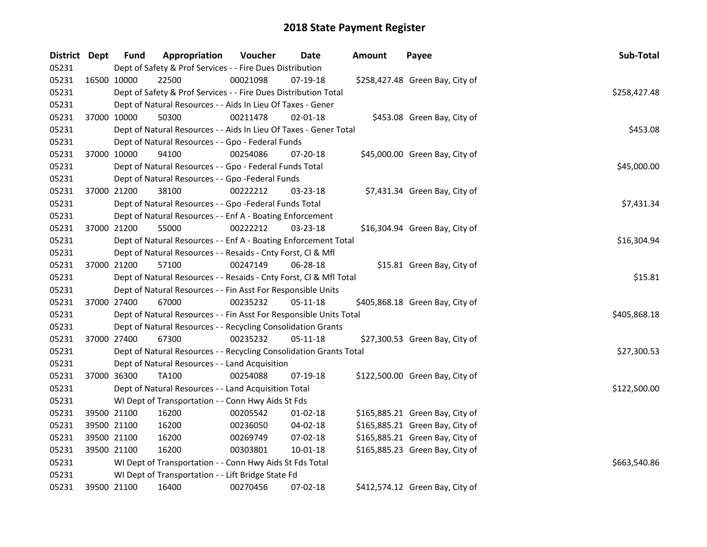| District Dept | <b>Fund</b> | Appropriation                                                      | Voucher  | Date           | <b>Amount</b> | Payee                           | Sub-Total    |
|---------------|-------------|--------------------------------------------------------------------|----------|----------------|---------------|---------------------------------|--------------|
| 05231         |             | Dept of Safety & Prof Services - - Fire Dues Distribution          |          |                |               |                                 |              |
| 05231         | 16500 10000 | 22500                                                              | 00021098 | 07-19-18       |               | \$258,427.48 Green Bay, City of |              |
| 05231         |             | Dept of Safety & Prof Services - - Fire Dues Distribution Total    |          |                |               |                                 | \$258,427.48 |
| 05231         |             | Dept of Natural Resources - - Aids In Lieu Of Taxes - Gener        |          |                |               |                                 |              |
| 05231         | 37000 10000 | 50300                                                              | 00211478 | $02 - 01 - 18$ |               | \$453.08 Green Bay, City of     |              |
| 05231         |             | Dept of Natural Resources - - Aids In Lieu Of Taxes - Gener Total  |          |                |               |                                 | \$453.08     |
| 05231         |             | Dept of Natural Resources - - Gpo - Federal Funds                  |          |                |               |                                 |              |
| 05231         | 37000 10000 | 94100                                                              | 00254086 | 07-20-18       |               | \$45,000.00 Green Bay, City of  |              |
| 05231         |             | Dept of Natural Resources - - Gpo - Federal Funds Total            |          |                |               |                                 | \$45,000.00  |
| 05231         |             | Dept of Natural Resources - - Gpo -Federal Funds                   |          |                |               |                                 |              |
| 05231         | 37000 21200 | 38100                                                              | 00222212 | 03-23-18       |               | \$7,431.34 Green Bay, City of   |              |
| 05231         |             | Dept of Natural Resources - - Gpo -Federal Funds Total             |          |                |               |                                 | \$7,431.34   |
| 05231         |             | Dept of Natural Resources - - Enf A - Boating Enforcement          |          |                |               |                                 |              |
| 05231         | 37000 21200 | 55000                                                              | 00222212 | 03-23-18       |               | \$16,304.94 Green Bay, City of  |              |
| 05231         |             | Dept of Natural Resources - - Enf A - Boating Enforcement Total    |          |                |               |                                 | \$16,304.94  |
| 05231         |             | Dept of Natural Resources - - Resaids - Cnty Forst, Cl & Mfl       |          |                |               |                                 |              |
| 05231         | 37000 21200 | 57100                                                              | 00247149 | 06-28-18       |               | \$15.81 Green Bay, City of      |              |
| 05231         |             | Dept of Natural Resources - - Resaids - Cnty Forst, Cl & Mfl Total |          |                |               |                                 | \$15.81      |
| 05231         |             | Dept of Natural Resources - - Fin Asst For Responsible Units       |          |                |               |                                 |              |
| 05231         | 37000 27400 | 67000                                                              | 00235232 | 05-11-18       |               | \$405,868.18 Green Bay, City of |              |
| 05231         |             | Dept of Natural Resources - - Fin Asst For Responsible Units Total |          |                |               |                                 | \$405,868.18 |
| 05231         |             | Dept of Natural Resources - - Recycling Consolidation Grants       |          |                |               |                                 |              |
| 05231         | 37000 27400 | 67300                                                              | 00235232 | 05-11-18       |               | \$27,300.53 Green Bay, City of  |              |
| 05231         |             | Dept of Natural Resources - - Recycling Consolidation Grants Total |          |                |               |                                 | \$27,300.53  |
| 05231         |             | Dept of Natural Resources - - Land Acquisition                     |          |                |               |                                 |              |
| 05231         | 37000 36300 | TA100                                                              | 00254088 | 07-19-18       |               | \$122,500.00 Green Bay, City of |              |
| 05231         |             | Dept of Natural Resources - - Land Acquisition Total               |          |                |               |                                 | \$122,500.00 |
| 05231         |             | WI Dept of Transportation - - Conn Hwy Aids St Fds                 |          |                |               |                                 |              |
| 05231         | 39500 21100 | 16200                                                              | 00205542 | 01-02-18       |               | \$165,885.21 Green Bay, City of |              |
| 05231         | 39500 21100 | 16200                                                              | 00236050 | 04-02-18       |               | \$165,885.21 Green Bay, City of |              |
| 05231         | 39500 21100 | 16200                                                              | 00269749 | 07-02-18       |               | \$165,885.21 Green Bay, City of |              |
| 05231         | 39500 21100 | 16200                                                              | 00303801 | 10-01-18       |               | \$165,885.23 Green Bay, City of |              |
| 05231         |             | WI Dept of Transportation - - Conn Hwy Aids St Fds Total           |          |                |               |                                 | \$663,540.86 |
| 05231         |             | WI Dept of Transportation - - Lift Bridge State Fd                 |          |                |               |                                 |              |
| 05231         | 39500 21100 | 16400                                                              | 00270456 | 07-02-18       |               | \$412,574.12 Green Bay, City of |              |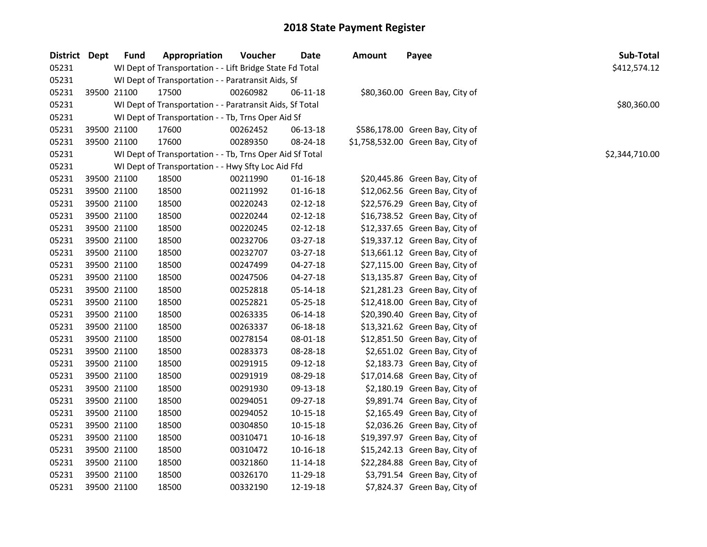| District Dept |             | <b>Fund</b> | Appropriation                                            | Voucher  | <b>Date</b>    | <b>Amount</b> | Payee                             | Sub-Total      |
|---------------|-------------|-------------|----------------------------------------------------------|----------|----------------|---------------|-----------------------------------|----------------|
| 05231         |             |             | WI Dept of Transportation - - Lift Bridge State Fd Total |          |                |               |                                   | \$412,574.12   |
| 05231         |             |             | WI Dept of Transportation - - Paratransit Aids, Sf       |          |                |               |                                   |                |
| 05231         | 39500 21100 |             | 17500                                                    | 00260982 | 06-11-18       |               | \$80,360.00 Green Bay, City of    |                |
| 05231         |             |             | WI Dept of Transportation - - Paratransit Aids, Sf Total |          |                |               |                                   | \$80,360.00    |
| 05231         |             |             | WI Dept of Transportation - - Tb, Trns Oper Aid Sf       |          |                |               |                                   |                |
| 05231         | 39500 21100 |             | 17600                                                    | 00262452 | 06-13-18       |               | \$586,178.00 Green Bay, City of   |                |
| 05231         | 39500 21100 |             | 17600                                                    | 00289350 | 08-24-18       |               | \$1,758,532.00 Green Bay, City of |                |
| 05231         |             |             | WI Dept of Transportation - - Tb, Trns Oper Aid Sf Total |          |                |               |                                   | \$2,344,710.00 |
| 05231         |             |             | WI Dept of Transportation - - Hwy Sfty Loc Aid Ffd       |          |                |               |                                   |                |
| 05231         | 39500 21100 |             | 18500                                                    | 00211990 | 01-16-18       |               | \$20,445.86 Green Bay, City of    |                |
| 05231         | 39500 21100 |             | 18500                                                    | 00211992 | $01 - 16 - 18$ |               | \$12,062.56 Green Bay, City of    |                |
| 05231         | 39500 21100 |             | 18500                                                    | 00220243 | $02 - 12 - 18$ |               | \$22,576.29 Green Bay, City of    |                |
| 05231         | 39500 21100 |             | 18500                                                    | 00220244 | $02 - 12 - 18$ |               | \$16,738.52 Green Bay, City of    |                |
| 05231         | 39500 21100 |             | 18500                                                    | 00220245 | 02-12-18       |               | \$12,337.65 Green Bay, City of    |                |
| 05231         | 39500 21100 |             | 18500                                                    | 00232706 | 03-27-18       |               | \$19,337.12 Green Bay, City of    |                |
| 05231         | 39500 21100 |             | 18500                                                    | 00232707 | 03-27-18       |               | \$13,661.12 Green Bay, City of    |                |
| 05231         | 39500 21100 |             | 18500                                                    | 00247499 | 04-27-18       |               | \$27,115.00 Green Bay, City of    |                |
| 05231         | 39500 21100 |             | 18500                                                    | 00247506 | $04 - 27 - 18$ |               | \$13,135.87 Green Bay, City of    |                |
| 05231         | 39500 21100 |             | 18500                                                    | 00252818 | 05-14-18       |               | \$21,281.23 Green Bay, City of    |                |
| 05231         | 39500 21100 |             | 18500                                                    | 00252821 | 05-25-18       |               | \$12,418.00 Green Bay, City of    |                |
| 05231         | 39500 21100 |             | 18500                                                    | 00263335 | 06-14-18       |               | \$20,390.40 Green Bay, City of    |                |
| 05231         | 39500 21100 |             | 18500                                                    | 00263337 | 06-18-18       |               | \$13,321.62 Green Bay, City of    |                |
| 05231         | 39500 21100 |             | 18500                                                    | 00278154 | 08-01-18       |               | \$12,851.50 Green Bay, City of    |                |
| 05231         | 39500 21100 |             | 18500                                                    | 00283373 | 08-28-18       |               | \$2,651.02 Green Bay, City of     |                |
| 05231         | 39500 21100 |             | 18500                                                    | 00291915 | 09-12-18       |               | \$2,183.73 Green Bay, City of     |                |
| 05231         | 39500 21100 |             | 18500                                                    | 00291919 | 08-29-18       |               | \$17,014.68 Green Bay, City of    |                |
| 05231         | 39500 21100 |             | 18500                                                    | 00291930 | 09-13-18       |               | \$2,180.19 Green Bay, City of     |                |
| 05231         | 39500 21100 |             | 18500                                                    | 00294051 | 09-27-18       |               | \$9,891.74 Green Bay, City of     |                |
| 05231         | 39500 21100 |             | 18500                                                    | 00294052 | 10-15-18       |               | \$2,165.49 Green Bay, City of     |                |
| 05231         | 39500 21100 |             | 18500                                                    | 00304850 | 10-15-18       |               | \$2,036.26 Green Bay, City of     |                |
| 05231         | 39500 21100 |             | 18500                                                    | 00310471 | 10-16-18       |               | \$19,397.97 Green Bay, City of    |                |
| 05231         | 39500 21100 |             | 18500                                                    | 00310472 | 10-16-18       |               | \$15,242.13 Green Bay, City of    |                |
| 05231         | 39500 21100 |             | 18500                                                    | 00321860 | 11-14-18       |               | \$22,284.88 Green Bay, City of    |                |
| 05231         | 39500 21100 |             | 18500                                                    | 00326170 | 11-29-18       |               | \$3,791.54 Green Bay, City of     |                |
| 05231         | 39500 21100 |             | 18500                                                    | 00332190 | 12-19-18       |               | \$7,824.37 Green Bay, City of     |                |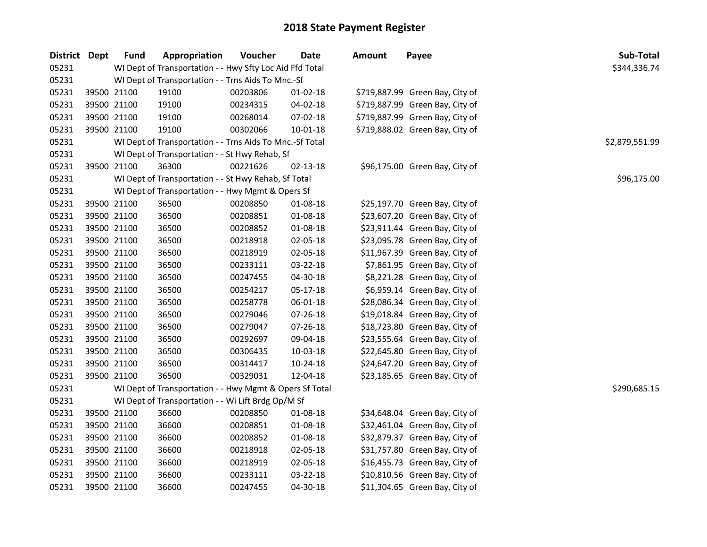| District Dept |             | <b>Fund</b> | Appropriation                                            | Voucher  | Date           | <b>Amount</b> | Payee                           | Sub-Total      |  |  |  |  |  |
|---------------|-------------|-------------|----------------------------------------------------------|----------|----------------|---------------|---------------------------------|----------------|--|--|--|--|--|
| 05231         |             |             | WI Dept of Transportation - - Hwy Sfty Loc Aid Ffd Total |          |                |               |                                 | \$344,336.74   |  |  |  |  |  |
| 05231         |             |             | WI Dept of Transportation - - Trns Aids To Mnc.-Sf       |          |                |               |                                 |                |  |  |  |  |  |
| 05231         |             | 39500 21100 | 19100                                                    | 00203806 | $01-02-18$     |               | \$719,887.99 Green Bay, City of |                |  |  |  |  |  |
| 05231         |             | 39500 21100 | 19100                                                    | 00234315 | 04-02-18       |               | \$719,887.99 Green Bay, City of |                |  |  |  |  |  |
| 05231         |             | 39500 21100 | 19100                                                    | 00268014 | 07-02-18       |               | \$719,887.99 Green Bay, City of |                |  |  |  |  |  |
| 05231         |             | 39500 21100 | 19100                                                    | 00302066 | $10 - 01 - 18$ |               | \$719,888.02 Green Bay, City of |                |  |  |  |  |  |
| 05231         |             |             | WI Dept of Transportation - - Trns Aids To Mnc.-Sf Total |          |                |               |                                 | \$2,879,551.99 |  |  |  |  |  |
| 05231         |             |             | WI Dept of Transportation - - St Hwy Rehab, Sf           |          |                |               |                                 |                |  |  |  |  |  |
| 05231         |             | 39500 21100 | 36300                                                    | 00221626 | 02-13-18       |               | \$96,175.00 Green Bay, City of  |                |  |  |  |  |  |
| 05231         |             |             | WI Dept of Transportation - - St Hwy Rehab, Sf Total     |          |                |               |                                 | \$96,175.00    |  |  |  |  |  |
| 05231         |             |             | WI Dept of Transportation - - Hwy Mgmt & Opers Sf        |          |                |               |                                 |                |  |  |  |  |  |
| 05231         |             | 39500 21100 | 36500                                                    | 00208850 | 01-08-18       |               | \$25,197.70 Green Bay, City of  |                |  |  |  |  |  |
| 05231         |             | 39500 21100 | 36500                                                    | 00208851 | 01-08-18       |               | \$23,607.20 Green Bay, City of  |                |  |  |  |  |  |
| 05231         |             | 39500 21100 | 36500                                                    | 00208852 | 01-08-18       |               | \$23,911.44 Green Bay, City of  |                |  |  |  |  |  |
| 05231         |             | 39500 21100 | 36500                                                    | 00218918 | 02-05-18       |               | \$23,095.78 Green Bay, City of  |                |  |  |  |  |  |
| 05231         |             | 39500 21100 | 36500                                                    | 00218919 | 02-05-18       |               | \$11,967.39 Green Bay, City of  |                |  |  |  |  |  |
| 05231         |             | 39500 21100 | 36500                                                    | 00233111 | 03-22-18       |               | \$7,861.95 Green Bay, City of   |                |  |  |  |  |  |
| 05231         |             | 39500 21100 | 36500                                                    | 00247455 | 04-30-18       |               | \$8,221.28 Green Bay, City of   |                |  |  |  |  |  |
| 05231         |             | 39500 21100 | 36500                                                    | 00254217 | 05-17-18       |               | \$6,959.14 Green Bay, City of   |                |  |  |  |  |  |
| 05231         |             | 39500 21100 | 36500                                                    | 00258778 | 06-01-18       |               | \$28,086.34 Green Bay, City of  |                |  |  |  |  |  |
| 05231         | 39500 21100 |             | 36500                                                    | 00279046 | 07-26-18       |               | \$19,018.84 Green Bay, City of  |                |  |  |  |  |  |
| 05231         | 39500 21100 |             | 36500                                                    | 00279047 | 07-26-18       |               | \$18,723.80 Green Bay, City of  |                |  |  |  |  |  |
| 05231         | 39500 21100 |             | 36500                                                    | 00292697 | 09-04-18       |               | \$23,555.64 Green Bay, City of  |                |  |  |  |  |  |
| 05231         |             | 39500 21100 | 36500                                                    | 00306435 | $10 - 03 - 18$ |               | \$22,645.80 Green Bay, City of  |                |  |  |  |  |  |
| 05231         |             | 39500 21100 | 36500                                                    | 00314417 | 10-24-18       |               | \$24,647.20 Green Bay, City of  |                |  |  |  |  |  |
| 05231         |             | 39500 21100 | 36500                                                    | 00329031 | 12-04-18       |               | \$23,185.65 Green Bay, City of  |                |  |  |  |  |  |
| 05231         |             |             | WI Dept of Transportation - - Hwy Mgmt & Opers Sf Total  |          |                |               |                                 | \$290,685.15   |  |  |  |  |  |
| 05231         |             |             | WI Dept of Transportation - - Wi Lift Brdg Op/M Sf       |          |                |               |                                 |                |  |  |  |  |  |
| 05231         |             | 39500 21100 | 36600                                                    | 00208850 | 01-08-18       |               | \$34,648.04 Green Bay, City of  |                |  |  |  |  |  |
| 05231         |             | 39500 21100 | 36600                                                    | 00208851 | 01-08-18       |               | \$32,461.04 Green Bay, City of  |                |  |  |  |  |  |
| 05231         |             | 39500 21100 | 36600                                                    | 00208852 | 01-08-18       |               | \$32,879.37 Green Bay, City of  |                |  |  |  |  |  |
| 05231         |             | 39500 21100 | 36600                                                    | 00218918 | 02-05-18       |               | \$31,757.80 Green Bay, City of  |                |  |  |  |  |  |
| 05231         |             | 39500 21100 | 36600                                                    | 00218919 | 02-05-18       |               | \$16,455.73 Green Bay, City of  |                |  |  |  |  |  |
| 05231         |             | 39500 21100 | 36600                                                    | 00233111 | 03-22-18       |               | \$10,810.56 Green Bay, City of  |                |  |  |  |  |  |
| 05231         |             | 39500 21100 | 36600                                                    | 00247455 | 04-30-18       |               | \$11,304.65 Green Bay, City of  |                |  |  |  |  |  |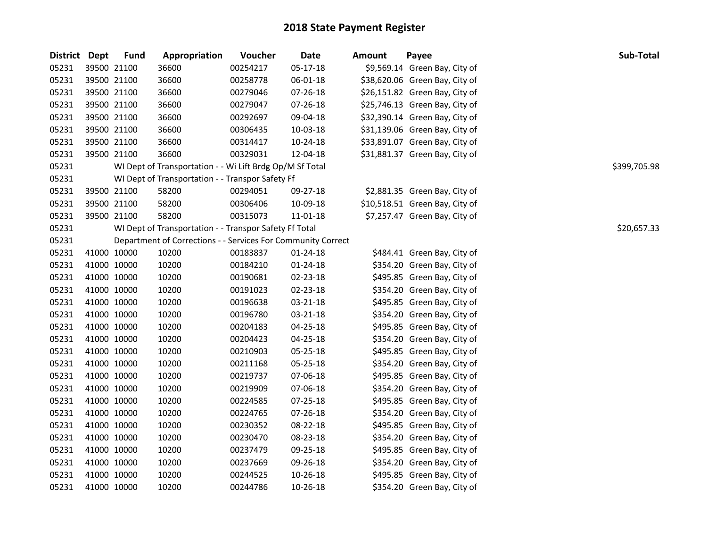| District Dept |             | <b>Fund</b> | Appropriation                                                | Voucher  | <b>Date</b> | Amount | Payee                          | Sub-Total    |
|---------------|-------------|-------------|--------------------------------------------------------------|----------|-------------|--------|--------------------------------|--------------|
| 05231         | 39500 21100 |             | 36600                                                        | 00254217 | 05-17-18    |        | \$9,569.14 Green Bay, City of  |              |
| 05231         | 39500 21100 |             | 36600                                                        | 00258778 | 06-01-18    |        | \$38,620.06 Green Bay, City of |              |
| 05231         | 39500 21100 |             | 36600                                                        | 00279046 | 07-26-18    |        | \$26,151.82 Green Bay, City of |              |
| 05231         | 39500 21100 |             | 36600                                                        | 00279047 | 07-26-18    |        | \$25,746.13 Green Bay, City of |              |
| 05231         | 39500 21100 |             | 36600                                                        | 00292697 | 09-04-18    |        | \$32,390.14 Green Bay, City of |              |
| 05231         | 39500 21100 |             | 36600                                                        | 00306435 | 10-03-18    |        | \$31,139.06 Green Bay, City of |              |
| 05231         | 39500 21100 |             | 36600                                                        | 00314417 | 10-24-18    |        | \$33,891.07 Green Bay, City of |              |
| 05231         | 39500 21100 |             | 36600                                                        | 00329031 | 12-04-18    |        | \$31,881.37 Green Bay, City of |              |
| 05231         |             |             | WI Dept of Transportation - - Wi Lift Brdg Op/M Sf Total     |          |             |        |                                | \$399,705.98 |
| 05231         |             |             | WI Dept of Transportation - - Transpor Safety Ff             |          |             |        |                                |              |
| 05231         | 39500 21100 |             | 58200                                                        | 00294051 | 09-27-18    |        | \$2,881.35 Green Bay, City of  |              |
| 05231         | 39500 21100 |             | 58200                                                        | 00306406 | 10-09-18    |        | \$10,518.51 Green Bay, City of |              |
| 05231         | 39500 21100 |             | 58200                                                        | 00315073 | 11-01-18    |        | \$7,257.47 Green Bay, City of  |              |
| 05231         |             |             | WI Dept of Transportation - - Transpor Safety Ff Total       |          |             |        |                                | \$20,657.33  |
| 05231         |             |             | Department of Corrections - - Services For Community Correct |          |             |        |                                |              |
| 05231         | 41000 10000 |             | 10200                                                        | 00183837 | 01-24-18    |        | \$484.41 Green Bay, City of    |              |
| 05231         | 41000 10000 |             | 10200                                                        | 00184210 | 01-24-18    |        | \$354.20 Green Bay, City of    |              |
| 05231         | 41000 10000 |             | 10200                                                        | 00190681 | 02-23-18    |        | \$495.85 Green Bay, City of    |              |
| 05231         | 41000 10000 |             | 10200                                                        | 00191023 | 02-23-18    |        | \$354.20 Green Bay, City of    |              |
| 05231         | 41000 10000 |             | 10200                                                        | 00196638 | 03-21-18    |        | \$495.85 Green Bay, City of    |              |
| 05231         | 41000 10000 |             | 10200                                                        | 00196780 | 03-21-18    |        | \$354.20 Green Bay, City of    |              |
| 05231         | 41000 10000 |             | 10200                                                        | 00204183 | 04-25-18    |        | \$495.85 Green Bay, City of    |              |
| 05231         | 41000 10000 |             | 10200                                                        | 00204423 | 04-25-18    |        | \$354.20 Green Bay, City of    |              |
| 05231         | 41000 10000 |             | 10200                                                        | 00210903 | 05-25-18    |        | \$495.85 Green Bay, City of    |              |
| 05231         | 41000 10000 |             | 10200                                                        | 00211168 | 05-25-18    |        | \$354.20 Green Bay, City of    |              |
| 05231         | 41000 10000 |             | 10200                                                        | 00219737 | 07-06-18    |        | \$495.85 Green Bay, City of    |              |
| 05231         | 41000 10000 |             | 10200                                                        | 00219909 | 07-06-18    |        | \$354.20 Green Bay, City of    |              |
| 05231         | 41000 10000 |             | 10200                                                        | 00224585 | 07-25-18    |        | \$495.85 Green Bay, City of    |              |
| 05231         | 41000 10000 |             | 10200                                                        | 00224765 | 07-26-18    |        | \$354.20 Green Bay, City of    |              |
| 05231         | 41000 10000 |             | 10200                                                        | 00230352 | 08-22-18    |        | \$495.85 Green Bay, City of    |              |
| 05231         | 41000 10000 |             | 10200                                                        | 00230470 | 08-23-18    |        | \$354.20 Green Bay, City of    |              |
| 05231         | 41000 10000 |             | 10200                                                        | 00237479 | 09-25-18    |        | \$495.85 Green Bay, City of    |              |
| 05231         | 41000 10000 |             | 10200                                                        | 00237669 | 09-26-18    |        | \$354.20 Green Bay, City of    |              |
| 05231         | 41000 10000 |             | 10200                                                        | 00244525 | 10-26-18    |        | \$495.85 Green Bay, City of    |              |
| 05231         | 41000 10000 |             | 10200                                                        | 00244786 | 10-26-18    |        | \$354.20 Green Bay, City of    |              |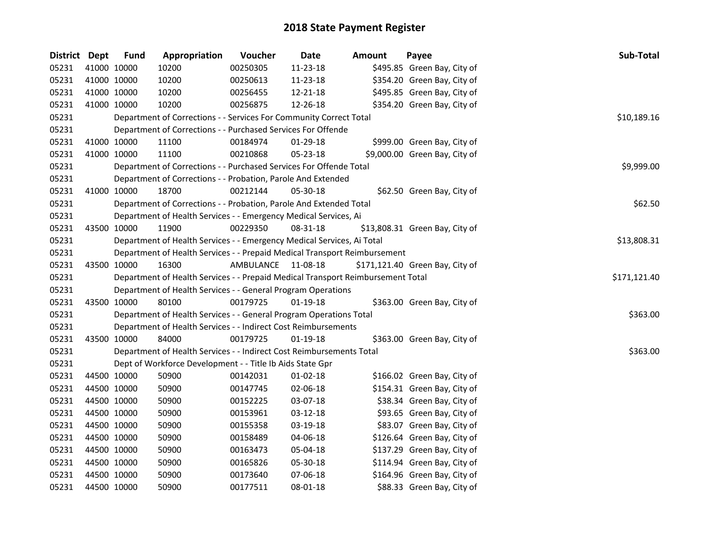| District Dept |             | <b>Fund</b> | Appropriation                                                                   | Voucher            | Date       | <b>Amount</b> | Payee                           | Sub-Total    |
|---------------|-------------|-------------|---------------------------------------------------------------------------------|--------------------|------------|---------------|---------------------------------|--------------|
| 05231         | 41000 10000 |             | 10200                                                                           | 00250305           | 11-23-18   |               | \$495.85 Green Bay, City of     |              |
| 05231         | 41000 10000 |             | 10200                                                                           | 00250613           | 11-23-18   |               | \$354.20 Green Bay, City of     |              |
| 05231         | 41000 10000 |             | 10200                                                                           | 00256455           | 12-21-18   |               | \$495.85 Green Bay, City of     |              |
| 05231         | 41000 10000 |             | 10200                                                                           | 00256875           | 12-26-18   |               | \$354.20 Green Bay, City of     |              |
| 05231         |             |             | Department of Corrections - - Services For Community Correct Total              |                    |            |               |                                 | \$10,189.16  |
| 05231         |             |             | Department of Corrections - - Purchased Services For Offende                    |                    |            |               |                                 |              |
| 05231         |             | 41000 10000 | 11100                                                                           | 00184974           | $01-29-18$ |               | \$999.00 Green Bay, City of     |              |
| 05231         | 41000 10000 |             | 11100                                                                           | 00210868           | 05-23-18   |               | \$9,000.00 Green Bay, City of   |              |
| 05231         |             |             | Department of Corrections - - Purchased Services For Offende Total              |                    |            |               |                                 | \$9,999.00   |
| 05231         |             |             | Department of Corrections - - Probation, Parole And Extended                    |                    |            |               |                                 |              |
| 05231         | 41000 10000 |             | 18700                                                                           | 00212144           | 05-30-18   |               | \$62.50 Green Bay, City of      |              |
| 05231         |             |             | Department of Corrections - - Probation, Parole And Extended Total              |                    |            |               |                                 | \$62.50      |
| 05231         |             |             | Department of Health Services - - Emergency Medical Services, Ai                |                    |            |               |                                 |              |
| 05231         | 43500 10000 |             | 11900                                                                           | 00229350           | 08-31-18   |               | \$13,808.31 Green Bay, City of  |              |
| 05231         |             |             | Department of Health Services - - Emergency Medical Services, Ai Total          |                    |            |               |                                 | \$13,808.31  |
| 05231         |             |             | Department of Health Services - - Prepaid Medical Transport Reimbursement       |                    |            |               |                                 |              |
| 05231         | 43500 10000 |             | 16300                                                                           | AMBULANCE 11-08-18 |            |               | \$171,121.40 Green Bay, City of |              |
| 05231         |             |             | Department of Health Services - - Prepaid Medical Transport Reimbursement Total |                    |            |               |                                 | \$171,121.40 |
| 05231         |             |             | Department of Health Services - - General Program Operations                    |                    |            |               |                                 |              |
| 05231         | 43500 10000 |             | 80100                                                                           | 00179725           | $01-19-18$ |               | \$363.00 Green Bay, City of     |              |
| 05231         |             |             | Department of Health Services - - General Program Operations Total              |                    |            |               |                                 | \$363.00     |
| 05231         |             |             | Department of Health Services - - Indirect Cost Reimbursements                  |                    |            |               |                                 |              |
| 05231         | 43500 10000 |             | 84000                                                                           | 00179725           | $01-19-18$ |               | \$363.00 Green Bay, City of     |              |
| 05231         |             |             | Department of Health Services - - Indirect Cost Reimbursements Total            |                    |            |               |                                 | \$363.00     |
| 05231         |             |             | Dept of Workforce Development - - Title Ib Aids State Gpr                       |                    |            |               |                                 |              |
| 05231         | 44500 10000 |             | 50900                                                                           | 00142031           | $01-02-18$ |               | \$166.02 Green Bay, City of     |              |
| 05231         | 44500 10000 |             | 50900                                                                           | 00147745           | 02-06-18   |               | \$154.31 Green Bay, City of     |              |
| 05231         | 44500 10000 |             | 50900                                                                           | 00152225           | 03-07-18   |               | \$38.34 Green Bay, City of      |              |
| 05231         | 44500 10000 |             | 50900                                                                           | 00153961           | 03-12-18   |               | \$93.65 Green Bay, City of      |              |
| 05231         | 44500 10000 |             | 50900                                                                           | 00155358           | 03-19-18   |               | \$83.07 Green Bay, City of      |              |
| 05231         | 44500 10000 |             | 50900                                                                           | 00158489           | 04-06-18   |               | \$126.64 Green Bay, City of     |              |
| 05231         | 44500 10000 |             | 50900                                                                           | 00163473           | 05-04-18   |               | \$137.29 Green Bay, City of     |              |
| 05231         | 44500 10000 |             | 50900                                                                           | 00165826           | 05-30-18   |               | \$114.94 Green Bay, City of     |              |
| 05231         | 44500 10000 |             | 50900                                                                           | 00173640           | 07-06-18   |               | \$164.96 Green Bay, City of     |              |
| 05231         | 44500 10000 |             | 50900                                                                           | 00177511           | 08-01-18   |               | \$88.33 Green Bay, City of      |              |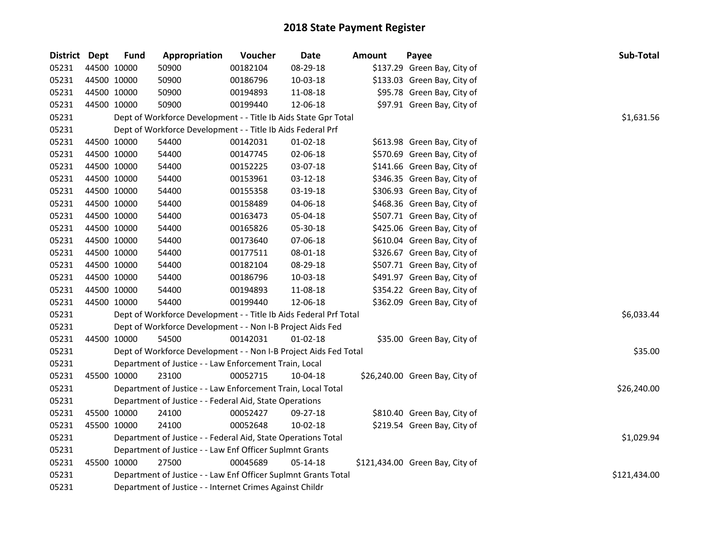| District Dept |             | <b>Fund</b> | Appropriation                                                     | Voucher  | <b>Date</b>    | <b>Amount</b> | Payee                           | Sub-Total    |
|---------------|-------------|-------------|-------------------------------------------------------------------|----------|----------------|---------------|---------------------------------|--------------|
| 05231         |             | 44500 10000 | 50900                                                             | 00182104 | 08-29-18       |               | \$137.29 Green Bay, City of     |              |
| 05231         | 44500 10000 |             | 50900                                                             | 00186796 | 10-03-18       |               | \$133.03 Green Bay, City of     |              |
| 05231         | 44500 10000 |             | 50900                                                             | 00194893 | 11-08-18       |               | \$95.78 Green Bay, City of      |              |
| 05231         | 44500 10000 |             | 50900                                                             | 00199440 | 12-06-18       |               | \$97.91 Green Bay, City of      |              |
| 05231         |             |             | Dept of Workforce Development - - Title Ib Aids State Gpr Total   |          |                |               |                                 | \$1,631.56   |
| 05231         |             |             | Dept of Workforce Development - - Title Ib Aids Federal Prf       |          |                |               |                                 |              |
| 05231         | 44500 10000 |             | 54400                                                             | 00142031 | $01 - 02 - 18$ |               | \$613.98 Green Bay, City of     |              |
| 05231         | 44500 10000 |             | 54400                                                             | 00147745 | 02-06-18       |               | \$570.69 Green Bay, City of     |              |
| 05231         | 44500 10000 |             | 54400                                                             | 00152225 | 03-07-18       |               | \$141.66 Green Bay, City of     |              |
| 05231         | 44500 10000 |             | 54400                                                             | 00153961 | 03-12-18       |               | \$346.35 Green Bay, City of     |              |
| 05231         | 44500 10000 |             | 54400                                                             | 00155358 | 03-19-18       |               | \$306.93 Green Bay, City of     |              |
| 05231         | 44500 10000 |             | 54400                                                             | 00158489 | 04-06-18       |               | \$468.36 Green Bay, City of     |              |
| 05231         | 44500 10000 |             | 54400                                                             | 00163473 | 05-04-18       |               | \$507.71 Green Bay, City of     |              |
| 05231         | 44500 10000 |             | 54400                                                             | 00165826 | 05-30-18       |               | \$425.06 Green Bay, City of     |              |
| 05231         |             | 44500 10000 | 54400                                                             | 00173640 | 07-06-18       |               | \$610.04 Green Bay, City of     |              |
| 05231         |             | 44500 10000 | 54400                                                             | 00177511 | 08-01-18       |               | \$326.67 Green Bay, City of     |              |
| 05231         |             | 44500 10000 | 54400                                                             | 00182104 | 08-29-18       |               | \$507.71 Green Bay, City of     |              |
| 05231         |             | 44500 10000 | 54400                                                             | 00186796 | 10-03-18       |               | \$491.97 Green Bay, City of     |              |
| 05231         | 44500 10000 |             | 54400                                                             | 00194893 | 11-08-18       |               | \$354.22 Green Bay, City of     |              |
| 05231         |             | 44500 10000 | 54400                                                             | 00199440 | 12-06-18       |               | \$362.09 Green Bay, City of     |              |
| 05231         |             |             | Dept of Workforce Development - - Title Ib Aids Federal Prf Total |          |                |               |                                 | \$6,033.44   |
| 05231         |             |             | Dept of Workforce Development - - Non I-B Project Aids Fed        |          |                |               |                                 |              |
| 05231         |             | 44500 10000 | 54500                                                             | 00142031 | $01 - 02 - 18$ |               | \$35.00 Green Bay, City of      |              |
| 05231         |             |             | Dept of Workforce Development - - Non I-B Project Aids Fed Total  |          |                |               |                                 | \$35.00      |
| 05231         |             |             | Department of Justice - - Law Enforcement Train, Local            |          |                |               |                                 |              |
| 05231         |             | 45500 10000 | 23100                                                             | 00052715 | 10-04-18       |               | \$26,240.00 Green Bay, City of  |              |
| 05231         |             |             | Department of Justice - - Law Enforcement Train, Local Total      |          |                |               |                                 | \$26,240.00  |
| 05231         |             |             | Department of Justice - - Federal Aid, State Operations           |          |                |               |                                 |              |
| 05231         |             | 45500 10000 | 24100                                                             | 00052427 | 09-27-18       |               | \$810.40 Green Bay, City of     |              |
| 05231         |             | 45500 10000 | 24100                                                             | 00052648 | 10-02-18       |               | \$219.54 Green Bay, City of     |              |
| 05231         |             |             | Department of Justice - - Federal Aid, State Operations Total     |          |                |               |                                 | \$1,029.94   |
| 05231         |             |             | Department of Justice - - Law Enf Officer Suplmnt Grants          |          |                |               |                                 |              |
| 05231         |             | 45500 10000 | 27500                                                             | 00045689 | 05-14-18       |               | \$121,434.00 Green Bay, City of |              |
| 05231         |             |             | Department of Justice - - Law Enf Officer Suplmnt Grants Total    |          |                |               |                                 | \$121,434.00 |
| 05231         |             |             | Department of Justice - - Internet Crimes Against Childr          |          |                |               |                                 |              |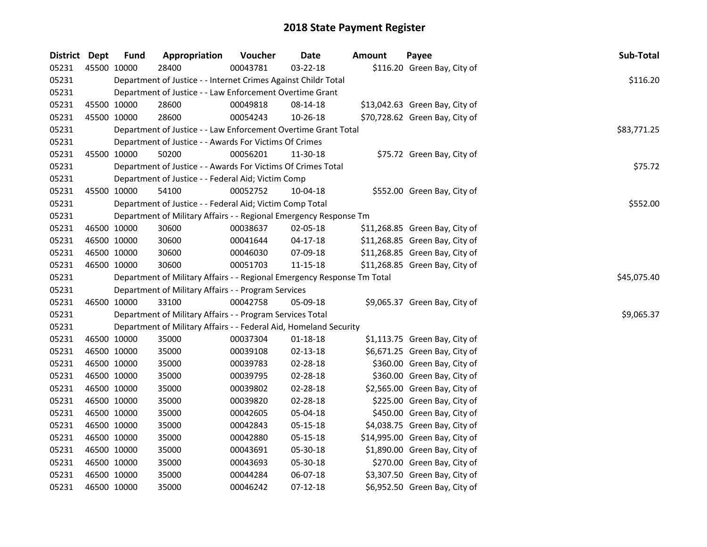| District Dept |             | <b>Fund</b>                                                    | Appropriation                                                           | Voucher     | Date           | <b>Amount</b> | Payee                          | Sub-Total   |
|---------------|-------------|----------------------------------------------------------------|-------------------------------------------------------------------------|-------------|----------------|---------------|--------------------------------|-------------|
| 05231         | 45500 10000 |                                                                | 28400                                                                   | 00043781    | 03-22-18       |               | \$116.20 Green Bay, City of    |             |
| 05231         |             | Department of Justice - - Internet Crimes Against Childr Total | \$116.20                                                                |             |                |               |                                |             |
| 05231         |             |                                                                | Department of Justice - - Law Enforcement Overtime Grant                |             |                |               |                                |             |
| 05231         | 45500 10000 |                                                                | 28600                                                                   | 00049818    | 08-14-18       |               | \$13,042.63 Green Bay, City of |             |
| 05231         |             | 45500 10000                                                    | 28600                                                                   | 00054243    | 10-26-18       |               | \$70,728.62 Green Bay, City of |             |
| 05231         |             |                                                                | Department of Justice - - Law Enforcement Overtime Grant Total          | \$83,771.25 |                |               |                                |             |
| 05231         |             |                                                                | Department of Justice - - Awards For Victims Of Crimes                  |             |                |               |                                |             |
| 05231         | 45500 10000 |                                                                | 50200                                                                   | 00056201    | 11-30-18       |               | \$75.72 Green Bay, City of     |             |
| 05231         |             |                                                                | Department of Justice - - Awards For Victims Of Crimes Total            |             |                |               |                                | \$75.72     |
| 05231         |             |                                                                | Department of Justice - - Federal Aid; Victim Comp                      |             |                |               |                                |             |
| 05231         | 45500 10000 |                                                                | 54100                                                                   | 00052752    | 10-04-18       |               | \$552.00 Green Bay, City of    |             |
| 05231         |             |                                                                | Department of Justice - - Federal Aid; Victim Comp Total                |             |                |               |                                | \$552.00    |
| 05231         |             |                                                                | Department of Military Affairs - - Regional Emergency Response Tm       |             |                |               |                                |             |
| 05231         | 46500 10000 |                                                                | 30600                                                                   | 00038637    | 02-05-18       |               | \$11,268.85 Green Bay, City of |             |
| 05231         | 46500 10000 |                                                                | 30600                                                                   | 00041644    | 04-17-18       |               | \$11,268.85 Green Bay, City of |             |
| 05231         | 46500 10000 |                                                                | 30600                                                                   | 00046030    | 07-09-18       |               | \$11,268.85 Green Bay, City of |             |
| 05231         |             | 46500 10000                                                    | 30600                                                                   | 00051703    | 11-15-18       |               | \$11,268.85 Green Bay, City of |             |
| 05231         |             |                                                                | Department of Military Affairs - - Regional Emergency Response Tm Total |             |                |               |                                | \$45,075.40 |
| 05231         |             |                                                                | Department of Military Affairs - - Program Services                     |             |                |               |                                |             |
| 05231         |             | 46500 10000                                                    | 33100                                                                   | 00042758    | 05-09-18       |               | \$9,065.37 Green Bay, City of  |             |
| 05231         |             |                                                                | Department of Military Affairs - - Program Services Total               | \$9,065.37  |                |               |                                |             |
| 05231         |             |                                                                | Department of Military Affairs - - Federal Aid, Homeland Security       |             |                |               |                                |             |
| 05231         | 46500 10000 |                                                                | 35000                                                                   | 00037304    | $01 - 18 - 18$ |               | \$1,113.75 Green Bay, City of  |             |
| 05231         | 46500 10000 |                                                                | 35000                                                                   | 00039108    | 02-13-18       |               | \$6,671.25 Green Bay, City of  |             |
| 05231         | 46500 10000 |                                                                | 35000                                                                   | 00039783    | 02-28-18       |               | \$360.00 Green Bay, City of    |             |
| 05231         | 46500 10000 |                                                                | 35000                                                                   | 00039795    | 02-28-18       |               | \$360.00 Green Bay, City of    |             |
| 05231         | 46500 10000 |                                                                | 35000                                                                   | 00039802    | 02-28-18       |               | \$2,565.00 Green Bay, City of  |             |
| 05231         | 46500 10000 |                                                                | 35000                                                                   | 00039820    | 02-28-18       |               | \$225.00 Green Bay, City of    |             |
| 05231         | 46500 10000 |                                                                | 35000                                                                   | 00042605    | 05-04-18       |               | \$450.00 Green Bay, City of    |             |
| 05231         | 46500 10000 |                                                                | 35000                                                                   | 00042843    | 05-15-18       |               | \$4,038.75 Green Bay, City of  |             |
| 05231         | 46500 10000 |                                                                | 35000                                                                   | 00042880    | 05-15-18       |               | \$14,995.00 Green Bay, City of |             |
| 05231         | 46500 10000 |                                                                | 35000                                                                   | 00043691    | 05-30-18       |               | \$1,890.00 Green Bay, City of  |             |
| 05231         | 46500 10000 |                                                                | 35000                                                                   | 00043693    | 05-30-18       |               | \$270.00 Green Bay, City of    |             |
| 05231         | 46500 10000 |                                                                | 35000                                                                   | 00044284    | 06-07-18       |               | \$3,307.50 Green Bay, City of  |             |
| 05231         | 46500 10000 |                                                                | 35000                                                                   | 00046242    | 07-12-18       |               | \$6,952.50 Green Bay, City of  |             |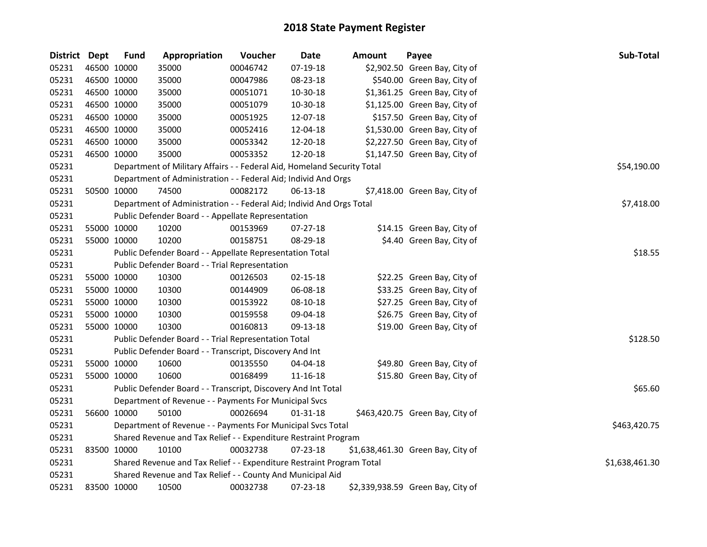| District Dept |             | <b>Fund</b> | Appropriation                                                           | Voucher        | Date           | <b>Amount</b> | Payee                             | Sub-Total   |
|---------------|-------------|-------------|-------------------------------------------------------------------------|----------------|----------------|---------------|-----------------------------------|-------------|
| 05231         | 46500 10000 |             | 35000                                                                   | 00046742       | 07-19-18       |               | \$2,902.50 Green Bay, City of     |             |
| 05231         | 46500 10000 |             | 35000                                                                   | 00047986       | 08-23-18       |               | \$540.00 Green Bay, City of       |             |
| 05231         | 46500 10000 |             | 35000                                                                   | 00051071       | 10-30-18       |               | \$1,361.25 Green Bay, City of     |             |
| 05231         | 46500 10000 |             | 35000                                                                   | 00051079       | 10-30-18       |               | \$1,125.00 Green Bay, City of     |             |
| 05231         | 46500 10000 |             | 35000                                                                   | 00051925       | 12-07-18       |               | \$157.50 Green Bay, City of       |             |
| 05231         | 46500 10000 |             | 35000                                                                   | 00052416       | 12-04-18       |               | \$1,530.00 Green Bay, City of     |             |
| 05231         | 46500 10000 |             | 35000                                                                   | 00053342       | 12-20-18       |               | \$2,227.50 Green Bay, City of     |             |
| 05231         | 46500 10000 |             | 35000                                                                   | 00053352       | 12-20-18       |               | \$1,147.50 Green Bay, City of     |             |
| 05231         |             |             | Department of Military Affairs - - Federal Aid, Homeland Security Total |                |                |               |                                   | \$54,190.00 |
| 05231         |             |             | Department of Administration - - Federal Aid; Individ And Orgs          |                |                |               |                                   |             |
| 05231         |             | 50500 10000 | 74500                                                                   | 00082172       | 06-13-18       |               | \$7,418.00 Green Bay, City of     |             |
| 05231         |             |             | Department of Administration - - Federal Aid; Individ And Orgs Total    |                |                |               |                                   | \$7,418.00  |
| 05231         |             |             | Public Defender Board - - Appellate Representation                      |                |                |               |                                   |             |
| 05231         | 55000 10000 |             | 10200                                                                   | 00153969       | 07-27-18       |               | \$14.15 Green Bay, City of        |             |
| 05231         | 55000 10000 |             | 10200                                                                   | 00158751       | 08-29-18       |               | \$4.40 Green Bay, City of         |             |
| 05231         |             |             | Public Defender Board - - Appellate Representation Total                | \$18.55        |                |               |                                   |             |
| 05231         |             |             | Public Defender Board - - Trial Representation                          |                |                |               |                                   |             |
| 05231         | 55000 10000 |             | 10300                                                                   | 00126503       | 02-15-18       |               | \$22.25 Green Bay, City of        |             |
| 05231         |             | 55000 10000 | 10300                                                                   | 00144909       | 06-08-18       |               | \$33.25 Green Bay, City of        |             |
| 05231         | 55000 10000 |             | 10300                                                                   | 00153922       | 08-10-18       |               | \$27.25 Green Bay, City of        |             |
| 05231         | 55000 10000 |             | 10300                                                                   | 00159558       | 09-04-18       |               | \$26.75 Green Bay, City of        |             |
| 05231         | 55000 10000 |             | 10300                                                                   | 00160813       | 09-13-18       |               | \$19.00 Green Bay, City of        |             |
| 05231         |             |             | Public Defender Board - - Trial Representation Total                    | \$128.50       |                |               |                                   |             |
| 05231         |             |             | Public Defender Board - - Transcript, Discovery And Int                 |                |                |               |                                   |             |
| 05231         |             | 55000 10000 | 10600                                                                   | 00135550       | 04-04-18       |               | \$49.80 Green Bay, City of        |             |
| 05231         | 55000 10000 |             | 10600                                                                   | 00168499       | 11-16-18       |               | \$15.80 Green Bay, City of        |             |
| 05231         |             |             | Public Defender Board - - Transcript, Discovery And Int Total           | \$65.60        |                |               |                                   |             |
| 05231         |             |             | Department of Revenue - - Payments For Municipal Svcs                   |                |                |               |                                   |             |
| 05231         |             | 56600 10000 | 50100                                                                   | 00026694       | $01 - 31 - 18$ |               | \$463,420.75 Green Bay, City of   |             |
| 05231         |             |             | Department of Revenue - - Payments For Municipal Svcs Total             | \$463,420.75   |                |               |                                   |             |
| 05231         |             |             | Shared Revenue and Tax Relief - - Expenditure Restraint Program         |                |                |               |                                   |             |
| 05231         | 83500 10000 |             | 10100                                                                   | 00032738       | 07-23-18       |               | \$1,638,461.30 Green Bay, City of |             |
| 05231         |             |             | Shared Revenue and Tax Relief - - Expenditure Restraint Program Total   | \$1,638,461.30 |                |               |                                   |             |
| 05231         |             |             | Shared Revenue and Tax Relief - - County And Municipal Aid              |                |                |               |                                   |             |
| 05231         | 83500 10000 |             | 10500                                                                   | 00032738       | 07-23-18       |               | \$2,339,938.59 Green Bay, City of |             |